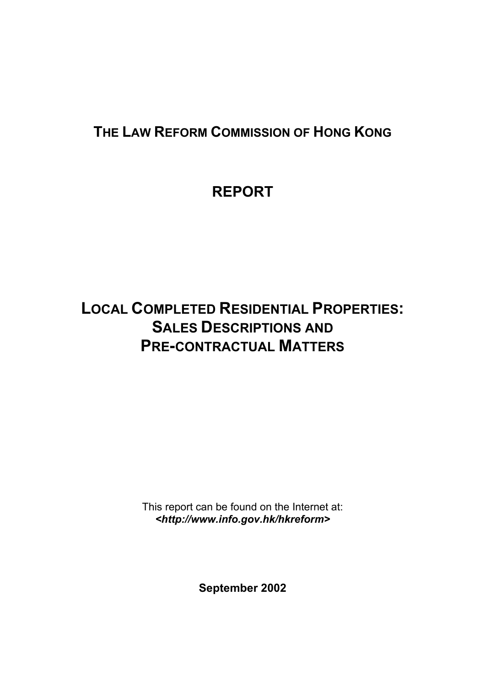# **THE LAW REFORM COMMISSION OF HONG KONG**

# **REPORT**

# **LOCAL COMPLETED RESIDENTIAL PROPERTIES: SALES DESCRIPTIONS AND PRE-CONTRACTUAL MATTERS**

This report can be found on the Internet at: *<http://www.info.gov.hk/hkreform>*

**September 2002**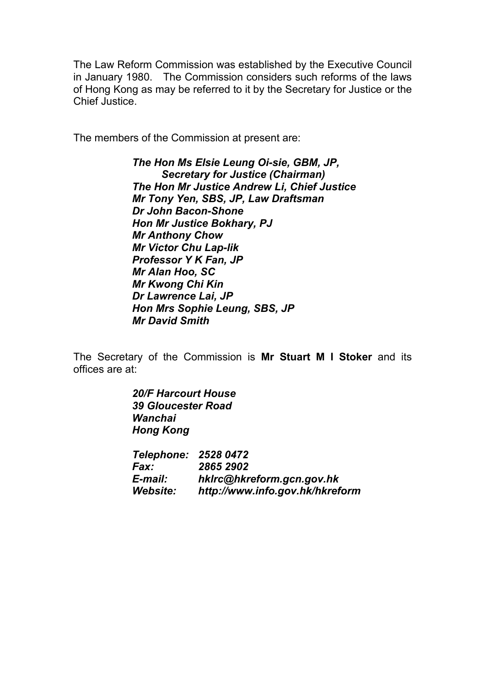The Law Reform Commission was established by the Executive Council in January 1980. The Commission considers such reforms of the laws of Hong Kong as may be referred to it by the Secretary for Justice or the Chief Justice.

The members of the Commission at present are:

*The Hon Ms Elsie Leung Oi-sie, GBM, JP, Secretary for Justice (Chairman) The Hon Mr Justice Andrew Li, Chief Justice Mr Tony Yen, SBS, JP, Law Draftsman Dr John Bacon-Shone Hon Mr Justice Bokhary, PJ Mr Anthony Chow Mr Victor Chu Lap-lik Professor Y K Fan, JP Mr Alan Hoo, SC Mr Kwong Chi Kin Dr Lawrence Lai, JP Hon Mrs Sophie Leung, SBS, JP Mr David Smith*

The Secretary of the Commission is **Mr Stuart M I Stoker** and its offices are at:

> *20/F Harcourt House 39 Gloucester Road Wanchai Hong Kong Telephone: 2528 0472 Fax: 2865 2902 E-mail: hklrc@hkreform.gcn.gov.hk Website: http://www.info.gov.hk/hkreform*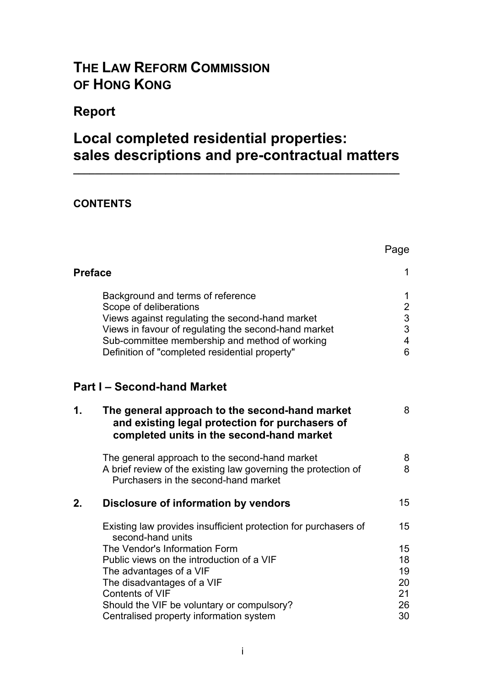# **THE LAW REFORM COMMISSION OF HONG KONG**

# **Report**

# **Local completed residential properties: sales descriptions and pre-contractual matters**

**\_\_\_\_\_\_\_\_\_\_\_\_\_\_\_\_\_\_\_\_\_\_\_\_\_\_\_\_\_\_\_\_\_\_\_\_\_\_\_\_\_\_\_\_\_\_\_\_\_\_\_\_\_\_\_\_\_\_\_\_**

Page

### **CONTENTS**

| <b>Preface</b> |                                                                                                                                                                                                                                                                            | 1                                                                          |
|----------------|----------------------------------------------------------------------------------------------------------------------------------------------------------------------------------------------------------------------------------------------------------------------------|----------------------------------------------------------------------------|
|                | Background and terms of reference<br>Scope of deliberations<br>Views against regulating the second-hand market<br>Views in favour of regulating the second-hand market<br>Sub-committee membership and method of working<br>Definition of "completed residential property" | 1<br>$\overline{c}$<br>$\mathfrak{S}$<br>3<br>$\overline{\mathbf{4}}$<br>6 |
|                | <b>Part I-Second-hand Market</b>                                                                                                                                                                                                                                           |                                                                            |
| 1.             | The general approach to the second-hand market<br>and existing legal protection for purchasers of<br>completed units in the second-hand market                                                                                                                             | 8                                                                          |
|                | The general approach to the second-hand market<br>A brief review of the existing law governing the protection of<br>Purchasers in the second-hand market                                                                                                                   | 8<br>8                                                                     |
| 2.             | Disclosure of information by vendors                                                                                                                                                                                                                                       | 15                                                                         |
|                | Existing law provides insufficient protection for purchasers of<br>second-hand units                                                                                                                                                                                       | 15                                                                         |
|                | The Vendor's Information Form<br>Public views on the introduction of a VIF<br>The advantages of a VIF<br>The disadvantages of a VIF<br><b>Contents of VIF</b><br>Should the VIF be voluntary or compulsory?<br>Centralised property information system                     | 15<br>18<br>19<br>20<br>21<br>26<br>30                                     |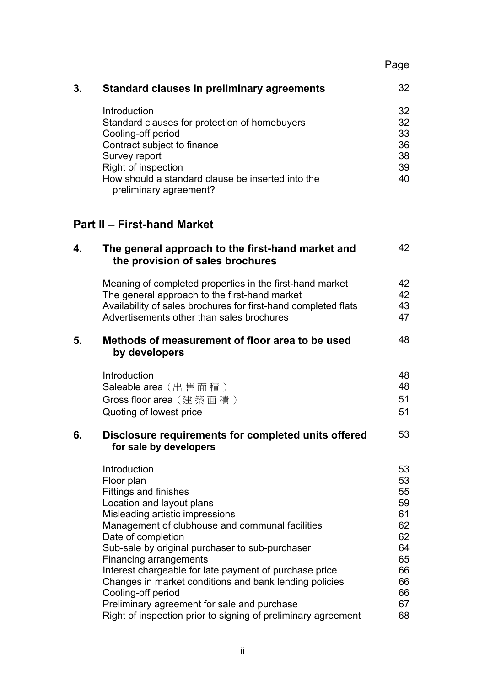|--|

| 3. | <b>Standard clauses in preliminary agreements</b>                           | 32 |
|----|-----------------------------------------------------------------------------|----|
|    | Introduction                                                                | 32 |
|    | Standard clauses for protection of homebuyers                               | 32 |
|    | Cooling-off period                                                          | 33 |
|    | Contract subject to finance                                                 | 36 |
|    | Survey report                                                               | 38 |
|    | Right of inspection                                                         | 39 |
|    | How should a standard clause be inserted into the<br>preliminary agreement? | 40 |

# **Part II – First-hand Market**

| 4. | The general approach to the first-hand market and<br>the provision of sales brochures                                                                                                                                                                                                                                                                                                                                                                                                                                                      | 42                                                                               |
|----|--------------------------------------------------------------------------------------------------------------------------------------------------------------------------------------------------------------------------------------------------------------------------------------------------------------------------------------------------------------------------------------------------------------------------------------------------------------------------------------------------------------------------------------------|----------------------------------------------------------------------------------|
|    | Meaning of completed properties in the first-hand market<br>The general approach to the first-hand market<br>Availability of sales brochures for first-hand completed flats<br>Advertisements other than sales brochures                                                                                                                                                                                                                                                                                                                   | 42<br>42<br>43<br>47                                                             |
| 5. | Methods of measurement of floor area to be used<br>by developers                                                                                                                                                                                                                                                                                                                                                                                                                                                                           | 48                                                                               |
|    | Introduction<br>Saleable area (出售面積)<br>Gross floor area (建築面積)<br>Quoting of lowest price                                                                                                                                                                                                                                                                                                                                                                                                                                                 | 48<br>48<br>51<br>51                                                             |
| 6. | Disclosure requirements for completed units offered<br>for sale by developers                                                                                                                                                                                                                                                                                                                                                                                                                                                              | 53                                                                               |
|    | Introduction<br>Floor plan<br>Fittings and finishes<br>Location and layout plans<br>Misleading artistic impressions<br>Management of clubhouse and communal facilities<br>Date of completion<br>Sub-sale by original purchaser to sub-purchaser<br><b>Financing arrangements</b><br>Interest chargeable for late payment of purchase price<br>Changes in market conditions and bank lending policies<br>Cooling-off period<br>Preliminary agreement for sale and purchase<br>Right of inspection prior to signing of preliminary agreement | 53<br>53<br>55<br>59<br>61<br>62<br>62<br>64<br>65<br>66<br>66<br>66<br>67<br>68 |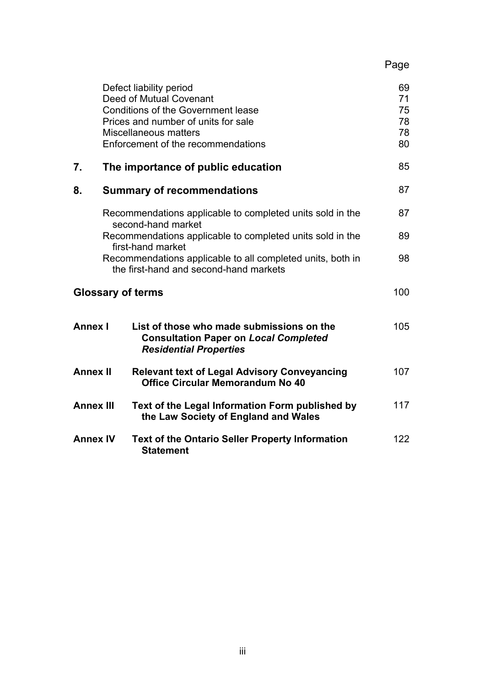Page

|                  | Defect liability period<br>Deed of Mutual Covenant                                                                         | 69<br>71 |
|------------------|----------------------------------------------------------------------------------------------------------------------------|----------|
|                  | <b>Conditions of the Government lease</b>                                                                                  | 75       |
|                  | Prices and number of units for sale                                                                                        | 78       |
|                  | Miscellaneous matters                                                                                                      | 78       |
|                  | Enforcement of the recommendations                                                                                         | 80       |
|                  |                                                                                                                            |          |
| 7.               | The importance of public education                                                                                         | 85       |
| 8.               | <b>Summary of recommendations</b>                                                                                          | 87       |
|                  | Recommendations applicable to completed units sold in the<br>second-hand market                                            | 87       |
|                  | Recommendations applicable to completed units sold in the<br>first-hand market                                             | 89       |
|                  | Recommendations applicable to all completed units, both in<br>the first-hand and second-hand markets                       | 98       |
|                  | <b>Glossary of terms</b>                                                                                                   | 100      |
| <b>Annex I</b>   | List of those who made submissions on the<br><b>Consultation Paper on Local Completed</b><br><b>Residential Properties</b> | 105      |
| <b>Annex II</b>  | <b>Relevant text of Legal Advisory Conveyancing</b><br><b>Office Circular Memorandum No 40</b>                             | 107      |
| <b>Annex III</b> | Text of the Legal Information Form published by<br>the Law Society of England and Wales                                    | 117      |
| <b>Annex IV</b>  | <b>Text of the Ontario Seller Property Information</b><br><b>Statement</b>                                                 | 122      |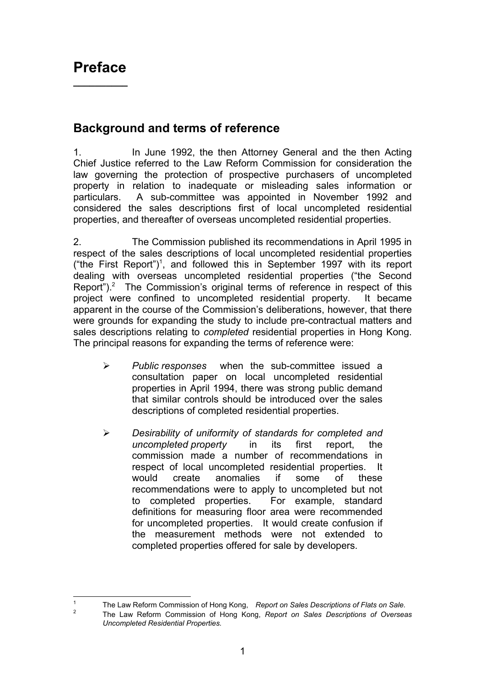## **Background and terms of reference**

1. In June 1992, the then Attorney General and the then Acting Chief Justice referred to the Law Reform Commission for consideration the law governing the protection of prospective purchasers of uncompleted property in relation to inadequate or misleading sales information or particulars. A sub-committee was appointed in November 1992 and considered the sales descriptions first of local uncompleted residential properties, and thereafter of overseas uncompleted residential properties.

2. The Commission published its recommendations in April 1995 in respect of the sales descriptions of local uncompleted residential properties ("the First Report")<sup>1</sup>, and followed this in September 1997 with its report dealing with overseas uncompleted residential properties ("the Second Report"). $2$  The Commission's original terms of reference in respect of this project were confined to uncompleted residential property. It became apparent in the course of the Commission's deliberations, however, that there were grounds for expanding the study to include pre-contractual matters and sales descriptions relating to *completed* residential properties in Hong Kong. The principal reasons for expanding the terms of reference were:

- ¾ *Public responses* when the sub-committee issued a consultation paper on local uncompleted residential properties in April 1994, there was strong public demand that similar controls should be introduced over the sales descriptions of completed residential properties.
- ¾ *Desirability of uniformity of standards for completed and uncompleted property* in its first report, the commission made a number of recommendations in respect of local uncompleted residential properties. It would create anomalies if some of these recommendations were to apply to uncompleted but not to completed properties. For example, standard definitions for measuring floor area were recommended for uncompleted properties. It would create confusion if the measurement methods were not extended to completed properties offered for sale by developers.

 $\overline{1}$ <sup>1</sup> The Law Reform Commission of Hong Kong, *Report on Sales Descriptions of Flats on Sale.* <sup>2</sup> The Law Reform Commission of Hong Kong, *Report on Sales Descriptions of Overseas Uncompleted Residential Properties.*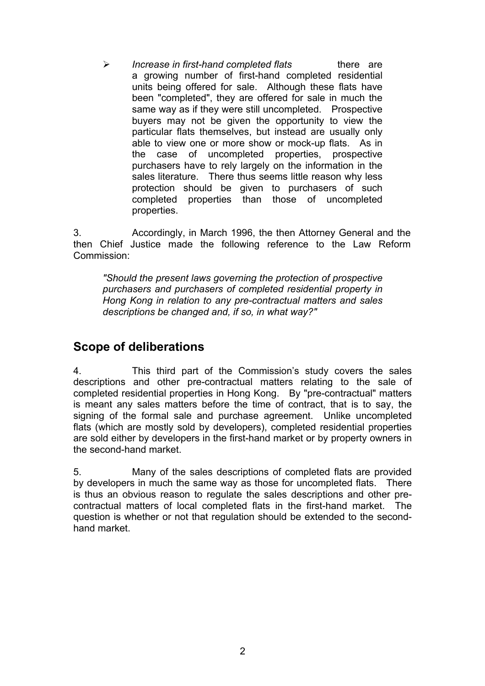¾ *Increase in first-hand completed flats* there are a growing number of first-hand completed residential units being offered for sale. Although these flats have been "completed", they are offered for sale in much the same way as if they were still uncompleted. Prospective buyers may not be given the opportunity to view the particular flats themselves, but instead are usually only able to view one or more show or mock-up flats. As in the case of uncompleted properties, prospective purchasers have to rely largely on the information in the sales literature. There thus seems little reason why less protection should be given to purchasers of such completed properties than those of uncompleted properties.

3. Accordingly, in March 1996, the then Attorney General and the then Chief Justice made the following reference to the Law Reform Commission:

*"Should the present laws governing the protection of prospective purchasers and purchasers of completed residential property in Hong Kong in relation to any pre-contractual matters and sales descriptions be changed and, if so, in what way?"*

## **Scope of deliberations**

4. This third part of the Commission's study covers the sales descriptions and other pre-contractual matters relating to the sale of completed residential properties in Hong Kong. By "pre-contractual" matters is meant any sales matters before the time of contract, that is to say, the signing of the formal sale and purchase agreement. Unlike uncompleted flats (which are mostly sold by developers), completed residential properties are sold either by developers in the first-hand market or by property owners in the second-hand market.

5. Many of the sales descriptions of completed flats are provided by developers in much the same way as those for uncompleted flats. There is thus an obvious reason to regulate the sales descriptions and other precontractual matters of local completed flats in the first-hand market. The question is whether or not that regulation should be extended to the secondhand market.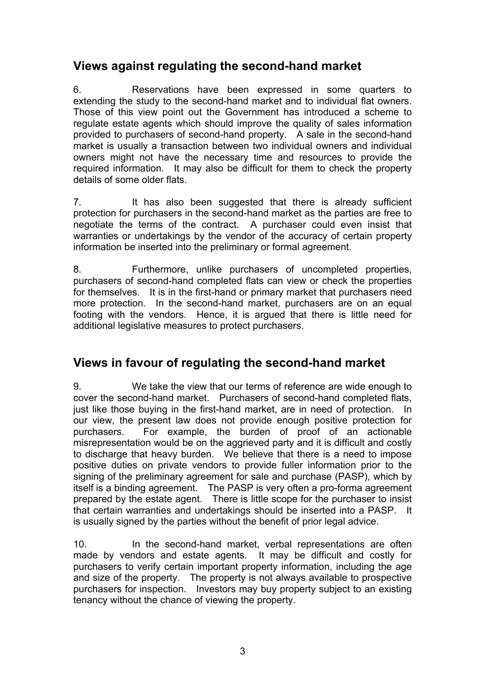## **Views against regulating the second-hand market**

6. Reservations have been expressed in some quarters to extending the study to the second-hand market and to individual flat owners. Those of this view point out the Government has introduced a scheme to regulate estate agents which should improve the quality of sales information provided to purchasers of second-hand property. A sale in the second-hand market is usually a transaction between two individual owners and individual owners might not have the necessary time and resources to provide the required information. It may also be difficult for them to check the property details of some older flats.

7. It has also been suggested that there is already sufficient protection for purchasers in the second-hand market as the parties are free to negotiate the terms of the contract. A purchaser could even insist that warranties or undertakings by the vendor of the accuracy of certain property information be inserted into the preliminary or formal agreement.

8. Furthermore, unlike purchasers of uncompleted properties, purchasers of second-hand completed flats can view or check the properties for themselves. It is in the first-hand or primary market that purchasers need more protection. In the second-hand market, purchasers are on an equal footing with the vendors. Hence, it is argued that there is little need for additional legislative measures to protect purchasers.

## **Views in favour of regulating the second-hand market**

9. We take the view that our terms of reference are wide enough to cover the second-hand market. Purchasers of second-hand completed flats, just like those buying in the first-hand market, are in need of protection. In our view, the present law does not provide enough positive protection for purchasers. For example, the burden of proof of an actionable misrepresentation would be on the aggrieved party and it is difficult and costly to discharge that heavy burden. We believe that there is a need to impose positive duties on private vendors to provide fuller information prior to the signing of the preliminary agreement for sale and purchase (PASP), which by itself is a binding agreement. The PASP is very often a pro-forma agreement prepared by the estate agent. There is little scope for the purchaser to insist that certain warranties and undertakings should be inserted into a PASP. It is usually signed by the parties without the benefit of prior legal advice.

10. In the second-hand market, verbal representations are often made by vendors and estate agents. It may be difficult and costly for purchasers to verify certain important property information, including the age and size of the property. The property is not always available to prospective purchasers for inspection. Investors may buy property subject to an existing tenancy without the chance of viewing the property.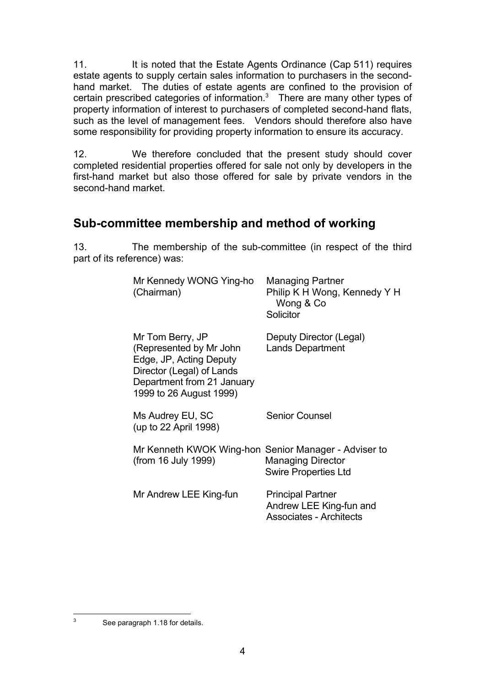11. It is noted that the Estate Agents Ordinance (Cap 511) requires estate agents to supply certain sales information to purchasers in the secondhand market. The duties of estate agents are confined to the provision of certain prescribed categories of information. $3$  There are many other types of property information of interest to purchasers of completed second-hand flats, such as the level of management fees. Vendors should therefore also have some responsibility for providing property information to ensure its accuracy.

12. We therefore concluded that the present study should cover completed residential properties offered for sale not only by developers in the first-hand market but also those offered for sale by private vendors in the second-hand market

## **Sub-committee membership and method of working**

13. The membership of the sub-committee (in respect of the third part of its reference) was:

| Mr Kennedy WONG Ying-ho<br>(Chairman)                                                                                                                        | <b>Managing Partner</b><br>Philip K H Wong, Kennedy Y H<br>Wong & Co<br>Solicitor     |
|--------------------------------------------------------------------------------------------------------------------------------------------------------------|---------------------------------------------------------------------------------------|
| Mr Tom Berry, JP<br>(Represented by Mr John<br>Edge, JP, Acting Deputy<br>Director (Legal) of Lands<br>Department from 21 January<br>1999 to 26 August 1999) | Deputy Director (Legal)<br><b>Lands Department</b>                                    |
| Ms Audrey EU, SC<br>(up to 22 April 1998)                                                                                                                    | <b>Senior Counsel</b>                                                                 |
| Mr Kenneth KWOK Wing-hon Senior Manager - Adviser to<br>(from 16 July 1999)                                                                                  | <b>Managing Director</b><br><b>Swire Properties Ltd</b>                               |
| Mr Andrew LEE King-fun                                                                                                                                       | <b>Principal Partner</b><br>Andrew LEE King-fun and<br><b>Associates - Architects</b> |

See paragraph 1.18 for details.

 $\overline{3}$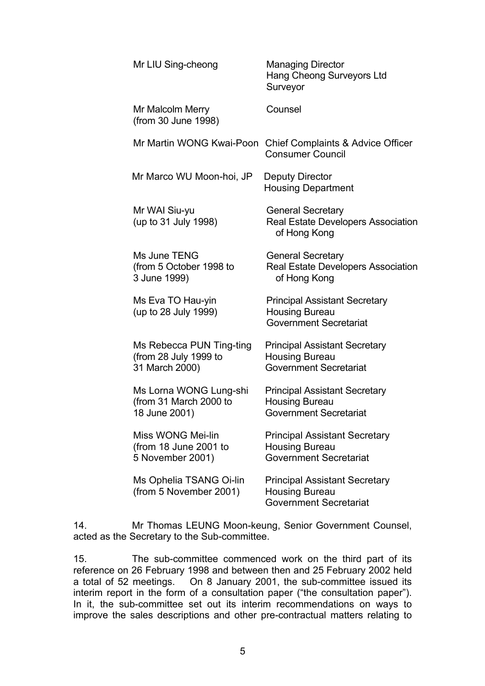| Mr LIU Sing-cheong                                                  | <b>Managing Director</b><br>Hang Cheong Surveyors Ltd<br>Surveyor                              |
|---------------------------------------------------------------------|------------------------------------------------------------------------------------------------|
| Mr Malcolm Merry<br>(from 30 June 1998)                             | Counsel                                                                                        |
| Mr Martin WONG Kwai-Poon                                            | <b>Chief Complaints &amp; Advice Officer</b><br><b>Consumer Council</b>                        |
| Mr Marco WU Moon-hoi, JP                                            | <b>Deputy Director</b><br><b>Housing Department</b>                                            |
| Mr WAI Siu-yu<br>(up to 31 July 1998)                               | <b>General Secretary</b><br>Real Estate Developers Association<br>of Hong Kong                 |
| Ms June TENG<br>(from 5 October 1998 to<br>3 June 1999)             | <b>General Secretary</b><br>Real Estate Developers Association<br>of Hong Kong                 |
| Ms Eva TO Hau-yin<br>(up to 28 July 1999)                           | <b>Principal Assistant Secretary</b><br><b>Housing Bureau</b><br><b>Government Secretariat</b> |
| Ms Rebecca PUN Ting-ting<br>(from 28 July 1999 to<br>31 March 2000) | <b>Principal Assistant Secretary</b><br>Housing Bureau<br><b>Government Secretariat</b>        |
| Ms Lorna WONG Lung-shi<br>(from 31 March 2000 to<br>18 June 2001)   | <b>Principal Assistant Secretary</b><br><b>Housing Bureau</b><br><b>Government Secretariat</b> |
| Miss WONG Mei-lin<br>(from 18 June 2001 to<br>5 November 2001)      | <b>Principal Assistant Secretary</b><br><b>Housing Bureau</b><br><b>Government Secretariat</b> |
| Ms Ophelia TSANG Oi-lin<br>(from 5 November 2001)                   | <b>Principal Assistant Secretary</b><br><b>Housing Bureau</b><br><b>Government Secretariat</b> |
|                                                                     |                                                                                                |

14. Mr Thomas LEUNG Moon-keung, Senior Government Counsel, acted as the Secretary to the Sub-committee.

15. The sub-committee commenced work on the third part of its reference on 26 February 1998 and between then and 25 February 2002 held<br>a total of 52 meetings. On 8 January 2001, the sub-committee issued its On 8 January 2001, the sub-committee issued its interim report in the form of a consultation paper ("the consultation paper"). In it, the sub-committee set out its interim recommendations on ways to improve the sales descriptions and other pre-contractual matters relating to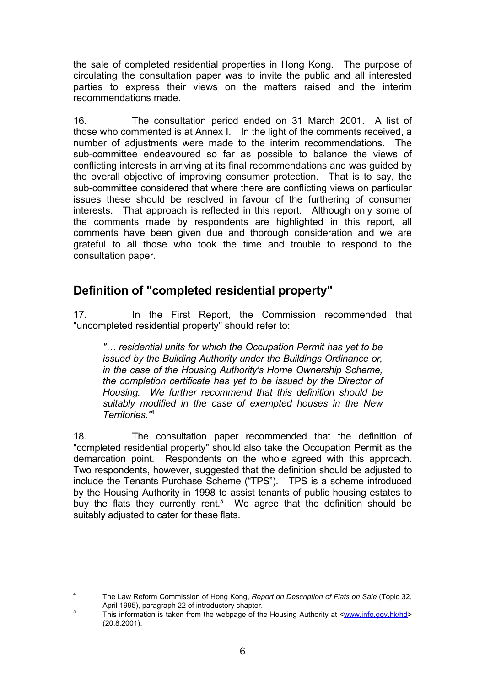the sale of completed residential properties in Hong Kong. The purpose of circulating the consultation paper was to invite the public and all interested parties to express their views on the matters raised and the interim recommendations made.

16. The consultation period ended on 31 March 2001. A list of those who commented is at Annex I. In the light of the comments received, a number of adjustments were made to the interim recommendations. The sub-committee endeavoured so far as possible to balance the views of conflicting interests in arriving at its final recommendations and was guided by the overall objective of improving consumer protection. That is to say, the sub-committee considered that where there are conflicting views on particular issues these should be resolved in favour of the furthering of consumer interests. That approach is reflected in this report. Although only some of the comments made by respondents are highlighted in this report, all comments have been given due and thorough consideration and we are grateful to all those who took the time and trouble to respond to the consultation paper.

### **Definition of "completed residential property"**

17. In the First Report, the Commission recommended that "uncompleted residential property" should refer to:

*"… residential units for which the Occupation Permit has yet to be issued by the Building Authority under the Buildings Ordinance or, in the case of the Housing Authority's Home Ownership Scheme, the completion certificate has yet to be issued by the Director of Housing. We further recommend that this definition should be suitably modified in the case of exempted houses in the New Territories."*<sup>4</sup>

18. The consultation paper recommended that the definition of "completed residential property" should also take the Occupation Permit as the demarcation point. Respondents on the whole agreed with this approach. Two respondents, however, suggested that the definition should be adjusted to include the Tenants Purchase Scheme ("TPS"). TPS is a scheme introduced by the Housing Authority in 1998 to assist tenants of public housing estates to buy the flats they currently rent.<sup>5</sup> We agree that the definition should be suitably adjusted to cater for these flats.

 $\overline{4}$ <sup>4</sup> The Law Reform Commission of Hong Kong, *Report on Description of Flats on Sale* (Topic 32, April 1995), paragraph 22 of introductory chapter.

 $\frac{5}{100}$  This information is taken from the webpage of the Housing Authority at  $\leq$ www.info.gov.hk/hd> (20.8.2001).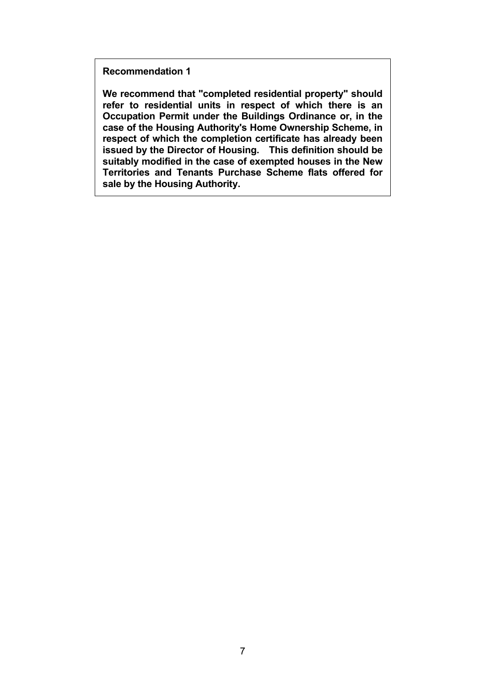**Recommendation 1**

**We recommend that "completed residential property" should refer to residential units in respect of which there is an Occupation Permit under the Buildings Ordinance or, in the case of the Housing Authority's Home Ownership Scheme, in respect of which the completion certificate has already been issued by the Director of Housing. This definition should be suitably modified in the case of exempted houses in the New Territories and Tenants Purchase Scheme flats offered for sale by the Housing Authority.**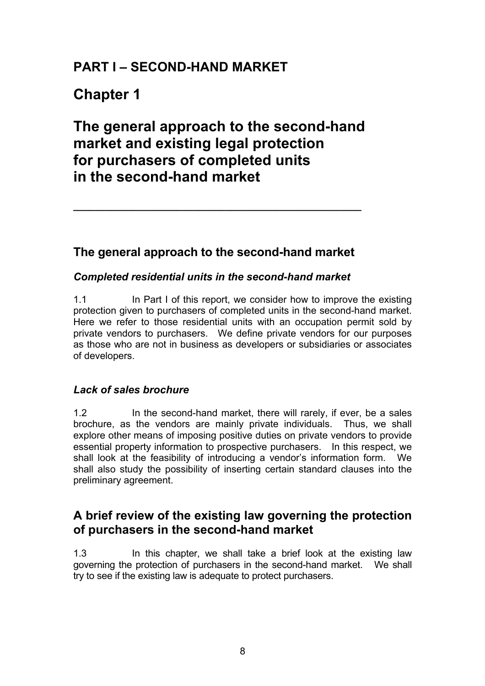# **PART I – SECOND-HAND MARKET**

# **Chapter 1**

# **The general approach to the second-hand market and existing legal protection for purchasers of completed units in the second-hand market**

# **The general approach to the second-hand market**

**\_\_\_\_\_\_\_\_\_\_\_\_\_\_\_\_\_\_\_\_\_\_\_\_\_\_\_\_\_\_\_\_\_\_\_\_\_\_\_\_\_\_\_\_\_\_\_\_\_\_\_\_\_**

### *Completed residential units in the second-hand market*

1.1 In Part I of this report, we consider how to improve the existing protection given to purchasers of completed units in the second-hand market. Here we refer to those residential units with an occupation permit sold by private vendors to purchasers. We define private vendors for our purposes as those who are not in business as developers or subsidiaries or associates of developers.

### *Lack of sales brochure*

1.2 In the second-hand market, there will rarely, if ever, be a sales brochure, as the vendors are mainly private individuals. Thus, we shall explore other means of imposing positive duties on private vendors to provide essential property information to prospective purchasers. In this respect, we shall look at the feasibility of introducing a vendor's information form. We shall also study the possibility of inserting certain standard clauses into the preliminary agreement.

## **A brief review of the existing law governing the protection of purchasers in the second-hand market**

1.3 In this chapter, we shall take a brief look at the existing law governing the protection of purchasers in the second-hand market. We shall try to see if the existing law is adequate to protect purchasers.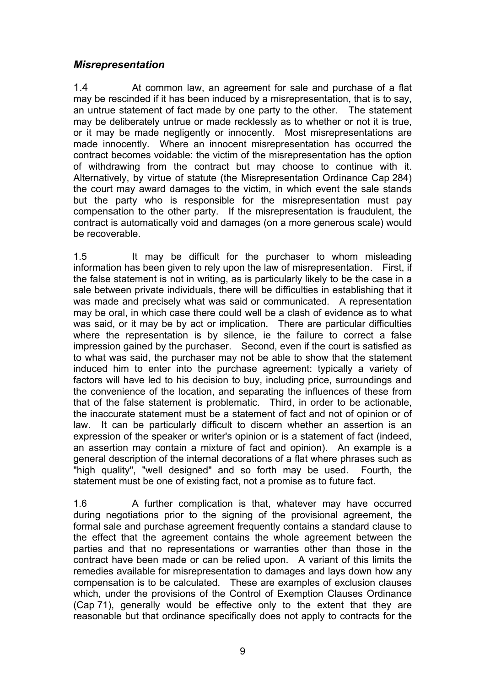### *Misrepresentation*

1.4 At common law, an agreement for sale and purchase of a flat may be rescinded if it has been induced by a misrepresentation, that is to say, an untrue statement of fact made by one party to the other. The statement may be deliberately untrue or made recklessly as to whether or not it is true, or it may be made negligently or innocently. Most misrepresentations are made innocently. Where an innocent misrepresentation has occurred the contract becomes voidable: the victim of the misrepresentation has the option of withdrawing from the contract but may choose to continue with it. Alternatively, by virtue of statute (the Misrepresentation Ordinance Cap 284) the court may award damages to the victim, in which event the sale stands but the party who is responsible for the misrepresentation must pay compensation to the other party. If the misrepresentation is fraudulent, the contract is automatically void and damages (on a more generous scale) would be recoverable.

1.5 It may be difficult for the purchaser to whom misleading information has been given to rely upon the law of misrepresentation. First, if the false statement is not in writing, as is particularly likely to be the case in a sale between private individuals, there will be difficulties in establishing that it was made and precisely what was said or communicated. A representation may be oral, in which case there could well be a clash of evidence as to what was said, or it may be by act or implication. There are particular difficulties where the representation is by silence, ie the failure to correct a false impression gained by the purchaser. Second, even if the court is satisfied as to what was said, the purchaser may not be able to show that the statement induced him to enter into the purchase agreement: typically a variety of factors will have led to his decision to buy, including price, surroundings and the convenience of the location, and separating the influences of these from that of the false statement is problematic. Third, in order to be actionable, the inaccurate statement must be a statement of fact and not of opinion or of law. It can be particularly difficult to discern whether an assertion is an expression of the speaker or writer's opinion or is a statement of fact (indeed, an assertion may contain a mixture of fact and opinion). An example is a general description of the internal decorations of a flat where phrases such as "high quality", "well designed" and so forth may be used. Fourth, the statement must be one of existing fact, not a promise as to future fact.

1.6 A further complication is that, whatever may have occurred during negotiations prior to the signing of the provisional agreement, the formal sale and purchase agreement frequently contains a standard clause to the effect that the agreement contains the whole agreement between the parties and that no representations or warranties other than those in the contract have been made or can be relied upon. A variant of this limits the remedies available for misrepresentation to damages and lays down how any compensation is to be calculated. These are examples of exclusion clauses which, under the provisions of the Control of Exemption Clauses Ordinance (Cap 71), generally would be effective only to the extent that they are reasonable but that ordinance specifically does not apply to contracts for the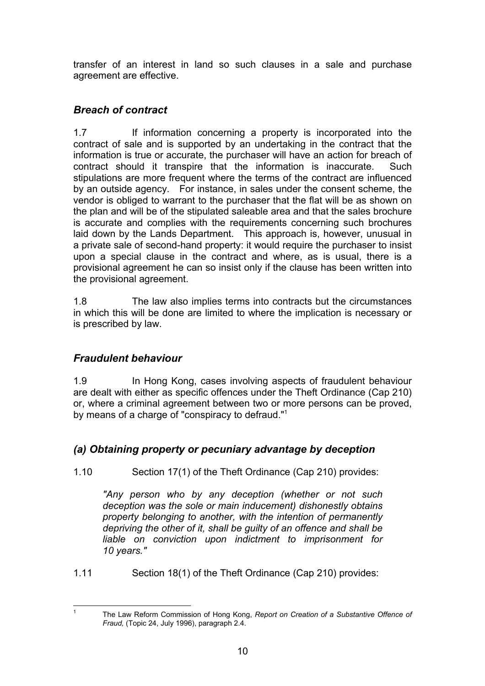transfer of an interest in land so such clauses in a sale and purchase agreement are effective.

### *Breach of contract*

1.7 If information concerning a property is incorporated into the contract of sale and is supported by an undertaking in the contract that the information is true or accurate, the purchaser will have an action for breach of contract should it transpire that the information is inaccurate. Such stipulations are more frequent where the terms of the contract are influenced by an outside agency. For instance, in sales under the consent scheme, the vendor is obliged to warrant to the purchaser that the flat will be as shown on the plan and will be of the stipulated saleable area and that the sales brochure is accurate and complies with the requirements concerning such brochures laid down by the Lands Department. This approach is, however, unusual in a private sale of second-hand property: it would require the purchaser to insist upon a special clause in the contract and where, as is usual, there is a provisional agreement he can so insist only if the clause has been written into the provisional agreement.

1.8 The law also implies terms into contracts but the circumstances in which this will be done are limited to where the implication is necessary or is prescribed by law.

### *Fraudulent behaviour*

 $\mathbf{1}$ 

1.9 In Hong Kong, cases involving aspects of fraudulent behaviour are dealt with either as specific offences under the Theft Ordinance (Cap 210) or, where a criminal agreement between two or more persons can be proved, by means of a charge of "conspiracy to defraud."1

### *(a) Obtaining property or pecuniary advantage by deception*

1.10 Section 17(1) of the Theft Ordinance (Cap 210) provides:

*"Any person who by any deception (whether or not such deception was the sole or main inducement) dishonestly obtains property belonging to another, with the intention of permanently depriving the other of it, shall be guilty of an offence and shall be liable on conviction upon indictment to imprisonment for 10 years."*

1.11 Section 18(1) of the Theft Ordinance (Cap 210) provides:

<sup>1</sup> The Law Reform Commission of Hong Kong, *Report on Creation of a Substantive Offence of Fraud,* (Topic 24, July 1996), paragraph 2.4.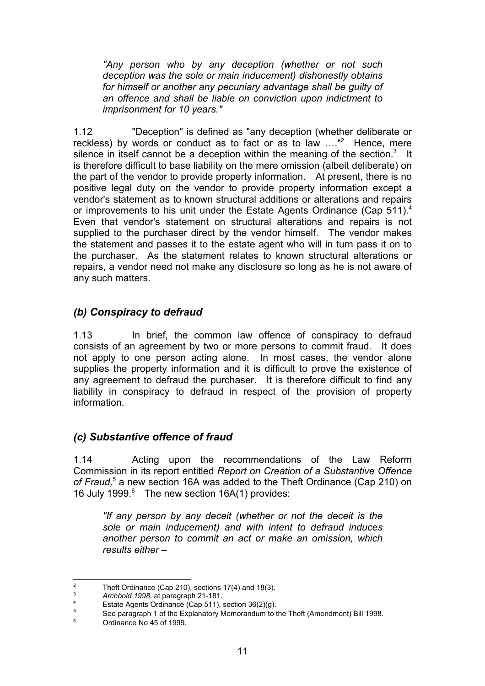*"Any person who by any deception (whether or not such deception was the sole or main inducement) dishonestly obtains for himself or another any pecuniary advantage shall be guilty of an offence and shall be liable on conviction upon indictment to imprisonment for 10 years."*

1.12 "Deception" is defined as "any deception (whether deliberate or reckless) by words or conduct as to fact or as to law ...."<sup>2</sup> Hence, mere silence in itself cannot be a deception within the meaning of the section.<sup>3</sup> It is therefore difficult to base liability on the mere omission (albeit deliberate) on the part of the vendor to provide property information. At present, there is no positive legal duty on the vendor to provide property information except a vendor's statement as to known structural additions or alterations and repairs or improvements to his unit under the Estate Agents Ordinance (Cap 511).<sup>4</sup> Even that vendor's statement on structural alterations and repairs is not supplied to the purchaser direct by the vendor himself. The vendor makes the statement and passes it to the estate agent who will in turn pass it on to the purchaser. As the statement relates to known structural alterations or repairs, a vendor need not make any disclosure so long as he is not aware of any such matters.

### *(b) Conspiracy to defraud*

1.13 In brief, the common law offence of conspiracy to defraud consists of an agreement by two or more persons to commit fraud. It does not apply to one person acting alone. In most cases, the vendor alone supplies the property information and it is difficult to prove the existence of any agreement to defraud the purchaser. It is therefore difficult to find any liability in conspiracy to defraud in respect of the provision of property information.

### *(c) Substantive offence of fraud*

1.14 Acting upon the recommendations of the Law Reform Commission in its report entitled *Report on Creation of a Substantive Offence* of Fraud,<sup>5</sup> a new section 16A was added to the Theft Ordinance (Cap 210) on 16 July 1999. $6$  The new section 16A(1) provides:

*"If any person by any deceit (whether or not the deceit is the sole or main inducement) and with intent to defraud induces another person to commit an act or make an omission, which results either –*

 $\overline{2}$ <sup>2</sup> Theft Ordinance (Cap 210), sections 17(4) and 18(3).<br> $\frac{3}{4}$  Archbold 1998, at paragraph 21-181

<sup>3</sup> *Archbold 1998*, at paragraph 21-181.

<sup>4</sup> Estate Agents Ordinance (Cap 511), section  $36(2)(g)$ .<br>
See paragraph 1 of the Explanatory Momerandum to the

<sup>5</sup> See paragraph 1 of the Explanatory Memorandum to the Theft (Amendment) Bill 1998.

<sup>6</sup> Ordinance No 45 of 1999.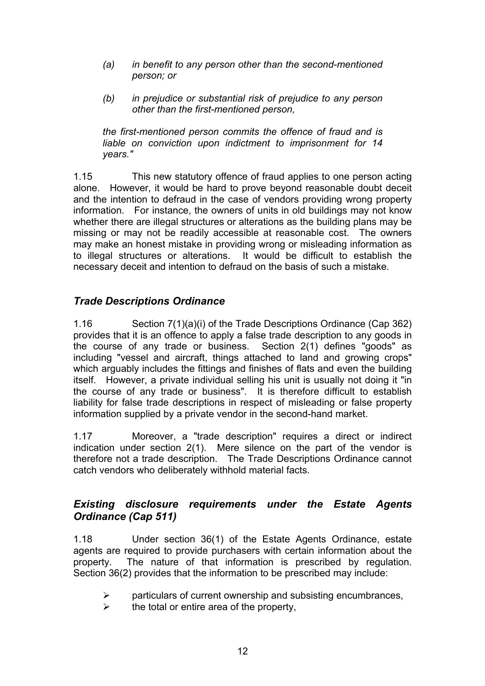- *(a) in benefit to any person other than the second-mentioned person; or*
- *(b) in prejudice or substantial risk of prejudice to any person other than the first-mentioned person,*

*the first-mentioned person commits the offence of fraud and is liable on conviction upon indictment to imprisonment for 14 years."*

1.15 This new statutory offence of fraud applies to one person acting alone. However, it would be hard to prove beyond reasonable doubt deceit and the intention to defraud in the case of vendors providing wrong property information. For instance, the owners of units in old buildings may not know whether there are illegal structures or alterations as the building plans may be missing or may not be readily accessible at reasonable cost. The owners may make an honest mistake in providing wrong or misleading information as to illegal structures or alterations. It would be difficult to establish the necessary deceit and intention to defraud on the basis of such a mistake.

### *Trade Descriptions Ordinance*

1.16 Section 7(1)(a)(i) of the Trade Descriptions Ordinance (Cap 362) provides that it is an offence to apply a false trade description to any goods in the course of any trade or business. Section 2(1) defines "goods" as including "vessel and aircraft, things attached to land and growing crops" which arguably includes the fittings and finishes of flats and even the building itself. However, a private individual selling his unit is usually not doing it "in the course of any trade or business". It is therefore difficult to establish liability for false trade descriptions in respect of misleading or false property information supplied by a private vendor in the second-hand market.

1.17 Moreover, a "trade description" requires a direct or indirect indication under section 2(1). Mere silence on the part of the vendor is therefore not a trade description. The Trade Descriptions Ordinance cannot catch vendors who deliberately withhold material facts.

### *Existing disclosure requirements under the Estate Agents Ordinance (Cap 511)*

1.18 Under section 36(1) of the Estate Agents Ordinance, estate agents are required to provide purchasers with certain information about the property. The nature of that information is prescribed by regulation. Section 36(2) provides that the information to be prescribed may include:

- particulars of current ownership and subsisting encumbrances,
- $\triangleright$  the total or entire area of the property,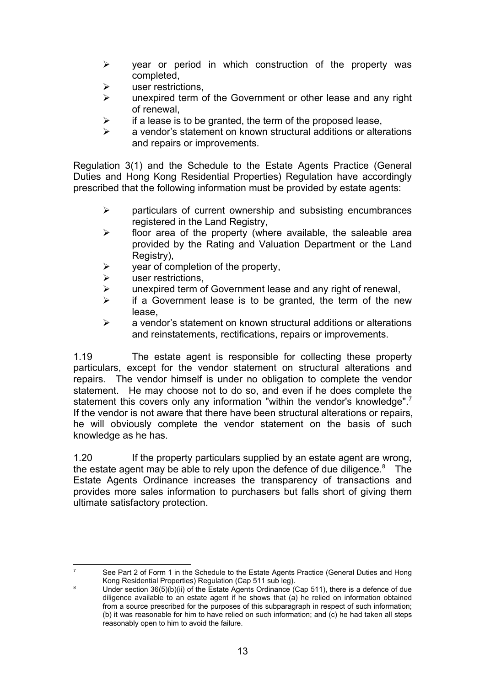- $\triangleright$  year or period in which construction of the property was completed,
- user restrictions.
- $\triangleright$  unexpired term of the Government or other lease and any right of renewal,
- if a lease is to be granted, the term of the proposed lease,
- a vendor's statement on known structural additions or alterations and repairs or improvements.

Regulation 3(1) and the Schedule to the Estate Agents Practice (General Duties and Hong Kong Residential Properties) Regulation have accordingly prescribed that the following information must be provided by estate agents:

- $\triangleright$  particulars of current ownership and subsisting encumbrances registered in the Land Registry,
- $\triangleright$  floor area of the property (where available, the saleable area provided by the Rating and Valuation Department or the Land Registry).
- year of completion of the property,
- user restrictions,

-<br>7

- unexpired term of Government lease and any right of renewal,
- if a Government lease is to be granted, the term of the new lease,
- $\triangleright$  a vendor's statement on known structural additions or alterations and reinstatements, rectifications, repairs or improvements.

1.19 The estate agent is responsible for collecting these property particulars, except for the vendor statement on structural alterations and repairs. The vendor himself is under no obligation to complete the vendor statement. He may choose not to do so, and even if he does complete the statement this covers only any information "within the vendor's knowledge".<sup>7</sup> If the vendor is not aware that there have been structural alterations or repairs, he will obviously complete the vendor statement on the basis of such knowledge as he has.

1.20 If the property particulars supplied by an estate agent are wrong, the estate agent may be able to rely upon the defence of due diligence. $8$  The Estate Agents Ordinance increases the transparency of transactions and provides more sales information to purchasers but falls short of giving them ultimate satisfactory protection.

 See Part 2 of Form 1 in the Schedule to the Estate Agents Practice (General Duties and Hong Kong Residential Properties) Regulation (Cap 511 sub leg).

<sup>8</sup> Under section 36(5)(b)(ii) of the Estate Agents Ordinance (Cap 511), there is a defence of due diligence available to an estate agent if he shows that (a) he relied on information obtained from a source prescribed for the purposes of this subparagraph in respect of such information; (b) it was reasonable for him to have relied on such information; and (c) he had taken all steps reasonably open to him to avoid the failure.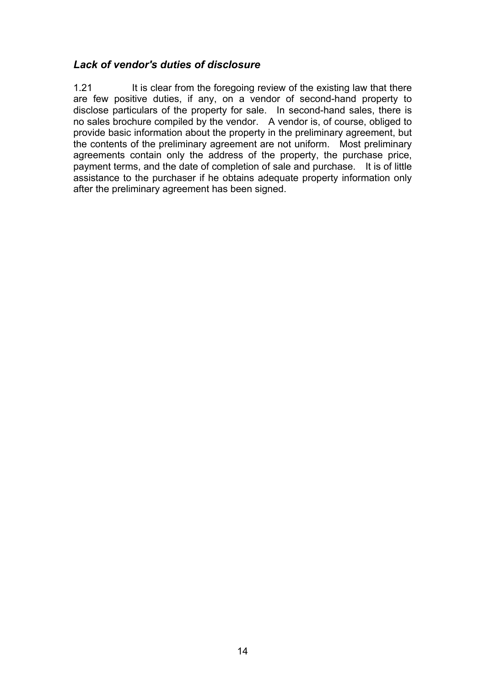### *Lack of vendor's duties of disclosure*

1.21 It is clear from the foregoing review of the existing law that there are few positive duties, if any, on a vendor of second-hand property to disclose particulars of the property for sale. In second-hand sales, there is no sales brochure compiled by the vendor. A vendor is, of course, obliged to provide basic information about the property in the preliminary agreement, but the contents of the preliminary agreement are not uniform. Most preliminary agreements contain only the address of the property, the purchase price, payment terms, and the date of completion of sale and purchase. It is of little assistance to the purchaser if he obtains adequate property information only after the preliminary agreement has been signed.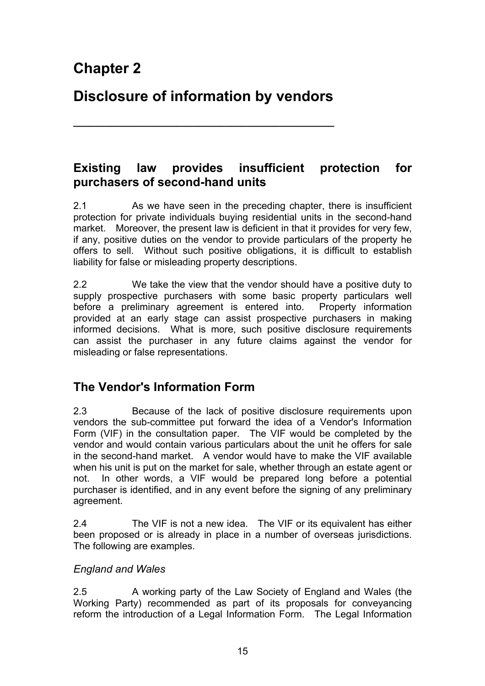# **Disclosure of information by vendors**

**\_\_\_\_\_\_\_\_\_\_\_\_\_\_\_\_\_\_\_\_\_\_\_\_\_\_\_\_\_\_\_\_\_\_\_\_\_\_\_\_\_\_\_\_\_\_\_\_**

## **Existing law provides insufficient protection for purchasers of second-hand units**

2.1 As we have seen in the preceding chapter, there is insufficient protection for private individuals buying residential units in the second-hand market. Moreover, the present law is deficient in that it provides for very few, if any, positive duties on the vendor to provide particulars of the property he offers to sell. Without such positive obligations, it is difficult to establish liability for false or misleading property descriptions.

2.2 We take the view that the vendor should have a positive duty to supply prospective purchasers with some basic property particulars well before a preliminary agreement is entered into. Property information provided at an early stage can assist prospective purchasers in making informed decisions. What is more, such positive disclosure requirements can assist the purchaser in any future claims against the vendor for misleading or false representations.

# **The Vendor's Information Form**

2.3 Because of the lack of positive disclosure requirements upon vendors the sub-committee put forward the idea of a Vendor's Information Form (VIF) in the consultation paper. The VIF would be completed by the vendor and would contain various particulars about the unit he offers for sale in the second-hand market. A vendor would have to make the VIF available when his unit is put on the market for sale, whether through an estate agent or not. In other words, a VIF would be prepared long before a potential purchaser is identified, and in any event before the signing of any preliminary agreement.

2.4 The VIF is not a new idea. The VIF or its equivalent has either been proposed or is already in place in a number of overseas jurisdictions. The following are examples.

### *England and Wales*

2.5 A working party of the Law Society of England and Wales (the Working Party) recommended as part of its proposals for conveyancing reform the introduction of a Legal Information Form. The Legal Information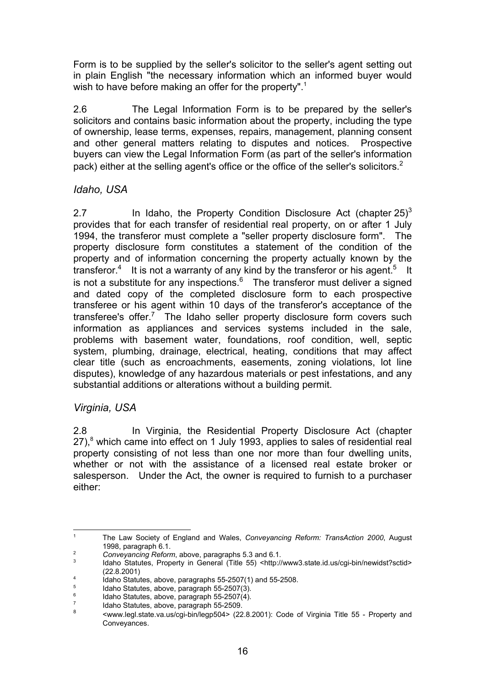Form is to be supplied by the seller's solicitor to the seller's agent setting out in plain English "the necessary information which an informed buyer would wish to have before making an offer for the property".<sup>1</sup>

2.6 The Legal Information Form is to be prepared by the seller's solicitors and contains basic information about the property, including the type of ownership, lease terms, expenses, repairs, management, planning consent and other general matters relating to disputes and notices. Prospective buyers can view the Legal Information Form (as part of the seller's information pack) either at the selling agent's office or the office of the seller's solicitors.<sup>2</sup>

### *Idaho, USA*

2.7 In Idaho, the Property Condition Disclosure Act (chapter  $25<sup>3</sup>$ provides that for each transfer of residential real property, on or after 1 July 1994, the transferor must complete a "seller property disclosure form". The property disclosure form constitutes a statement of the condition of the property and of information concerning the property actually known by the transferor.<sup>4</sup> It is not a warranty of any kind by the transferor or his agent.<sup>5</sup> It is not a substitute for any inspections.<sup>6</sup> The transferor must deliver a signed and dated copy of the completed disclosure form to each prospective transferee or his agent within 10 days of the transferor's acceptance of the transferee's offer.<sup>7</sup> The Idaho seller property disclosure form covers such information as appliances and services systems included in the sale, problems with basement water, foundations, roof condition, well, septic system, plumbing, drainage, electrical, heating, conditions that may affect clear title (such as encroachments, easements, zoning violations, lot line disputes), knowledge of any hazardous materials or pest infestations, and any substantial additions or alterations without a building permit.

### *Virginia, USA*

2.8 In Virginia, the Residential Property Disclosure Act (chapter 27),<sup>8</sup> which came into effect on 1 July 1993, applies to sales of residential real property consisting of not less than one nor more than four dwelling units, whether or not with the assistance of a licensed real estate broker or salesperson. Under the Act, the owner is required to furnish to a purchaser either:

<sup>|&</sup>lt;br>1 The Law Society of England and Wales, *Conveyancing Reform: TransAction 2000*, August 1998, paragraph 6.1.

<sup>2</sup> *Conveyancing Reform*, above, paragraphs 5.3 and 6.1.

<sup>3</sup> Idaho Statutes, Property in General (Title 55) <http://www3.state.id.us/cgi-bin/newidst?sctid> (22.8.2001)

<sup>4</sup> Idaho Statutes, above, paragraphs 55-2507(1) and 55-2508.

<sup>5</sup> Idaho Statutes, above, paragraph 55-2507(3).

<sup>6</sup> Idaho Statutes, above, paragraph 55-2507(4).

<sup>7</sup>  $\frac{7}{8}$  Idaho Statutes, above, paragraph 55-2509.

<sup>8</sup> <www.legl.state.va.us/cgi-bin/legp504> (22.8.2001): Code of Virginia Title 55 - Property and Conveyances.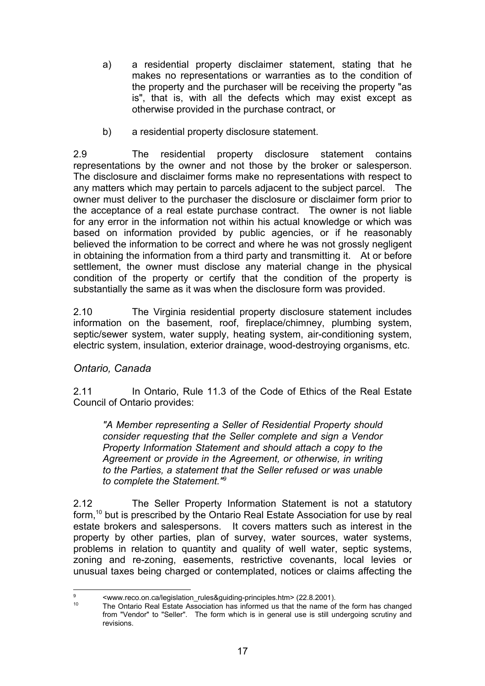- a) a residential property disclaimer statement, stating that he makes no representations or warranties as to the condition of the property and the purchaser will be receiving the property "as is", that is, with all the defects which may exist except as otherwise provided in the purchase contract, or
- b) a residential property disclosure statement.

2.9 The residential property disclosure statement contains representations by the owner and not those by the broker or salesperson. The disclosure and disclaimer forms make no representations with respect to any matters which may pertain to parcels adjacent to the subject parcel. The owner must deliver to the purchaser the disclosure or disclaimer form prior to the acceptance of a real estate purchase contract. The owner is not liable for any error in the information not within his actual knowledge or which was based on information provided by public agencies, or if he reasonably believed the information to be correct and where he was not grossly negligent in obtaining the information from a third party and transmitting it. At or before settlement, the owner must disclose any material change in the physical condition of the property or certify that the condition of the property is substantially the same as it was when the disclosure form was provided.

2.10 The Virginia residential property disclosure statement includes information on the basement, roof, fireplace/chimney, plumbing system, septic/sewer system, water supply, heating system, air-conditioning system, electric system, insulation, exterior drainage, wood-destroying organisms, etc.

### *Ontario, Canada*

2.11 In Ontario, Rule 11.3 of the Code of Ethics of the Real Estate Council of Ontario provides:

*"A Member representing a Seller of Residential Property should consider requesting that the Seller complete and sign a Vendor Property Information Statement and should attach a copy to the Agreement or provide in the Agreement, or otherwise, in writing to the Parties, a statement that the Seller refused or was unable to complete the Statement."9*

2.12 The Seller Property Information Statement is not a statutory form,<sup>10</sup> but is prescribed by the Ontario Real Estate Association for use by real estate brokers and salespersons. It covers matters such as interest in the property by other parties, plan of survey, water sources, water systems, problems in relation to quantity and quality of well water, septic systems, zoning and re-zoning, easements, restrictive covenants, local levies or unusual taxes being charged or contemplated, notices or claims affecting the

<sup>-&</sup>lt;br>9 <www.reco.on.ca/legislation\_rules&guiding-principles.htm> (22.8.2001).

The Ontario Real Estate Association has informed us that the name of the form has changed from "Vendor" to "Seller". The form which is in general use is still undergoing scrutiny and revisions.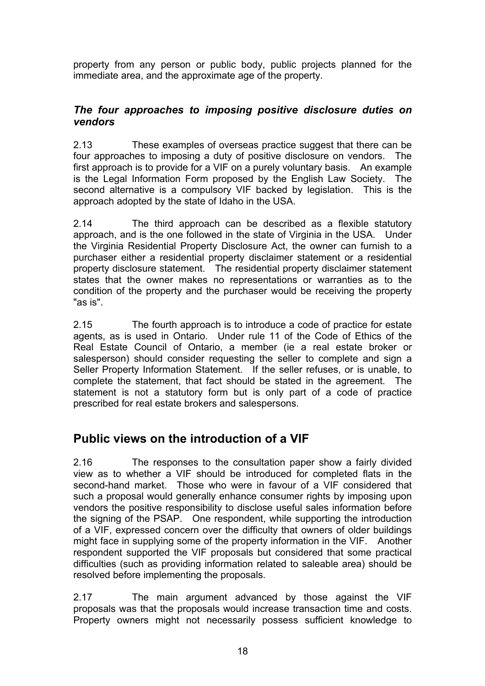property from any person or public body, public projects planned for the immediate area, and the approximate age of the property.

### *The four approaches to imposing positive disclosure duties on vendors*

2.13 These examples of overseas practice suggest that there can be four approaches to imposing a duty of positive disclosure on vendors. The first approach is to provide for a VIF on a purely voluntary basis. An example is the Legal Information Form proposed by the English Law Society. The second alternative is a compulsory VIF backed by legislation. This is the approach adopted by the state of Idaho in the USA.

2.14 The third approach can be described as a flexible statutory approach, and is the one followed in the state of Virginia in the USA. Under the Virginia Residential Property Disclosure Act, the owner can furnish to a purchaser either a residential property disclaimer statement or a residential property disclosure statement. The residential property disclaimer statement states that the owner makes no representations or warranties as to the condition of the property and the purchaser would be receiving the property "as is".

2.15 The fourth approach is to introduce a code of practice for estate agents, as is used in Ontario. Under rule 11 of the Code of Ethics of the Real Estate Council of Ontario, a member (ie a real estate broker or salesperson) should consider requesting the seller to complete and sign a Seller Property Information Statement. If the seller refuses, or is unable, to complete the statement, that fact should be stated in the agreement. The statement is not a statutory form but is only part of a code of practice prescribed for real estate brokers and salespersons.

# **Public views on the introduction of a VIF**

2.16 The responses to the consultation paper show a fairly divided view as to whether a VIF should be introduced for completed flats in the second-hand market. Those who were in favour of a VIF considered that such a proposal would generally enhance consumer rights by imposing upon vendors the positive responsibility to disclose useful sales information before the signing of the PSAP. One respondent, while supporting the introduction of a VIF, expressed concern over the difficulty that owners of older buildings might face in supplying some of the property information in the VIF. Another respondent supported the VIF proposals but considered that some practical difficulties (such as providing information related to saleable area) should be resolved before implementing the proposals.

2.17 The main argument advanced by those against the VIF proposals was that the proposals would increase transaction time and costs. Property owners might not necessarily possess sufficient knowledge to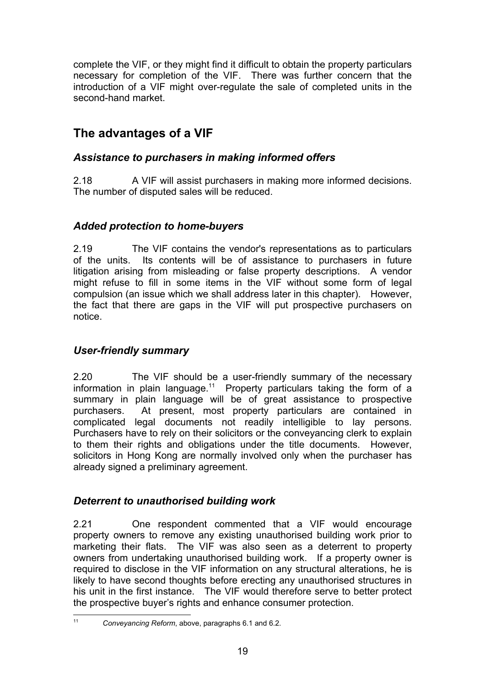complete the VIF, or they might find it difficult to obtain the property particulars necessary for completion of the VIF. There was further concern that the introduction of a VIF might over-regulate the sale of completed units in the second-hand market

# **The advantages of a VIF**

### *Assistance to purchasers in making informed offers*

2.18 A VIF will assist purchasers in making more informed decisions. The number of disputed sales will be reduced.

### *Added protection to home-buyers*

2.19 The VIF contains the vendor's representations as to particulars of the units. Its contents will be of assistance to purchasers in future litigation arising from misleading or false property descriptions. A vendor might refuse to fill in some items in the VIF without some form of legal compulsion (an issue which we shall address later in this chapter). However, the fact that there are gaps in the VIF will put prospective purchasers on notice.

### *User-friendly summary*

2.20 The VIF should be a user-friendly summary of the necessary information in plain language.<sup>11</sup> Property particulars taking the form of a summary in plain language will be of great assistance to prospective purchasers. At present, most property particulars are contained in complicated legal documents not readily intelligible to lay persons. Purchasers have to rely on their solicitors or the conveyancing clerk to explain to them their rights and obligations under the title documents. However, solicitors in Hong Kong are normally involved only when the purchaser has already signed a preliminary agreement.

### *Deterrent to unauthorised building work*

2.21 One respondent commented that a VIF would encourage property owners to remove any existing unauthorised building work prior to marketing their flats. The VIF was also seen as a deterrent to property owners from undertaking unauthorised building work. If a property owner is required to disclose in the VIF information on any structural alterations, he is likely to have second thoughts before erecting any unauthorised structures in his unit in the first instance. The VIF would therefore serve to better protect the prospective buyer's rights and enhance consumer protection.

 $11$ <sup>11</sup> *Conveyancing Reform*, above, paragraphs 6.1 and 6.2.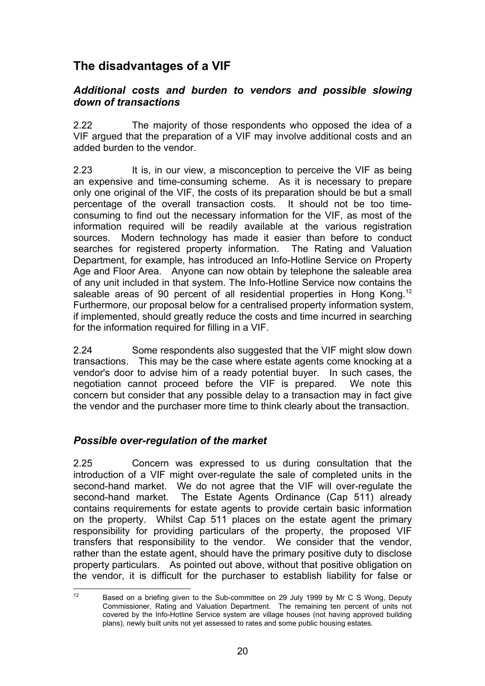# **The disadvantages of a VIF**

### *Additional costs and burden to vendors and possible slowing down of transactions*

2.22 The majority of those respondents who opposed the idea of a VIF argued that the preparation of a VIF may involve additional costs and an added burden to the vendor.

2.23 It is, in our view, a misconception to perceive the VIF as being an expensive and time-consuming scheme. As it is necessary to prepare only one original of the VIF, the costs of its preparation should be but a small percentage of the overall transaction costs. It should not be too timeconsuming to find out the necessary information for the VIF, as most of the information required will be readily available at the various registration sources. Modern technology has made it easier than before to conduct searches for registered property information. The Rating and Valuation Department, for example, has introduced an Info-Hotline Service on Property Age and Floor Area. Anyone can now obtain by telephone the saleable area of any unit included in that system. The Info-Hotline Service now contains the saleable areas of 90 percent of all residential properties in Hong Kong.<sup>12</sup> Furthermore, our proposal below for a centralised property information system, if implemented, should greatly reduce the costs and time incurred in searching for the information required for filling in a VIF.

2.24 Some respondents also suggested that the VIF might slow down transactions. This may be the case where estate agents come knocking at a vendor's door to advise him of a ready potential buyer. In such cases, the negotiation cannot proceed before the VIF is prepared. We note this concern but consider that any possible delay to a transaction may in fact give the vendor and the purchaser more time to think clearly about the transaction.

### *Possible over-regulation of the market*

2.25 Concern was expressed to us during consultation that the introduction of a VIF might over-regulate the sale of completed units in the second-hand market. We do not agree that the VIF will over-regulate the second-hand market. The Estate Agents Ordinance (Cap 511) already contains requirements for estate agents to provide certain basic information on the property. Whilst Cap 511 places on the estate agent the primary responsibility for providing particulars of the property, the proposed VIF transfers that responsibility to the vendor. We consider that the vendor, rather than the estate agent, should have the primary positive duty to disclose property particulars. As pointed out above, without that positive obligation on the vendor, it is difficult for the purchaser to establish liability for false or

 $12$ Based on a briefing given to the Sub-committee on 29 July 1999 by Mr C S Wong, Deputy Commissioner, Rating and Valuation Department. The remaining ten percent of units not covered by the Info-Hotline Service system are village houses (not having approved building plans), newly built units not yet assessed to rates and some public housing estates.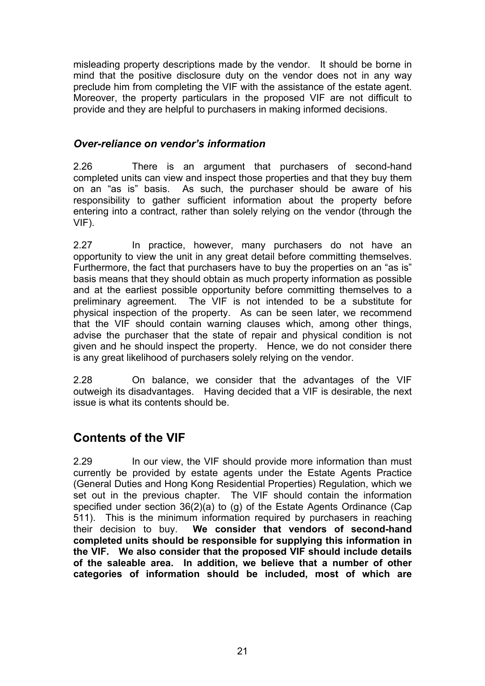misleading property descriptions made by the vendor. It should be borne in mind that the positive disclosure duty on the vendor does not in any way preclude him from completing the VIF with the assistance of the estate agent. Moreover, the property particulars in the proposed VIF are not difficult to provide and they are helpful to purchasers in making informed decisions.

### *Over-reliance on vendor's information*

2.26 There is an argument that purchasers of second-hand completed units can view and inspect those properties and that they buy them on an "as is" basis. As such, the purchaser should be aware of his responsibility to gather sufficient information about the property before entering into a contract, rather than solely relying on the vendor (through the VIF).

2.27 In practice, however, many purchasers do not have an opportunity to view the unit in any great detail before committing themselves. Furthermore, the fact that purchasers have to buy the properties on an "as is" basis means that they should obtain as much property information as possible and at the earliest possible opportunity before committing themselves to a preliminary agreement. The VIF is not intended to be a substitute for physical inspection of the property. As can be seen later, we recommend that the VIF should contain warning clauses which, among other things, advise the purchaser that the state of repair and physical condition is not given and he should inspect the property. Hence, we do not consider there is any great likelihood of purchasers solely relying on the vendor.

2.28 On balance, we consider that the advantages of the VIF outweigh its disadvantages. Having decided that a VIF is desirable, the next issue is what its contents should be.

## **Contents of the VIF**

2.29 In our view, the VIF should provide more information than must currently be provided by estate agents under the Estate Agents Practice (General Duties and Hong Kong Residential Properties) Regulation, which we set out in the previous chapter. The VIF should contain the information specified under section 36(2)(a) to (g) of the Estate Agents Ordinance (Cap 511). This is the minimum information required by purchasers in reaching their decision to buy. **We consider that vendors of second-hand completed units should be responsible for supplying this information in the VIF. We also consider that the proposed VIF should include details of the saleable area. In addition, we believe that a number of other categories of information should be included, most of which are**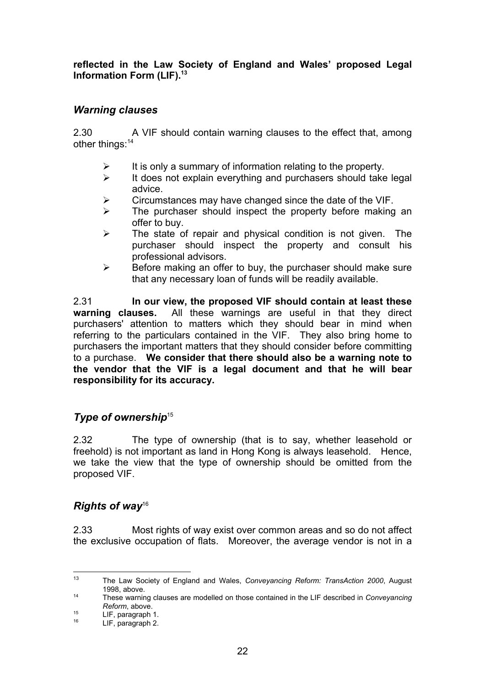**reflected in the Law Society of England and Wales' proposed Legal Information Form (LIF).13**

### *Warning clauses*

2.30 A VIF should contain warning clauses to the effect that, among other things:<sup>14</sup>

- $\triangleright$  It is only a summary of information relating to the property.
- $\triangleright$  It does not explain everything and purchasers should take legal advice.
- $\triangleright$  Circumstances may have changed since the date of the VIF.
- $\triangleright$  The purchaser should inspect the property before making an offer to buy.
- $\triangleright$  The state of repair and physical condition is not given. The purchaser should inspect the property and consult his professional advisors.
- $\triangleright$  Before making an offer to buy, the purchaser should make sure that any necessary loan of funds will be readily available.

2.31 **In our view, the proposed VIF should contain at least these warning clauses.** All these warnings are useful in that they direct purchasers' attention to matters which they should bear in mind when referring to the particulars contained in the VIF. They also bring home to purchasers the important matters that they should consider before committing to a purchase. **We consider that there should also be a warning note to the vendor that the VIF is a legal document and that he will bear responsibility for its accuracy.**

### **Type of ownership<sup>15</sup>**

2.32 The type of ownership (that is to say, whether leasehold or freehold) is not important as land in Hong Kong is always leasehold. Hence, we take the view that the type of ownership should be omitted from the proposed VIF.

### *Rights of way*<sup>16</sup>

2.33 Most rights of way exist over common areas and so do not affect the exclusive occupation of flats. Moreover, the average vendor is not in a

 $12$ <sup>13</sup> The Law Society of England and Wales, *Conveyancing Reform: TransAction 2000*, August 1998, above.

<sup>14</sup> These warning clauses are modelled on those contained in the LIF described in *Conveyancing Reform*, above.

 $15$  LIF, paragraph 1.

LIF, paragraph 2.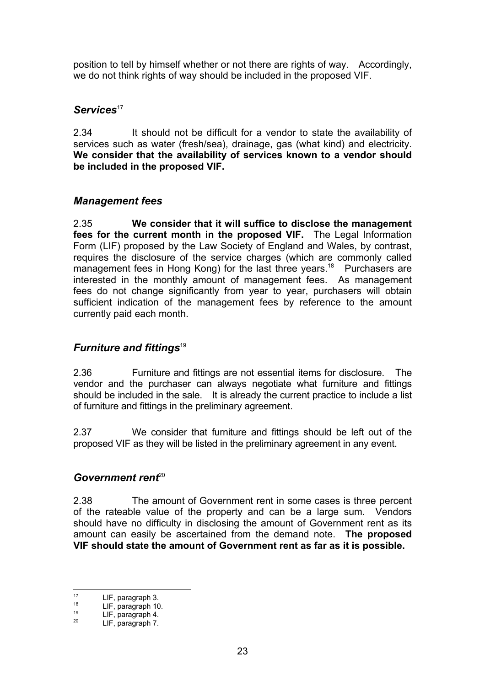position to tell by himself whether or not there are rights of way. Accordingly, we do not think rights of way should be included in the proposed VIF.

### Services<sup>17</sup>

2.34 It should not be difficult for a vendor to state the availability of services such as water (fresh/sea), drainage, gas (what kind) and electricity. **We consider that the availability of services known to a vendor should be included in the proposed VIF.**

### *Management fees*

2.35 **We consider that it will suffice to disclose the management fees for the current month in the proposed VIF.** The Legal Information Form (LIF) proposed by the Law Society of England and Wales, by contrast, requires the disclosure of the service charges (which are commonly called management fees in Hong Kong) for the last three years.<sup>18</sup> Purchasers are interested in the monthly amount of management fees. As management fees do not change significantly from year to year, purchasers will obtain sufficient indication of the management fees by reference to the amount currently paid each month.

### *Furniture and fittings<sup>19</sup>*

2.36 Furniture and fittings are not essential items for disclosure. The vendor and the purchaser can always negotiate what furniture and fittings should be included in the sale. It is already the current practice to include a list of furniture and fittings in the preliminary agreement.

2.37 We consider that furniture and fittings should be left out of the proposed VIF as they will be listed in the preliminary agreement in any event.

### Government rent<sup>20</sup>

2.38 The amount of Government rent in some cases is three percent of the rateable value of the property and can be a large sum. Vendors should have no difficulty in disclosing the amount of Government rent as its amount can easily be ascertained from the demand note. **The proposed VIF should state the amount of Government rent as far as it is possible.**

 $17$  $17$  LIF, paragraph 3.

 $18$  LIF, paragraph 10.

 $19$  LIF, paragraph 4.<br>  $115$  paragraph 7

LIF, paragraph 7.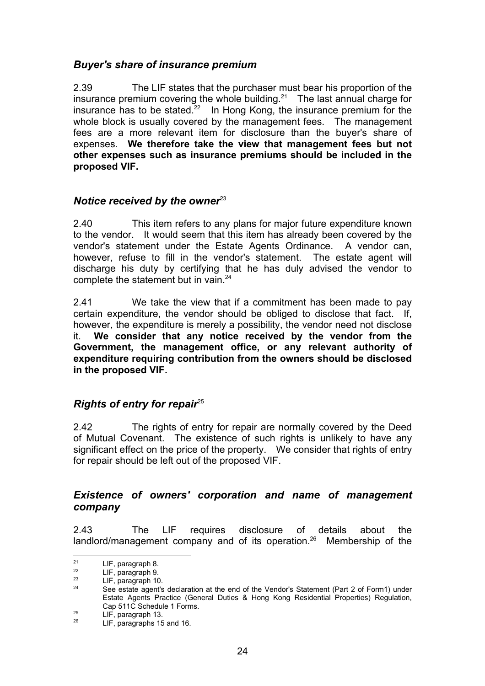### *Buyer's share of insurance premium*

2.39 The LIF states that the purchaser must bear his proportion of the insurance premium covering the whole building.<sup>21</sup> The last annual charge for insurance has to be stated.<sup>22</sup> In Hong Kong, the insurance premium for the whole block is usually covered by the management fees. The management fees are a more relevant item for disclosure than the buyer's share of expenses. **We therefore take the view that management fees but not other expenses such as insurance premiums should be included in the proposed VIF.**

### *Notice received by the owner*<sup>23</sup>

2.40 This item refers to any plans for major future expenditure known to the vendor. It would seem that this item has already been covered by the vendor's statement under the Estate Agents Ordinance. A vendor can, however, refuse to fill in the vendor's statement. The estate agent will discharge his duty by certifying that he has duly advised the vendor to complete the statement but in vain.<sup>24</sup>

2.41 We take the view that if a commitment has been made to pay certain expenditure, the vendor should be obliged to disclose that fact. If, however, the expenditure is merely a possibility, the vendor need not disclose it. **We consider that any notice received by the vendor from the Government, the management office, or any relevant authority of expenditure requiring contribution from the owners should be disclosed in the proposed VIF.**

### *Rights of entry for repair*<sup>25</sup>

2.42 The rights of entry for repair are normally covered by the Deed of Mutual Covenant. The existence of such rights is unlikely to have any significant effect on the price of the property. We consider that rights of entry for repair should be left out of the proposed VIF.

### *Existence of owners' corporation and name of management company*

2.43 The LIF requires disclosure of details about the landlord/management company and of its operation.<sup>26</sup> Membership of the

 $21$ <sup>21</sup> LIF, paragraph 8.

 $\frac{22}{23}$  LIF, paragraph 9.

 $^{23}$  LIF, paragraph 10.

See estate agent's declaration at the end of the Vendor's Statement (Part 2 of Form1) under Estate Agents Practice (General Duties & Hong Kong Residential Properties) Regulation, Cap 511C Schedule 1 Forms.

 $^{25}$  LIF, paragraph 13.

LIF, paragraphs 15 and 16.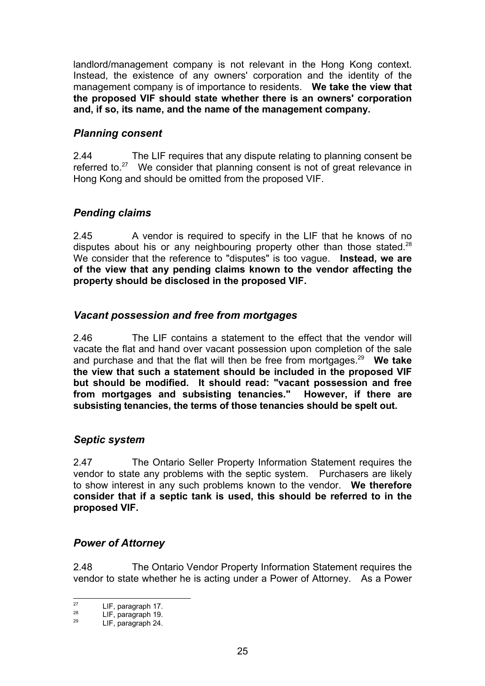landlord/management company is not relevant in the Hong Kong context. Instead, the existence of any owners' corporation and the identity of the management company is of importance to residents. **We take the view that the proposed VIF should state whether there is an owners' corporation and, if so, its name, and the name of the management company.**

### *Planning consent*

2.44 The LIF requires that any dispute relating to planning consent be referred to.<sup>27</sup> We consider that planning consent is not of great relevance in Hong Kong and should be omitted from the proposed VIF.

### *Pending claims*

2.45 A vendor is required to specify in the LIF that he knows of no disputes about his or any neighbouring property other than those stated.<sup>28</sup> We consider that the reference to "disputes" is too vague. **Instead, we are of the view that any pending claims known to the vendor affecting the property should be disclosed in the proposed VIF.**

### *Vacant possession and free from mortgages*

2.46 The LIF contains a statement to the effect that the vendor will vacate the flat and hand over vacant possession upon completion of the sale and purchase and that the flat will then be free from mortgages.29 **We take the view that such a statement should be included in the proposed VIF but should be modified. It should read: "vacant possession and free from mortgages and subsisting tenancies." However, if there are subsisting tenancies, the terms of those tenancies should be spelt out.**

### *Septic system*

2.47 The Ontario Seller Property Information Statement requires the vendor to state any problems with the septic system. Purchasers are likely to show interest in any such problems known to the vendor. **We therefore consider that if a septic tank is used, this should be referred to in the proposed VIF.**

### *Power of Attorney*

2.48 The Ontario Vendor Property Information Statement requires the vendor to state whether he is acting under a Power of Attorney. As a Power

 $27$  $27$  LIF, paragraph 17.<br> $28$  LIF paragraph 10.

 $28$  LIF, paragraph 19.

<sup>29</sup> LIF, paragraph 24.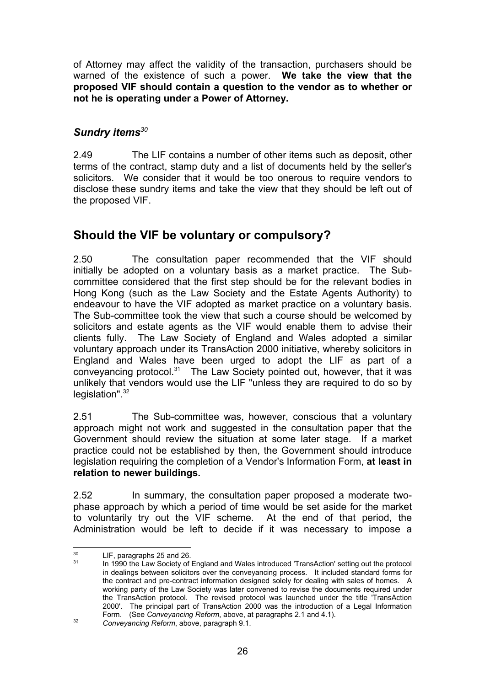of Attorney may affect the validity of the transaction, purchasers should be warned of the existence of such a power. **We take the view that the proposed VIF should contain a question to the vendor as to whether or not he is operating under a Power of Attorney.**

### *Sundry items<sup>30</sup>*

2.49 The LIF contains a number of other items such as deposit, other terms of the contract, stamp duty and a list of documents held by the seller's solicitors. We consider that it would be too onerous to require vendors to disclose these sundry items and take the view that they should be left out of the proposed VIF.

## **Should the VIF be voluntary or compulsory?**

2.50 The consultation paper recommended that the VIF should initially be adopted on a voluntary basis as a market practice. The Subcommittee considered that the first step should be for the relevant bodies in Hong Kong (such as the Law Society and the Estate Agents Authority) to endeavour to have the VIF adopted as market practice on a voluntary basis. The Sub-committee took the view that such a course should be welcomed by solicitors and estate agents as the VIF would enable them to advise their clients fully. The Law Society of England and Wales adopted a similar voluntary approach under its TransAction 2000 initiative, whereby solicitors in England and Wales have been urged to adopt the LIF as part of a conveyancing protocol.31 The Law Society pointed out, however, that it was unlikely that vendors would use the LIF "unless they are required to do so by legislation".<sup>32</sup>

2.51 The Sub-committee was, however, conscious that a voluntary approach might not work and suggested in the consultation paper that the Government should review the situation at some later stage. If a market practice could not be established by then, the Government should introduce legislation requiring the completion of a Vendor's Information Form, **at least in relation to newer buildings.**

2.52 In summary, the consultation paper proposed a moderate twophase approach by which a period of time would be set aside for the market to voluntarily try out the VIF scheme. At the end of that period, the Administration would be left to decide if it was necessary to impose a

 $30$  $^{30}$  LIF, paragraphs 25 and 26.

In 1990 the Law Society of England and Wales introduced 'TransAction' setting out the protocol in dealings between solicitors over the conveyancing process. It included standard forms for the contract and pre-contract information designed solely for dealing with sales of homes. A working party of the Law Society was later convened to revise the documents required under the TransAction protocol. The revised protocol was launched under the title 'TransAction 2000'. The principal part of TransAction 2000 was the introduction of a Legal Information Form. (See *Conveyancing Reform*, above, at paragraphs 2.1 and 4.1).

<sup>32</sup> *Conveyancing Reform*, above, paragraph 9.1.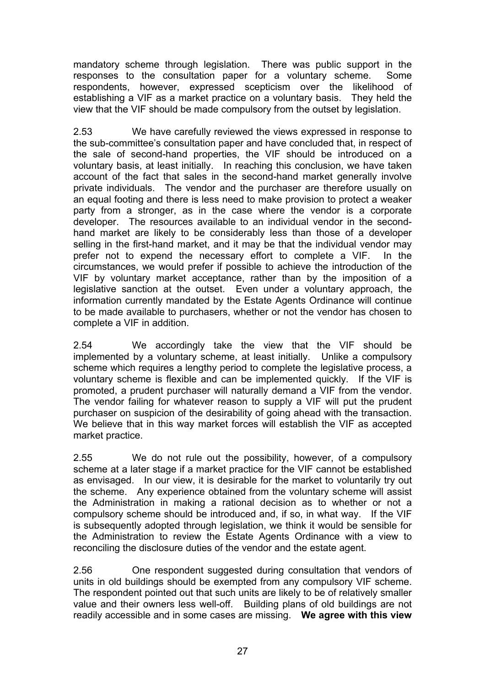mandatory scheme through legislation. There was public support in the responses to the consultation paper for a voluntary scheme. Some respondents, however, expressed scepticism over the likelihood of establishing a VIF as a market practice on a voluntary basis. They held the view that the VIF should be made compulsory from the outset by legislation.

2.53 We have carefully reviewed the views expressed in response to the sub-committee's consultation paper and have concluded that, in respect of the sale of second-hand properties, the VIF should be introduced on a voluntary basis, at least initially. In reaching this conclusion, we have taken account of the fact that sales in the second-hand market generally involve private individuals. The vendor and the purchaser are therefore usually on an equal footing and there is less need to make provision to protect a weaker party from a stronger, as in the case where the vendor is a corporate developer. The resources available to an individual vendor in the secondhand market are likely to be considerably less than those of a developer selling in the first-hand market, and it may be that the individual vendor may prefer not to expend the necessary effort to complete a VIF. In the circumstances, we would prefer if possible to achieve the introduction of the VIF by voluntary market acceptance, rather than by the imposition of a legislative sanction at the outset. Even under a voluntary approach, the information currently mandated by the Estate Agents Ordinance will continue to be made available to purchasers, whether or not the vendor has chosen to complete a VIF in addition.

2.54 We accordingly take the view that the VIF should be implemented by a voluntary scheme, at least initially. Unlike a compulsory scheme which requires a lengthy period to complete the legislative process, a voluntary scheme is flexible and can be implemented quickly. If the VIF is promoted, a prudent purchaser will naturally demand a VIF from the vendor. The vendor failing for whatever reason to supply a VIF will put the prudent purchaser on suspicion of the desirability of going ahead with the transaction. We believe that in this way market forces will establish the VIF as accepted market practice.

2.55 We do not rule out the possibility, however, of a compulsory scheme at a later stage if a market practice for the VIF cannot be established as envisaged. In our view, it is desirable for the market to voluntarily try out the scheme. Any experience obtained from the voluntary scheme will assist the Administration in making a rational decision as to whether or not a compulsory scheme should be introduced and, if so, in what way. If the VIF is subsequently adopted through legislation, we think it would be sensible for the Administration to review the Estate Agents Ordinance with a view to reconciling the disclosure duties of the vendor and the estate agent.

2.56 One respondent suggested during consultation that vendors of units in old buildings should be exempted from any compulsory VIF scheme. The respondent pointed out that such units are likely to be of relatively smaller value and their owners less well-off. Building plans of old buildings are not readily accessible and in some cases are missing. **We agree with this view**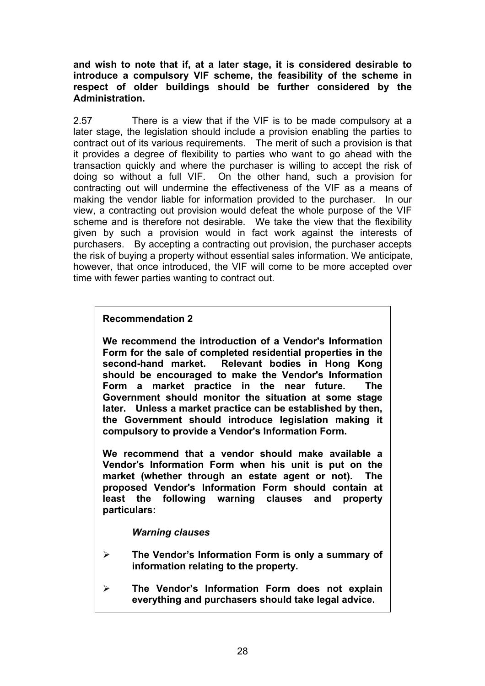**and wish to note that if, at a later stage, it is considered desirable to introduce a compulsory VIF scheme, the feasibility of the scheme in respect of older buildings should be further considered by the Administration.**

2.57 There is a view that if the VIF is to be made compulsory at a later stage, the legislation should include a provision enabling the parties to contract out of its various requirements. The merit of such a provision is that it provides a degree of flexibility to parties who want to go ahead with the transaction quickly and where the purchaser is willing to accept the risk of doing so without a full VIF. On the other hand, such a provision for contracting out will undermine the effectiveness of the VIF as a means of making the vendor liable for information provided to the purchaser. In our view, a contracting out provision would defeat the whole purpose of the VIF scheme and is therefore not desirable. We take the view that the flexibility given by such a provision would in fact work against the interests of purchasers. By accepting a contracting out provision, the purchaser accepts the risk of buying a property without essential sales information. We anticipate, however, that once introduced, the VIF will come to be more accepted over time with fewer parties wanting to contract out.

#### **Recommendation 2**

**We recommend the introduction of a Vendor's Information Form for the sale of completed residential properties in the second-hand market. Relevant bodies in Hong Kong should be encouraged to make the Vendor's Information Form a market practice in the near future. The Government should monitor the situation at some stage later. Unless a market practice can be established by then, the Government should introduce legislation making it compulsory to provide a Vendor's Information Form.**

**We recommend that a vendor should make available a Vendor's Information Form when his unit is put on the market (whether through an estate agent or not). The proposed Vendor's Information Form should contain at least the following warning clauses and property particulars:**

#### *Warning clauses*

- ¾ **The Vendor's Information Form is only a summary of information relating to the property.**
- ¾ **The Vendor's Information Form does not explain everything and purchasers should take legal advice.**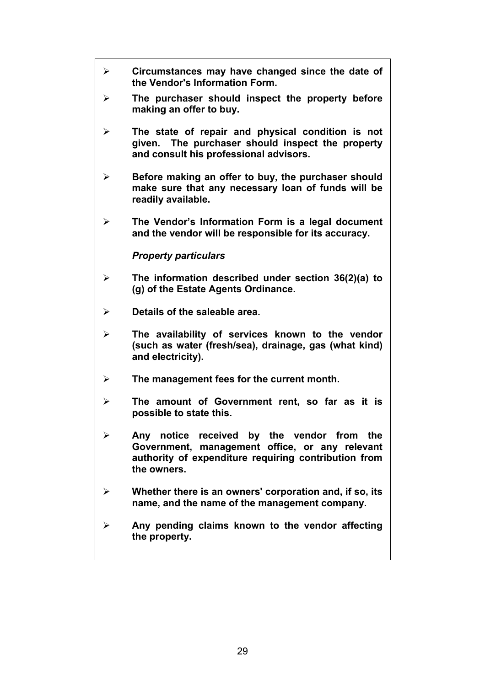| ≻ | Circumstances may have changed since the date of<br>the Vendor's Information Form.                                                                                     |
|---|------------------------------------------------------------------------------------------------------------------------------------------------------------------------|
| ➤ | The purchaser should inspect the property before<br>making an offer to buy.                                                                                            |
| ➤ | The state of repair and physical condition is not<br>given. The purchaser should inspect the property<br>and consult his professional advisors.                        |
| ➤ | Before making an offer to buy, the purchaser should<br>make sure that any necessary loan of funds will be<br>readily available.                                        |
| ➤ | The Vendor's Information Form is a legal document<br>and the vendor will be responsible for its accuracy.                                                              |
|   | <b>Property particulars</b>                                                                                                                                            |
| ≻ | The information described under section 36(2)(a) to<br>(g) of the Estate Agents Ordinance.                                                                             |
| ➤ | Details of the saleable area.                                                                                                                                          |
| ➤ | The availability of services known to the vendor<br>(such as water (fresh/sea), drainage, gas (what kind)<br>and electricity).                                         |
| ➤ | The management fees for the current month.                                                                                                                             |
| ➤ | The amount of Government rent, so far as it is<br>possible to state this.                                                                                              |
| ➤ | Any notice<br>received by the vendor from the<br>Government, management office, or any relevant<br>authority of expenditure requiring contribution from<br>the owners. |
|   | Whether there is an owners' corporation and, if so, its<br>name, and the name of the management company.                                                               |
| ➤ | Any pending claims known to the vendor affecting<br>the property.                                                                                                      |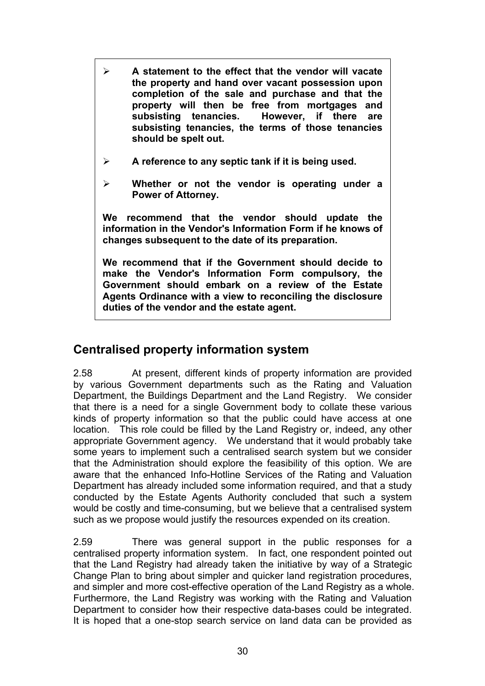- ¾ **A statement to the effect that the vendor will vacate the property and hand over vacant possession upon completion of the sale and purchase and that the property will then be free from mortgages and subsisting tenancies. However, if there are subsisting tenancies, the terms of those tenancies should be spelt out.**
- ¾ **A reference to any septic tank if it is being used.**
- ¾ **Whether or not the vendor is operating under a Power of Attorney.**

**We recommend that the vendor should update the information in the Vendor's Information Form if he knows of changes subsequent to the date of its preparation.**

**We recommend that if the Government should decide to make the Vendor's Information Form compulsory, the Government should embark on a review of the Estate Agents Ordinance with a view to reconciling the disclosure duties of the vendor and the estate agent.**

## **Centralised property information system**

2.58 At present, different kinds of property information are provided by various Government departments such as the Rating and Valuation Department, the Buildings Department and the Land Registry. We consider that there is a need for a single Government body to collate these various kinds of property information so that the public could have access at one location. This role could be filled by the Land Registry or, indeed, any other appropriate Government agency. We understand that it would probably take some years to implement such a centralised search system but we consider that the Administration should explore the feasibility of this option. We are aware that the enhanced Info-Hotline Services of the Rating and Valuation Department has already included some information required, and that a study conducted by the Estate Agents Authority concluded that such a system would be costly and time-consuming, but we believe that a centralised system such as we propose would justify the resources expended on its creation.

2.59 There was general support in the public responses for a centralised property information system. In fact, one respondent pointed out that the Land Registry had already taken the initiative by way of a Strategic Change Plan to bring about simpler and quicker land registration procedures, and simpler and more cost-effective operation of the Land Registry as a whole. Furthermore, the Land Registry was working with the Rating and Valuation Department to consider how their respective data-bases could be integrated. It is hoped that a one-stop search service on land data can be provided as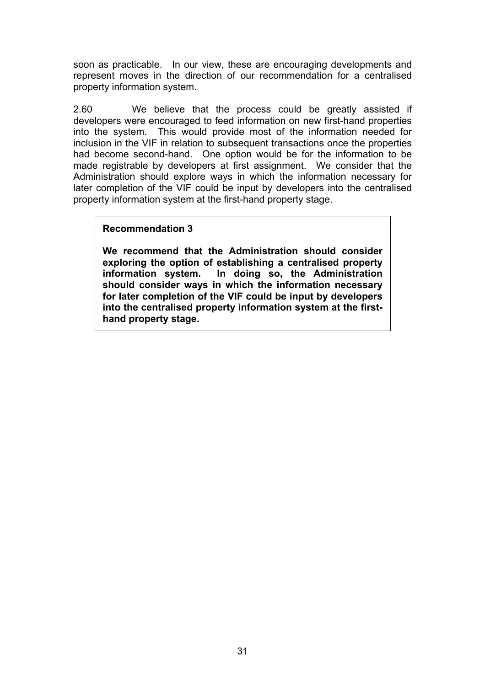soon as practicable. In our view, these are encouraging developments and represent moves in the direction of our recommendation for a centralised property information system.

2.60 We believe that the process could be greatly assisted if developers were encouraged to feed information on new first-hand properties into the system. This would provide most of the information needed for inclusion in the VIF in relation to subsequent transactions once the properties had become second-hand. One option would be for the information to be made registrable by developers at first assignment. We consider that the Administration should explore ways in which the information necessary for later completion of the VIF could be input by developers into the centralised property information system at the first-hand property stage.

#### **Recommendation 3**

**We recommend that the Administration should consider exploring the option of establishing a centralised property** In doing so, the Administration **should consider ways in which the information necessary for later completion of the VIF could be input by developers into the centralised property information system at the firsthand property stage.**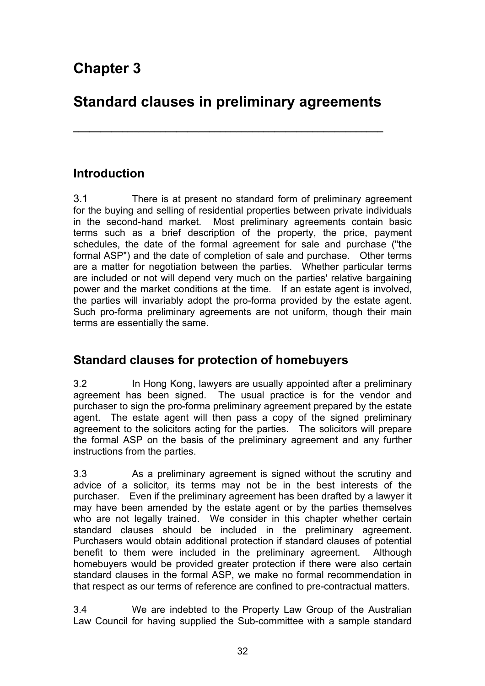# **Standard clauses in preliminary agreements**

**\_\_\_\_\_\_\_\_\_\_\_\_\_\_\_\_\_\_\_\_\_\_\_\_\_\_\_\_\_\_\_\_\_\_\_\_\_\_\_\_\_\_\_\_\_\_\_\_\_\_\_\_\_\_\_\_\_**

### **Introduction**

3.1 There is at present no standard form of preliminary agreement for the buying and selling of residential properties between private individuals in the second-hand market. Most preliminary agreements contain basic terms such as a brief description of the property, the price, payment schedules, the date of the formal agreement for sale and purchase ("the formal ASP") and the date of completion of sale and purchase. Other terms are a matter for negotiation between the parties. Whether particular terms are included or not will depend very much on the parties' relative bargaining power and the market conditions at the time. If an estate agent is involved, the parties will invariably adopt the pro-forma provided by the estate agent. Such pro-forma preliminary agreements are not uniform, though their main terms are essentially the same.

### **Standard clauses for protection of homebuyers**

3.2 In Hong Kong, lawyers are usually appointed after a preliminary agreement has been signed. The usual practice is for the vendor and purchaser to sign the pro-forma preliminary agreement prepared by the estate agent. The estate agent will then pass a copy of the signed preliminary agreement to the solicitors acting for the parties. The solicitors will prepare the formal ASP on the basis of the preliminary agreement and any further instructions from the parties.

3.3 As a preliminary agreement is signed without the scrutiny and advice of a solicitor, its terms may not be in the best interests of the purchaser. Even if the preliminary agreement has been drafted by a lawyer it may have been amended by the estate agent or by the parties themselves who are not legally trained. We consider in this chapter whether certain standard clauses should be included in the preliminary agreement. Purchasers would obtain additional protection if standard clauses of potential benefit to them were included in the preliminary agreement. Although homebuyers would be provided greater protection if there were also certain standard clauses in the formal ASP, we make no formal recommendation in that respect as our terms of reference are confined to pre-contractual matters.

3.4 We are indebted to the Property Law Group of the Australian Law Council for having supplied the Sub-committee with a sample standard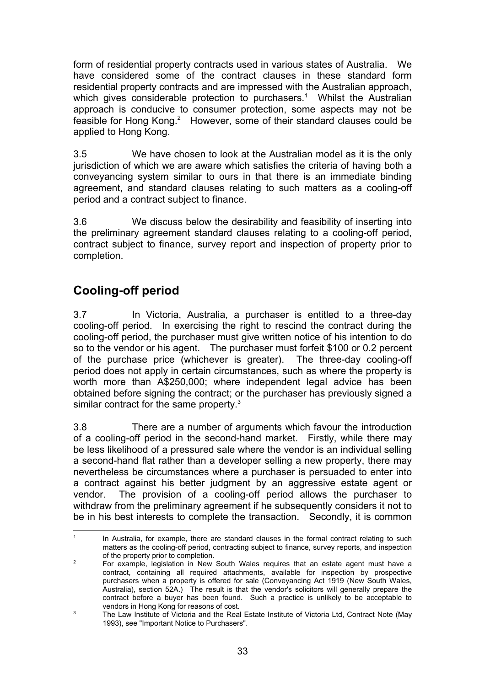form of residential property contracts used in various states of Australia. We have considered some of the contract clauses in these standard form residential property contracts and are impressed with the Australian approach, which gives considerable protection to purchasers.<sup>1</sup> Whilst the Australian approach is conducive to consumer protection, some aspects may not be feasible for Hong Kong.<sup>2</sup> However, some of their standard clauses could be applied to Hong Kong.

3.5 We have chosen to look at the Australian model as it is the only jurisdiction of which we are aware which satisfies the criteria of having both a conveyancing system similar to ours in that there is an immediate binding agreement, and standard clauses relating to such matters as a cooling-off period and a contract subject to finance.

3.6 We discuss below the desirability and feasibility of inserting into the preliminary agreement standard clauses relating to a cooling-off period, contract subject to finance, survey report and inspection of property prior to completion.

## **Cooling-off period**

3.7 In Victoria, Australia, a purchaser is entitled to a three-day cooling-off period. In exercising the right to rescind the contract during the cooling-off period, the purchaser must give written notice of his intention to do so to the vendor or his agent. The purchaser must forfeit \$100 or 0.2 percent of the purchase price (whichever is greater). The three-day cooling-off period does not apply in certain circumstances, such as where the property is worth more than A\$250,000; where independent legal advice has been obtained before signing the contract; or the purchaser has previously signed a similar contract for the same property.<sup>3</sup>

3.8 There are a number of arguments which favour the introduction of a cooling-off period in the second-hand market. Firstly, while there may be less likelihood of a pressured sale where the vendor is an individual selling a second-hand flat rather than a developer selling a new property, there may nevertheless be circumstances where a purchaser is persuaded to enter into a contract against his better judgment by an aggressive estate agent or vendor. The provision of a cooling-off period allows the purchaser to withdraw from the preliminary agreement if he subsequently considers it not to be in his best interests to complete the transaction. Secondly, it is common

<sup>|&</sup>lt;br>1 In Australia, for example, there are standard clauses in the formal contract relating to such matters as the cooling-off period, contracting subject to finance, survey reports, and inspection of the property prior to completion.

<sup>2</sup> For example, legislation in New South Wales requires that an estate agent must have a contract, containing all required attachments, available for inspection by prospective purchasers when a property is offered for sale (Conveyancing Act 1919 (New South Wales, Australia), section 52A.) The result is that the vendor's solicitors will generally prepare the contract before a buyer has been found. Such a practice is unlikely to be acceptable to vendors in Hong Kong for reasons of cost.

<sup>3</sup> The Law Institute of Victoria and the Real Estate Institute of Victoria Ltd, Contract Note (May 1993), see "Important Notice to Purchasers".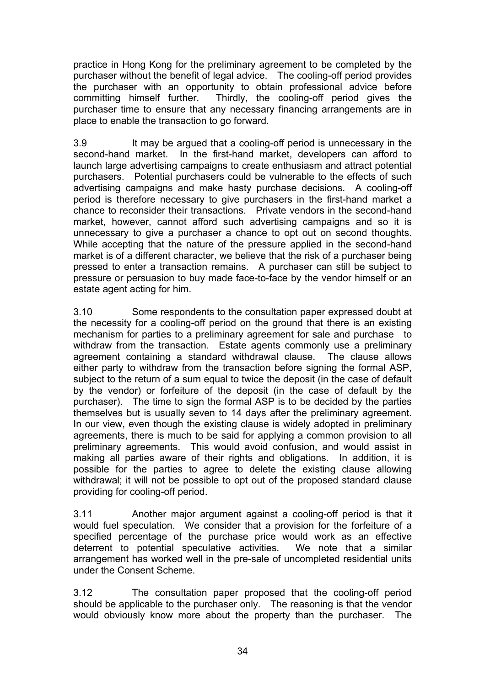practice in Hong Kong for the preliminary agreement to be completed by the purchaser without the benefit of legal advice. The cooling-off period provides the purchaser with an opportunity to obtain professional advice before committing himself further. Thirdly, the cooling-off period gives the purchaser time to ensure that any necessary financing arrangements are in place to enable the transaction to go forward.

3.9 It may be argued that a cooling-off period is unnecessary in the second-hand market. In the first-hand market, developers can afford to launch large advertising campaigns to create enthusiasm and attract potential purchasers. Potential purchasers could be vulnerable to the effects of such advertising campaigns and make hasty purchase decisions. A cooling-off period is therefore necessary to give purchasers in the first-hand market a chance to reconsider their transactions. Private vendors in the second-hand market, however, cannot afford such advertising campaigns and so it is unnecessary to give a purchaser a chance to opt out on second thoughts. While accepting that the nature of the pressure applied in the second-hand market is of a different character, we believe that the risk of a purchaser being pressed to enter a transaction remains. A purchaser can still be subject to pressure or persuasion to buy made face-to-face by the vendor himself or an estate agent acting for him.

3.10 Some respondents to the consultation paper expressed doubt at the necessity for a cooling-off period on the ground that there is an existing mechanism for parties to a preliminary agreement for sale and purchase to withdraw from the transaction. Estate agents commonly use a preliminary agreement containing a standard withdrawal clause. The clause allows either party to withdraw from the transaction before signing the formal ASP, subject to the return of a sum equal to twice the deposit (in the case of default by the vendor) or forfeiture of the deposit (in the case of default by the purchaser). The time to sign the formal ASP is to be decided by the parties themselves but is usually seven to 14 days after the preliminary agreement. In our view, even though the existing clause is widely adopted in preliminary agreements, there is much to be said for applying a common provision to all preliminary agreements. This would avoid confusion, and would assist in making all parties aware of their rights and obligations. In addition, it is possible for the parties to agree to delete the existing clause allowing withdrawal; it will not be possible to opt out of the proposed standard clause providing for cooling-off period.

3.11 Another major argument against a cooling-off period is that it would fuel speculation. We consider that a provision for the forfeiture of a specified percentage of the purchase price would work as an effective deterrent to potential speculative activities. We note that a similar arrangement has worked well in the pre-sale of uncompleted residential units under the Consent Scheme.

3.12 The consultation paper proposed that the cooling-off period should be applicable to the purchaser only. The reasoning is that the vendor would obviously know more about the property than the purchaser. The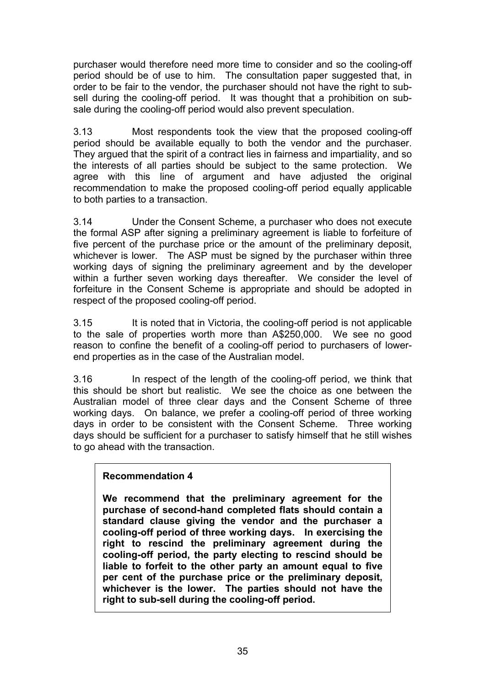purchaser would therefore need more time to consider and so the cooling-off period should be of use to him. The consultation paper suggested that, in order to be fair to the vendor, the purchaser should not have the right to subsell during the cooling-off period. It was thought that a prohibition on subsale during the cooling-off period would also prevent speculation.

3.13 Most respondents took the view that the proposed cooling-off period should be available equally to both the vendor and the purchaser. They argued that the spirit of a contract lies in fairness and impartiality, and so the interests of all parties should be subject to the same protection. We agree with this line of argument and have adjusted the original recommendation to make the proposed cooling-off period equally applicable to both parties to a transaction.

3.14 Under the Consent Scheme, a purchaser who does not execute the formal ASP after signing a preliminary agreement is liable to forfeiture of five percent of the purchase price or the amount of the preliminary deposit, whichever is lower. The ASP must be signed by the purchaser within three working days of signing the preliminary agreement and by the developer within a further seven working days thereafter. We consider the level of forfeiture in the Consent Scheme is appropriate and should be adopted in respect of the proposed cooling-off period.

3.15 It is noted that in Victoria, the cooling-off period is not applicable to the sale of properties worth more than A\$250,000.We see no good reason to confine the benefit of a cooling-off period to purchasers of lowerend properties as in the case of the Australian model.

3.16 In respect of the length of the cooling-off period, we think that this should be short but realistic. We see the choice as one between the Australian model of three clear days and the Consent Scheme of three working days. On balance, we prefer a cooling-off period of three working days in order to be consistent with the Consent Scheme. Three working days should be sufficient for a purchaser to satisfy himself that he still wishes to go ahead with the transaction.

#### **Recommendation 4**

**We recommend that the preliminary agreement for the purchase of second-hand completed flats should contain a standard clause giving the vendor and the purchaser a cooling-off period of three working days. In exercising the right to rescind the preliminary agreement during the cooling-off period, the party electing to rescind should be liable to forfeit to the other party an amount equal to five per cent of the purchase price or the preliminary deposit, whichever is the lower. The parties should not have the right to sub-sell during the cooling-off period.**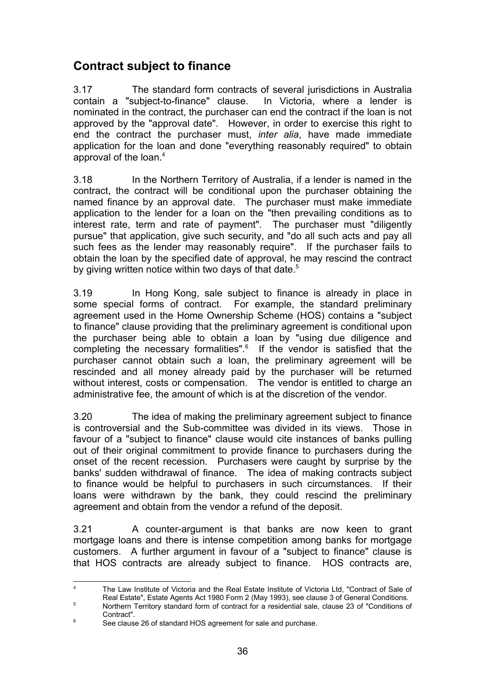## **Contract subject to finance**

3.17 The standard form contracts of several jurisdictions in Australia contain a "subject-to-finance" clause. In Victoria, where a lender is nominated in the contract, the purchaser can end the contract if the loan is not approved by the "approval date". However, in order to exercise this right to end the contract the purchaser must, *inter alia*, have made immediate application for the loan and done "everything reasonably required" to obtain approval of the loan.<sup>4</sup>

3.18 In the Northern Territory of Australia, if a lender is named in the contract, the contract will be conditional upon the purchaser obtaining the named finance by an approval date. The purchaser must make immediate application to the lender for a loan on the "then prevailing conditions as to interest rate, term and rate of payment". The purchaser must "diligently pursue" that application, give such security, and "do all such acts and pay all such fees as the lender may reasonably require". If the purchaser fails to obtain the loan by the specified date of approval, he may rescind the contract by giving written notice within two days of that date.<sup>5</sup>

3.19 In Hong Kong, sale subject to finance is already in place in some special forms of contract. For example, the standard preliminary agreement used in the Home Ownership Scheme (HOS) contains a "subject to finance" clause providing that the preliminary agreement is conditional upon the purchaser being able to obtain a loan by "using due diligence and completing the necessary formalities".<sup>6</sup> If the vendor is satisfied that the purchaser cannot obtain such a loan, the preliminary agreement will be rescinded and all money already paid by the purchaser will be returned without interest, costs or compensation. The vendor is entitled to charge an administrative fee, the amount of which is at the discretion of the vendor.

3.20 The idea of making the preliminary agreement subject to finance is controversial and the Sub-committee was divided in its views. Those in favour of a "subject to finance" clause would cite instances of banks pulling out of their original commitment to provide finance to purchasers during the onset of the recent recession. Purchasers were caught by surprise by the banks' sudden withdrawal of finance. The idea of making contracts subject to finance would be helpful to purchasers in such circumstances. If their loans were withdrawn by the bank, they could rescind the preliminary agreement and obtain from the vendor a refund of the deposit.

3.21 A counter-argument is that banks are now keen to grant mortgage loans and there is intense competition among banks for mortgage customers. A further argument in favour of a "subject to finance" clause is that HOS contracts are already subject to finance. HOS contracts are,

ــ<br>4 The Law Institute of Victoria and the Real Estate Institute of Victoria Ltd, "Contract of Sale of Real Estate", Estate Agents Act 1980 Form 2 (May 1993), see clause 3 of General Conditions. 5 Northern Territory standard form of contract for a residential sale, clause 23 of "Conditions of Contract".

<sup>6</sup> See clause 26 of standard HOS agreement for sale and purchase.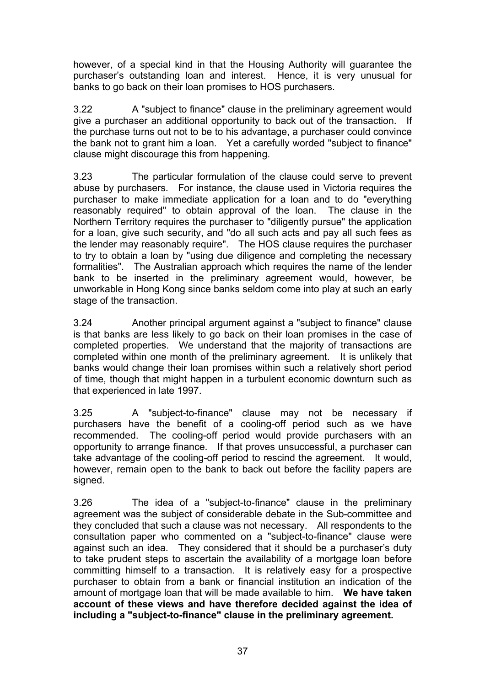however, of a special kind in that the Housing Authority will guarantee the purchaser's outstanding loan and interest. Hence, it is very unusual for banks to go back on their loan promises to HOS purchasers.

3.22 A "subject to finance" clause in the preliminary agreement would give a purchaser an additional opportunity to back out of the transaction. If the purchase turns out not to be to his advantage, a purchaser could convince the bank not to grant him a loan. Yet a carefully worded "subject to finance" clause might discourage this from happening.

3.23 The particular formulation of the clause could serve to prevent abuse by purchasers. For instance, the clause used in Victoria requires the purchaser to make immediate application for a loan and to do "everything reasonably required" to obtain approval of the loan. The clause in the Northern Territory requires the purchaser to "diligently pursue" the application for a loan, give such security, and "do all such acts and pay all such fees as the lender may reasonably require". The HOS clause requires the purchaser to try to obtain a loan by "using due diligence and completing the necessary formalities". The Australian approach which requires the name of the lender bank to be inserted in the preliminary agreement would, however, be unworkable in Hong Kong since banks seldom come into play at such an early stage of the transaction.

3.24 Another principal argument against a "subject to finance" clause is that banks are less likely to go back on their loan promises in the case of completed properties. We understand that the majority of transactions are completed within one month of the preliminary agreement. It is unlikely that banks would change their loan promises within such a relatively short period of time, though that might happen in a turbulent economic downturn such as that experienced in late 1997.

3.25 A "subject-to-finance" clause may not be necessary if purchasers have the benefit of a cooling-off period such as we have recommended. The cooling-off period would provide purchasers with an opportunity to arrange finance. If that proves unsuccessful, a purchaser can take advantage of the cooling-off period to rescind the agreement. It would, however, remain open to the bank to back out before the facility papers are signed.

3.26 The idea of a "subject-to-finance" clause in the preliminary agreement was the subject of considerable debate in the Sub-committee and they concluded that such a clause was not necessary. All respondents to the consultation paper who commented on a "subject-to-finance" clause were against such an idea. They considered that it should be a purchaser's duty to take prudent steps to ascertain the availability of a mortgage loan before committing himself to a transaction. It is relatively easy for a prospective purchaser to obtain from a bank or financial institution an indication of the amount of mortgage loan that will be made available to him. **We have taken account of these views and have therefore decided against the idea of including a "subject-to-finance" clause in the preliminary agreement.**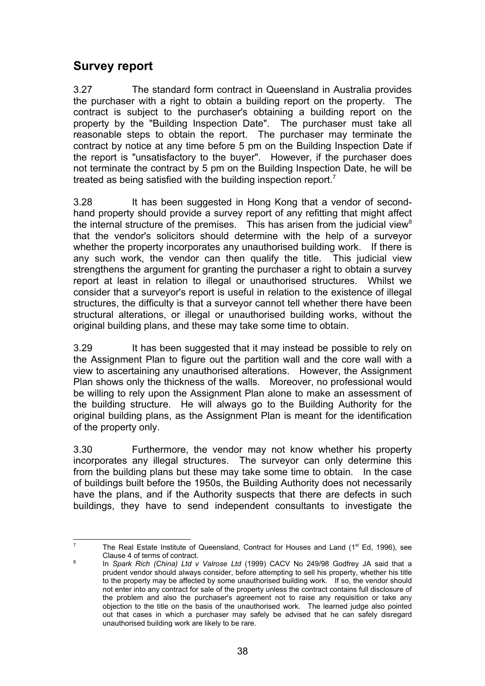### **Survey report**

3.27 The standard form contract in Queensland in Australia provides the purchaser with a right to obtain a building report on the property. The contract is subject to the purchaser's obtaining a building report on the property by the "Building Inspection Date". The purchaser must take all reasonable steps to obtain the report. The purchaser may terminate the contract by notice at any time before 5 pm on the Building Inspection Date if the report is "unsatisfactory to the buyer". However, if the purchaser does not terminate the contract by 5 pm on the Building Inspection Date, he will be treated as being satisfied with the building inspection report.<sup>7</sup>

3.28 It has been suggested in Hong Kong that a vendor of secondhand property should provide a survey report of any refitting that might affect the internal structure of the premises. This has arisen from the judicial view<sup>8</sup> that the vendor's solicitors should determine with the help of a surveyor whether the property incorporates any unauthorised building work. If there is any such work, the vendor can then qualify the title. This judicial view strengthens the argument for granting the purchaser a right to obtain a survey report at least in relation to illegal or unauthorised structures. Whilst we consider that a surveyor's report is useful in relation to the existence of illegal structures, the difficulty is that a surveyor cannot tell whether there have been structural alterations, or illegal or unauthorised building works, without the original building plans, and these may take some time to obtain.

3.29 It has been suggested that it may instead be possible to rely on the Assignment Plan to figure out the partition wall and the core wall with a view to ascertaining any unauthorised alterations. However, the Assignment Plan shows only the thickness of the walls. Moreover, no professional would be willing to rely upon the Assignment Plan alone to make an assessment of the building structure. He will always go to the Building Authority for the original building plans, as the Assignment Plan is meant for the identification of the property only.

3.30 Furthermore, the vendor may not know whether his property incorporates any illegal structures. The surveyor can only determine this from the building plans but these may take some time to obtain. In the case of buildings built before the 1950s, the Building Authority does not necessarily have the plans, and if the Authority suspects that there are defects in such buildings, they have to send independent consultants to investigate the

<sup>-&</sup>lt;br>7 The Real Estate Institute of Queensland, Contract for Houses and Land  $(1<sup>st</sup> Ed, 1996)$ , see Clause 4 of terms of contract. 8

In *Spark Rich (China) Ltd v Valrose Ltd* (1999) CACV No 249/98 Godfrey JA said that a prudent vendor should always consider, before attempting to sell his property, whether his title to the property may be affected by some unauthorised building work. If so, the vendor should not enter into any contract for sale of the property unless the contract contains full disclosure of the problem and also the purchaser's agreement not to raise any requisition or take any objection to the title on the basis of the unauthorised work. The learned judge also pointed out that cases in which a purchaser may safely be advised that he can safely disregard unauthorised building work are likely to be rare.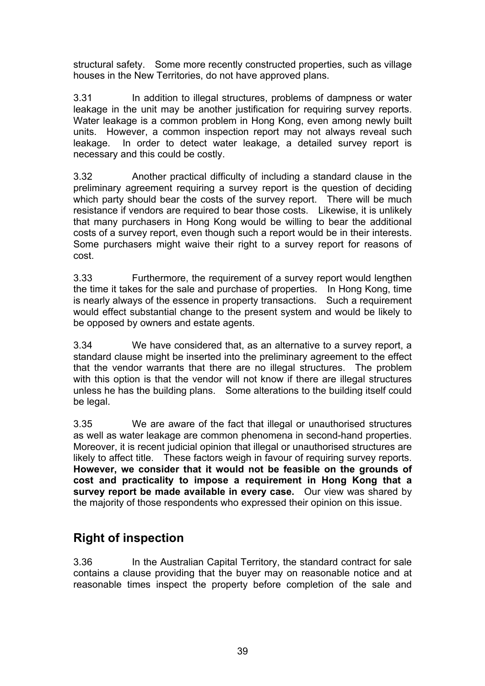structural safety. Some more recently constructed properties, such as village houses in the New Territories, do not have approved plans.

3.31 In addition to illegal structures, problems of dampness or water leakage in the unit may be another justification for requiring survey reports. Water leakage is a common problem in Hong Kong, even among newly built units. However, a common inspection report may not always reveal such leakage. In order to detect water leakage, a detailed survey report is necessary and this could be costly.

3.32 Another practical difficulty of including a standard clause in the preliminary agreement requiring a survey report is the question of deciding which party should bear the costs of the survey report. There will be much resistance if vendors are required to bear those costs. Likewise, it is unlikely that many purchasers in Hong Kong would be willing to bear the additional costs of a survey report, even though such a report would be in their interests. Some purchasers might waive their right to a survey report for reasons of cost.

3.33 Furthermore, the requirement of a survey report would lengthen the time it takes for the sale and purchase of properties. In Hong Kong, time is nearly always of the essence in property transactions. Such a requirement would effect substantial change to the present system and would be likely to be opposed by owners and estate agents.

3.34 We have considered that, as an alternative to a survey report, a standard clause might be inserted into the preliminary agreement to the effect that the vendor warrants that there are no illegal structures. The problem with this option is that the vendor will not know if there are illegal structures unless he has the building plans. Some alterations to the building itself could be legal.

3.35 We are aware of the fact that illegal or unauthorised structures as well as water leakage are common phenomena in second-hand properties. Moreover, it is recent judicial opinion that illegal or unauthorised structures are likely to affect title. These factors weigh in favour of requiring survey reports. **However, we consider that it would not be feasible on the grounds of cost and practicality to impose a requirement in Hong Kong that a survey report be made available in every case.** Our view was shared by the majority of those respondents who expressed their opinion on this issue.

# **Right of inspection**

3.36 In the Australian Capital Territory, the standard contract for sale contains a clause providing that the buyer may on reasonable notice and at reasonable times inspect the property before completion of the sale and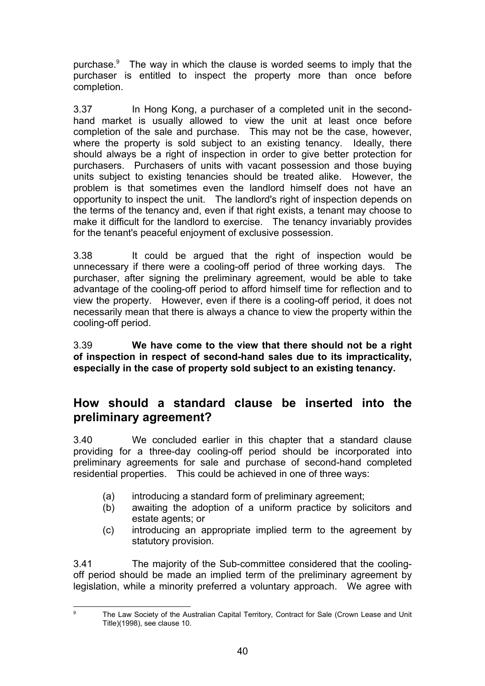purchase.<sup>9</sup> The way in which the clause is worded seems to imply that the purchaser is entitled to inspect the property more than once before completion.

3.37 In Hong Kong, a purchaser of a completed unit in the secondhand market is usually allowed to view the unit at least once before completion of the sale and purchase. This may not be the case, however, where the property is sold subject to an existing tenancy. Ideally, there should always be a right of inspection in order to give better protection for purchasers. Purchasers of units with vacant possession and those buying units subject to existing tenancies should be treated alike. However, the problem is that sometimes even the landlord himself does not have an opportunity to inspect the unit. The landlord's right of inspection depends on the terms of the tenancy and, even if that right exists, a tenant may choose to make it difficult for the landlord to exercise. The tenancy invariably provides for the tenant's peaceful enjoyment of exclusive possession.

3.38 It could be argued that the right of inspection would be unnecessary if there were a cooling-off period of three working days. The purchaser, after signing the preliminary agreement, would be able to take advantage of the cooling-off period to afford himself time for reflection and to view the property. However, even if there is a cooling-off period, it does not necessarily mean that there is always a chance to view the property within the cooling-off period.

3.39 **We have come to the view that there should not be a right of inspection in respect of second-hand sales due to its impracticality, especially in the case of property sold subject to an existing tenancy.**

### **How should a standard clause be inserted into the preliminary agreement?**

3.40 We concluded earlier in this chapter that a standard clause providing for a three-day cooling-off period should be incorporated into preliminary agreements for sale and purchase of second-hand completed residential properties. This could be achieved in one of three ways:

- (a) introducing a standard form of preliminary agreement;
- (b) awaiting the adoption of a uniform practice by solicitors and estate agents; or
- (c) introducing an appropriate implied term to the agreement by statutory provision.

3.41 The majority of the Sub-committee considered that the coolingoff period should be made an implied term of the preliminary agreement by legislation, while a minority preferred a voluntary approach. We agree with

-<br>9

The Law Society of the Australian Capital Territory, Contract for Sale (Crown Lease and Unit Title)(1998), see clause 10.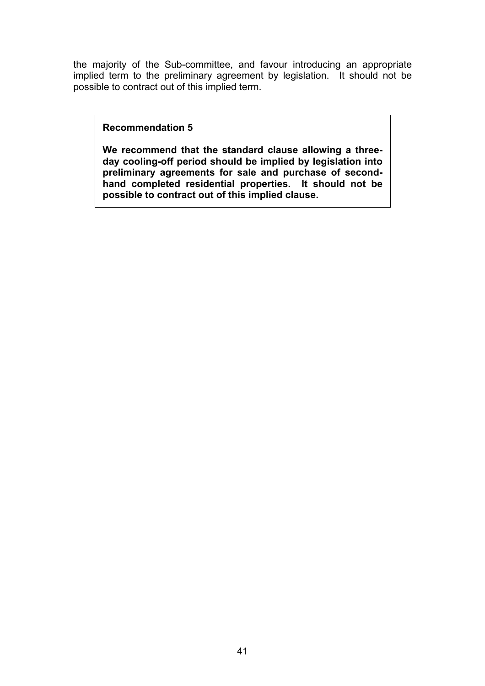the majority of the Sub-committee, and favour introducing an appropriate implied term to the preliminary agreement by legislation. It should not be possible to contract out of this implied term.

#### **Recommendation 5**

**We recommend that the standard clause allowing a threeday cooling-off period should be implied by legislation into** preliminary agreements for sale and purchase of second**hand completed residential properties. It should not be possible to contract out of this implied clause.**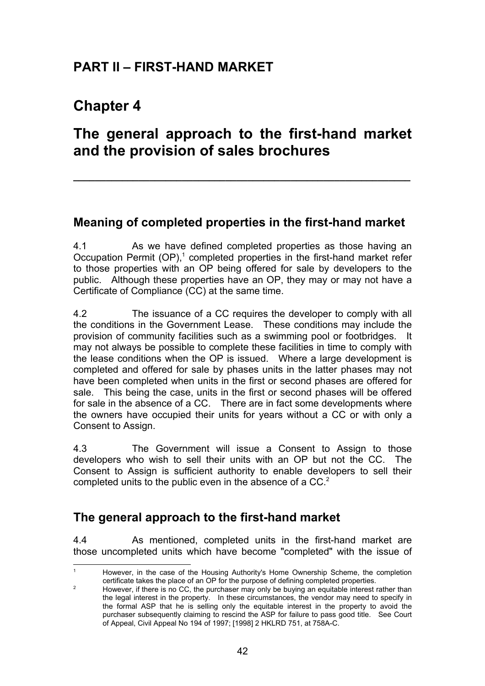# **PART II – FIRST-HAND MARKET**

# **Chapter 4**

# **The general approach to the first-hand market and the provision of sales brochures**

**\_\_\_\_\_\_\_\_\_\_\_\_\_\_\_\_\_\_\_\_\_\_\_\_\_\_\_\_\_\_\_\_\_\_\_\_\_\_\_\_\_\_\_\_\_\_\_\_\_\_\_\_\_\_\_\_\_\_\_\_\_\_**

### **Meaning of completed properties in the first-hand market**

4.1 As we have defined completed properties as those having an Occupation Permit  $(OP)$ ,<sup>1</sup> completed properties in the first-hand market refer to those properties with an OP being offered for sale by developers to the public. Although these properties have an OP, they may or may not have a Certificate of Compliance (CC) at the same time.

4.2 The issuance of a CC requires the developer to comply with all the conditions in the Government Lease. These conditions may include the provision of community facilities such as a swimming pool or footbridges. It may not always be possible to complete these facilities in time to comply with the lease conditions when the OP is issued. Where a large development is completed and offered for sale by phases units in the latter phases may not have been completed when units in the first or second phases are offered for sale. This being the case, units in the first or second phases will be offered for sale in the absence of a CC. There are in fact some developments where the owners have occupied their units for years without a CC or with only a Consent to Assign.

4.3 The Government will issue a Consent to Assign to those developers who wish to sell their units with an OP but not the CC. The Consent to Assign is sufficient authority to enable developers to sell their completed units to the public even in the absence of a CC.<sup>2</sup>

### **The general approach to the first-hand market**

4.4 As mentioned, completed units in the first-hand market are those uncompleted units which have become "completed" with the issue of

 $\overline{1}$  However, in the case of the Housing Authority's Home Ownership Scheme, the completion certificate takes the place of an OP for the purpose of defining completed properties.

 $\overline{2}$  However, if there is no CC, the purchaser may only be buying an equitable interest rather than the legal interest in the property. In these circumstances, the vendor may need to specify in the formal ASP that he is selling only the equitable interest in the property to avoid the purchaser subsequently claiming to rescind the ASP for failure to pass good title. See Court of Appeal, Civil Appeal No 194 of 1997; [1998] 2 HKLRD 751, at 758A-C.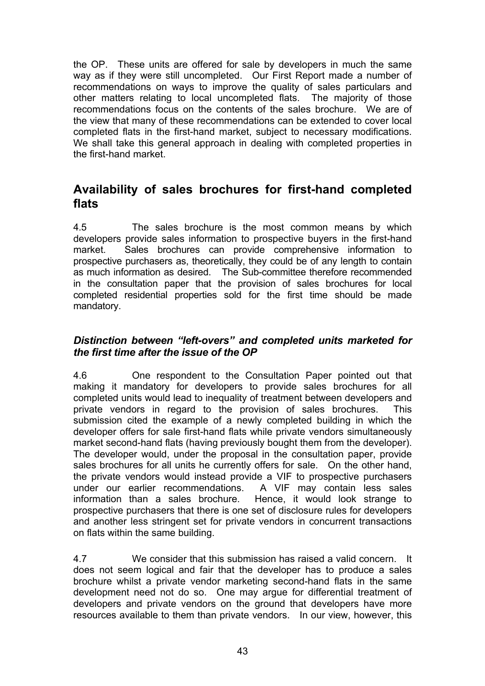the OP. These units are offered for sale by developers in much the same way as if they were still uncompleted. Our First Report made a number of recommendations on ways to improve the quality of sales particulars and other matters relating to local uncompleted flats. The majority of those recommendations focus on the contents of the sales brochure. We are of the view that many of these recommendations can be extended to cover local completed flats in the first-hand market, subject to necessary modifications. We shall take this general approach in dealing with completed properties in the first-hand market.

### **Availability of sales brochures for first-hand completed flats**

4.5 The sales brochure is the most common means by which developers provide sales information to prospective buyers in the first-hand market. Sales brochures can provide comprehensive information to prospective purchasers as, theoretically, they could be of any length to contain as much information as desired. The Sub-committee therefore recommended in the consultation paper that the provision of sales brochures for local completed residential properties sold for the first time should be made mandatory.

#### *Distinction between "left-overs" and completed units marketed for the first time after the issue of the OP*

4.6 One respondent to the Consultation Paper pointed out that making it mandatory for developers to provide sales brochures for all completed units would lead to inequality of treatment between developers and private vendors in regard to the provision of sales brochures. This submission cited the example of a newly completed building in which the developer offers for sale first-hand flats while private vendors simultaneously market second-hand flats (having previously bought them from the developer). The developer would, under the proposal in the consultation paper, provide sales brochures for all units he currently offers for sale. On the other hand, the private vendors would instead provide a VIF to prospective purchasers under our earlier recommendations. A VIF may contain less sales information than a sales brochure. Hence, it would look strange to prospective purchasers that there is one set of disclosure rules for developers and another less stringent set for private vendors in concurrent transactions on flats within the same building.

4.7 We consider that this submission has raised a valid concern. It does not seem logical and fair that the developer has to produce a sales brochure whilst a private vendor marketing second-hand flats in the same development need not do so. One may argue for differential treatment of developers and private vendors on the ground that developers have more resources available to them than private vendors. In our view, however, this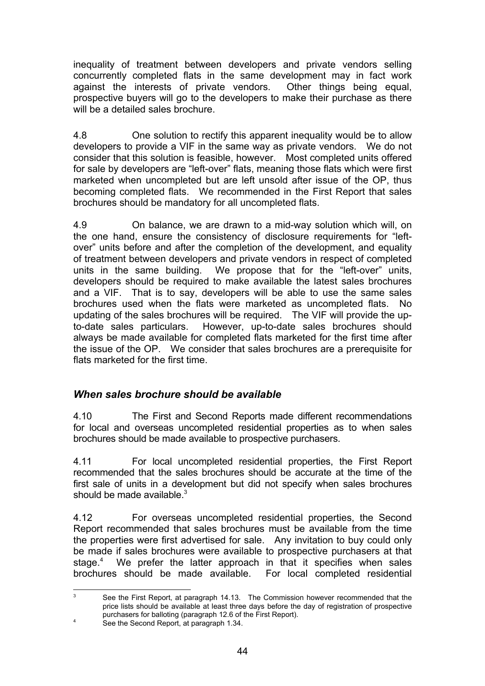inequality of treatment between developers and private vendors selling concurrently completed flats in the same development may in fact work against the interests of private vendors. Other things being equal, prospective buyers will go to the developers to make their purchase as there will be a detailed sales brochure.

4.8 One solution to rectify this apparent inequality would be to allow developers to provide a VIF in the same way as private vendors. We do not consider that this solution is feasible, however. Most completed units offered for sale by developers are "left-over" flats, meaning those flats which were first marketed when uncompleted but are left unsold after issue of the OP, thus becoming completed flats. We recommended in the First Report that sales brochures should be mandatory for all uncompleted flats.

4.9 On balance, we are drawn to a mid-way solution which will, on the one hand, ensure the consistency of disclosure requirements for "leftover" units before and after the completion of the development, and equality of treatment between developers and private vendors in respect of completed units in the same building. We propose that for the "left-over" units, developers should be required to make available the latest sales brochures and a VIF. That is to say, developers will be able to use the same sales brochures used when the flats were marketed as uncompleted flats. No updating of the sales brochures will be required. The VIF will provide the upto-date sales particulars. However, up-to-date sales brochures should always be made available for completed flats marketed for the first time after the issue of the OP. We consider that sales brochures are a prerequisite for flats marketed for the first time.

#### *When sales brochure should be available*

4.10 The First and Second Reports made different recommendations for local and overseas uncompleted residential properties as to when sales brochures should be made available to prospective purchasers.

4.11 For local uncompleted residential properties, the First Report recommended that the sales brochures should be accurate at the time of the first sale of units in a development but did not specify when sales brochures should be made available. $3$ 

4.12 For overseas uncompleted residential properties, the Second Report recommended that sales brochures must be available from the time the properties were first advertised for sale. Any invitation to buy could only be made if sales brochures were available to prospective purchasers at that stage.<sup>4</sup> We prefer the latter approach in that it specifies when sales brochures should be made available. For local completed residential

<sup>-&</sup>lt;br>3 See the First Report, at paragraph 14.13. The Commission however recommended that the price lists should be available at least three days before the day of registration of prospective purchasers for balloting (paragraph 12.6 of the First Report). 4 See the Second Report, at paragraph 1.34.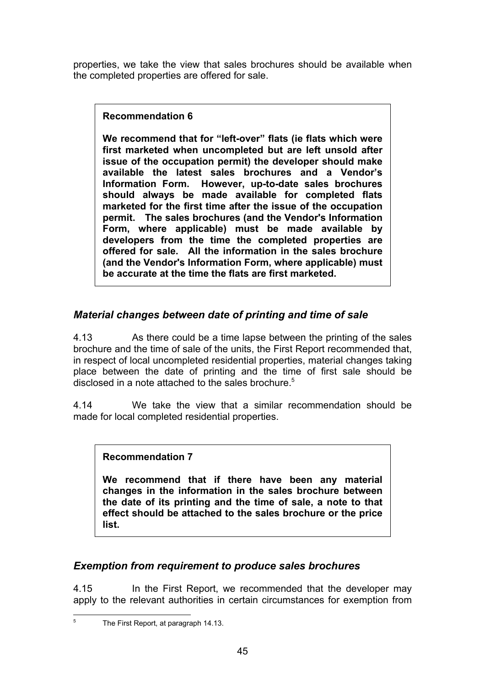properties, we take the view that sales brochures should be available when the completed properties are offered for sale.

#### **Recommendation 6**

**We recommend that for "left-over" flats (ie flats which were first marketed when uncompleted but are left unsold after issue of the occupation permit) the developer should make available the latest sales brochures and a Vendor's Information Form. However, up-to-date sales brochures should always be made available for completed flats marketed for the first time after the issue of the occupation permit. The sales brochures (and the Vendor's Information Form, where applicable) must be made available by developers from the time the completed properties are offered for sale. All the information in the sales brochure (and the Vendor's Information Form, where applicable) must be accurate at the time the flats are first marketed.**

### *Material changes between date of printing and time of sale*

4.13 As there could be a time lapse between the printing of the sales brochure and the time of sale of the units, the First Report recommended that, in respect of local uncompleted residential properties, material changes taking place between the date of printing and the time of first sale should be disclosed in a note attached to the sales brochure.<sup>5</sup>

4.14 We take the view that a similar recommendation should be made for local completed residential properties.

#### **Recommendation 7**

**We recommend that if there have been any material changes in the information in the sales brochure between the date of its printing and the time of sale, a note to that effect should be attached to the sales brochure or the price list.**

#### *Exemption from requirement to produce sales brochures*

4.15 In the First Report, we recommended that the developer may apply to the relevant authorities in certain circumstances for exemption from

 5 The First Report, at paragraph 14.13.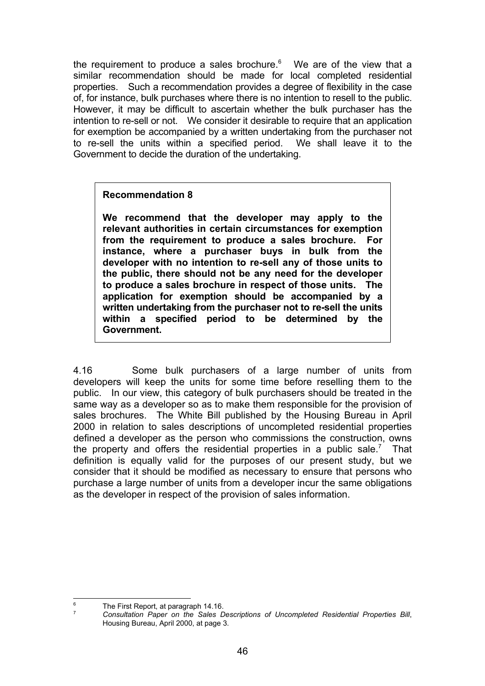the requirement to produce a sales brochure. $6$  We are of the view that a similar recommendation should be made for local completed residential properties. Such a recommendation provides a degree of flexibility in the case of, for instance, bulk purchases where there is no intention to resell to the public. However, it may be difficult to ascertain whether the bulk purchaser has the intention to re-sell or not. We consider it desirable to require that an application for exemption be accompanied by a written undertaking from the purchaser not to re-sell the units within a specified period. We shall leave it to the Government to decide the duration of the undertaking.

#### **Recommendation 8**

**We recommend that the developer may apply to the relevant authorities in certain circumstances for exemption from the requirement to produce a sales brochure. For instance, where a purchaser buys in bulk from the developer with no intention to re-sell any of those units to the public, there should not be any need for the developer to produce a sales brochure in respect of those units. The application for exemption should be accompanied by a written undertaking from the purchaser not to re-sell the units within a specified period to be determined by the Government.**

4.16 Some bulk purchasers of a large number of units from developers will keep the units for some time before reselling them to the public. In our view, this category of bulk purchasers should be treated in the same way as a developer so as to make them responsible for the provision of sales brochures. The White Bill published by the Housing Bureau in April 2000 in relation to sales descriptions of uncompleted residential properties defined a developer as the person who commissions the construction, owns the property and offers the residential properties in a public sale.<sup>7</sup> That definition is equally valid for the purposes of our present study, but we consider that it should be modified as necessary to ensure that persons who purchase a large number of units from a developer incur the same obligations as the developer in respect of the provision of sales information.

 6 The First Report, at paragraph 14.16.

<sup>7</sup> *Consultation Paper on the Sales Descriptions of Uncompleted Residential Properties Bill*, Housing Bureau, April 2000, at page 3.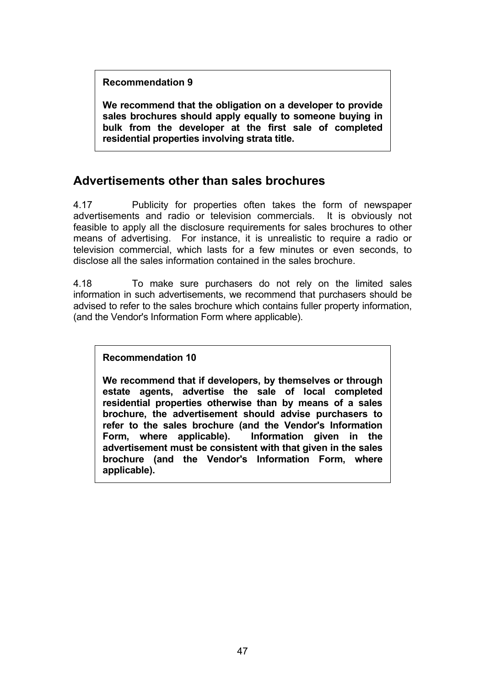**Recommendation 9**

**We recommend that the obligation on a developer to provide sales brochures should apply equally to someone buying in bulk from the developer at the first sale of completed residential properties involving strata title.**

### **Advertisements other than sales brochures**

4.17 Publicity for properties often takes the form of newspaper advertisements and radio or television commercials. It is obviously not feasible to apply all the disclosure requirements for sales brochures to other means of advertising. For instance, it is unrealistic to require a radio or television commercial, which lasts for a few minutes or even seconds, to disclose all the sales information contained in the sales brochure.

4.18 To make sure purchasers do not rely on the limited sales information in such advertisements, we recommend that purchasers should be advised to refer to the sales brochure which contains fuller property information, (and the Vendor's Information Form where applicable).

#### **Recommendation 10**

**We recommend that if developers, by themselves or through estate agents, advertise the sale of local completed residential properties otherwise than by means of a sales brochure, the advertisement should advise purchasers to refer to the sales brochure (and the Vendor's Information Form, where applicable). Information given in the advertisement must be consistent with that given in the sales brochure (and the Vendor's Information Form, where applicable).**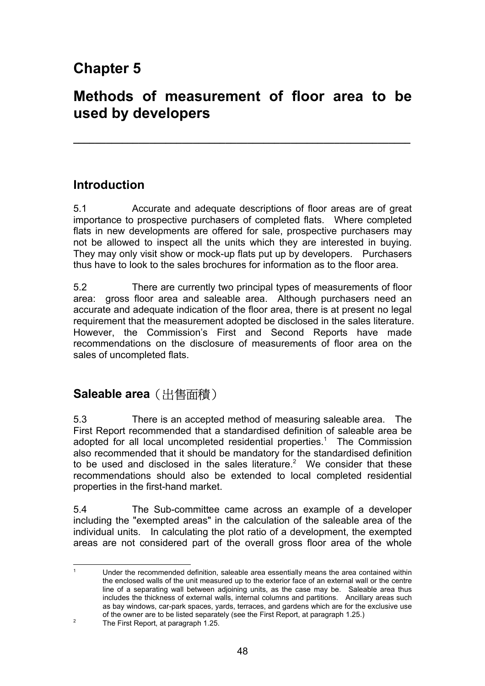# **Chapter 5**

# **Methods of measurement of floor area to be used by developers**

**\_\_\_\_\_\_\_\_\_\_\_\_\_\_\_\_\_\_\_\_\_\_\_\_\_\_\_\_\_\_\_\_\_\_\_\_\_\_\_\_\_\_\_\_\_\_\_\_\_\_\_\_\_\_\_\_\_\_\_\_\_\_**

### **Introduction**

5.1 Accurate and adequate descriptions of floor areas are of great importance to prospective purchasers of completed flats. Where completed flats in new developments are offered for sale, prospective purchasers may not be allowed to inspect all the units which they are interested in buying. They may only visit show or mock-up flats put up by developers. Purchasers thus have to look to the sales brochures for information as to the floor area.

5.2 There are currently two principal types of measurements of floor area: gross floor area and saleable area. Although purchasers need an accurate and adequate indication of the floor area, there is at present no legal requirement that the measurement adopted be disclosed in the sales literature. However, the Commission's First and Second Reports have made recommendations on the disclosure of measurements of floor area on the sales of uncompleted flats.

# **Saleable area** (出售面積)

5.3 There is an accepted method of measuring saleable area. The First Report recommended that a standardised definition of saleable area be adopted for all local uncompleted residential properties.<sup>1</sup> The Commission also recommended that it should be mandatory for the standardised definition to be used and disclosed in the sales literature.<sup>2</sup> We consider that these recommendations should also be extended to local completed residential properties in the first-hand market.

5.4 The Sub-committee came across an example of a developer including the "exempted areas" in the calculation of the saleable area of the individual units. In calculating the plot ratio of a development, the exempted areas are not considered part of the overall gross floor area of the whole

 $\overline{1}$  Under the recommended definition, saleable area essentially means the area contained within the enclosed walls of the unit measured up to the exterior face of an external wall or the centre line of a separating wall between adjoining units, as the case may be. Saleable area thus includes the thickness of external walls, internal columns and partitions. Ancillary areas such as bay windows, car-park spaces, yards, terraces, and gardens which are for the exclusive use of the owner are to be listed separately (see the First Report, at paragraph 1.25.)

<sup>2</sup> The First Report, at paragraph 1.25.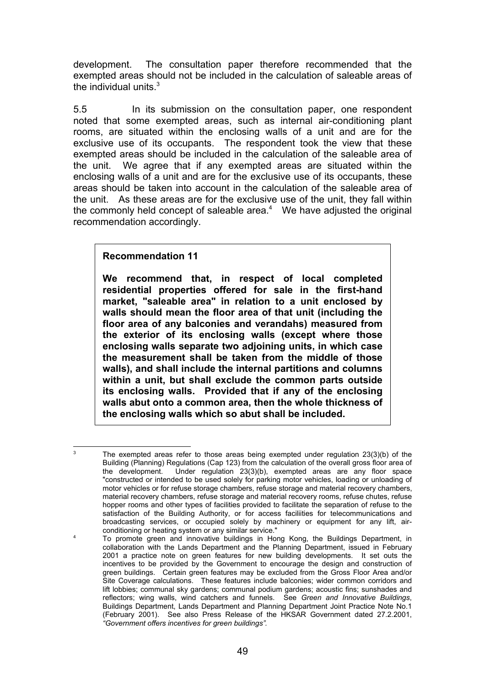development. The consultation paper therefore recommended that the exempted areas should not be included in the calculation of saleable areas of the individual units. $3$ 

5.5 In its submission on the consultation paper, one respondent noted that some exempted areas, such as internal air-conditioning plant rooms, are situated within the enclosing walls of a unit and are for the exclusive use of its occupants. The respondent took the view that these exempted areas should be included in the calculation of the saleable area of the unit. We agree that if any exempted areas are situated within the enclosing walls of a unit and are for the exclusive use of its occupants, these areas should be taken into account in the calculation of the saleable area of the unit. As these areas are for the exclusive use of the unit, they fall within the commonly held concept of saleable area. $4$  We have adjusted the original recommendation accordingly.

#### **Recommendation 11**

3

4

**We recommend that, in respect of local completed residential properties offered for sale in the first-hand market, "saleable area" in relation to a unit enclosed by walls should mean the floor area of that unit (including the floor area of any balconies and verandahs) measured from the exterior of its enclosing walls (except where those enclosing walls separate two adjoining units, in which case the measurement shall be taken from the middle of those walls), and shall include the internal partitions and columns within a unit, but shall exclude the common parts outside its enclosing walls. Provided that if any of the enclosing walls abut onto a common area, then the whole thickness of the enclosing walls which so abut shall be included.**

The exempted areas refer to those areas being exempted under regulation 23(3)(b) of the Building (Planning) Regulations (Cap 123) from the calculation of the overall gross floor area of the development. Under regulation 23(3)(b), exempted areas are any floor space "constructed or intended to be used solely for parking motor vehicles, loading or unloading of motor vehicles or for refuse storage chambers, refuse storage and material recovery chambers, material recovery chambers, refuse storage and material recovery rooms, refuse chutes, refuse hopper rooms and other types of facilities provided to facilitate the separation of refuse to the satisfaction of the Building Authority, or for access faciliities for telecommunications and broadcasting services, or occupied solely by machinery or equipment for any lift, airconditioning or heating system or any similar service."

To promote green and innovative buildings in Hong Kong, the Buildings Department, in collaboration with the Lands Department and the Planning Department, issued in February 2001 a practice note on green features for new building developments. It set outs the incentives to be provided by the Government to encourage the design and construction of green buildings. Certain green features may be excluded from the Gross Floor Area and/or Site Coverage calculations. These features include balconies; wider common corridors and lift lobbies; communal sky gardens; communal podium gardens; acoustic fins; sunshades and reflectors; wing walls, wind catchers and funnels. See *Green and Innovative Buildings*, Buildings Department, Lands Department and Planning Department Joint Practice Note No.1 (February 2001). See also Press Release of the HKSAR Government dated 27.2.2001, *"Government offers incentives for green buildings".*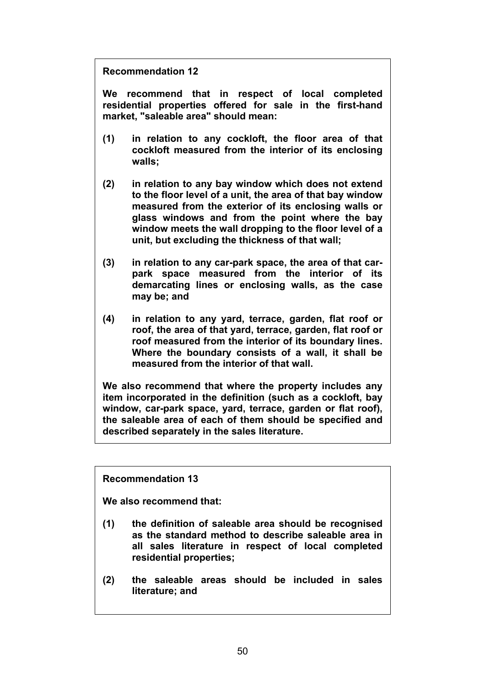**Recommendation 12**

**We recommend that in respect of local completed residential properties offered for sale in the first-hand market, "saleable area" should mean:**

- **(1) in relation to any cockloft, the floor area of that cockloft measured from the interior of its enclosing walls;**
- **(2) in relation to any bay window which does not extend to the floor level of a unit, the area of that bay window measured from the exterior of its enclosing walls or glass windows and from the point where the bay window meets the wall dropping to the floor level of a unit, but excluding the thickness of that wall;**
- **(3) in relation to any car-park space, the area of that carpark space measured from the interior of its demarcating lines or enclosing walls, as the case may be; and**
- **(4) in relation to any yard, terrace, garden, flat roof or roof, the area of that yard, terrace, garden, flat roof or roof measured from the interior of its boundary lines. Where the boundary consists of a wall, it shall be measured from the interior of that wall.**

**We also recommend that where the property includes any item incorporated in the definition (such as a cockloft, bay window, car-park space, yard, terrace, garden or flat roof), the saleable area of each of them should be specified and described separately in the sales literature.**

**Recommendation 13**

**We also recommend that:**

- **(1) the definition of saleable area should be recognised as the standard method to describe saleable area in all sales literature in respect of local completed residential properties;**
- **(2) the saleable areas should be included in sales literature; and**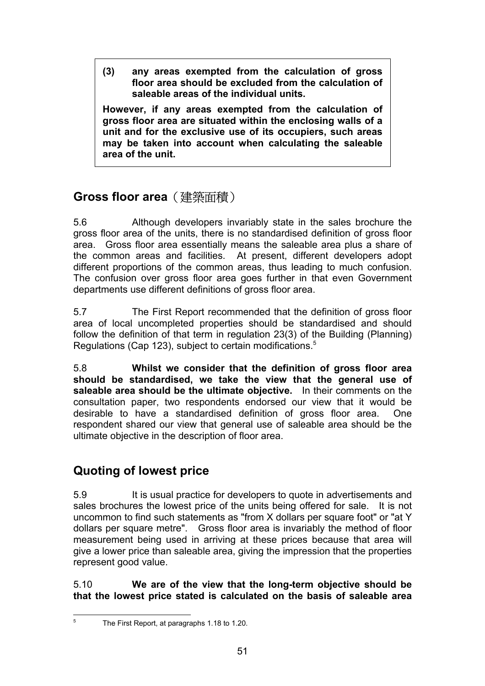**(3) any areas exempted from the calculation of gross floor area should be excluded from the calculation of saleable areas of the individual units.**

**However, if any areas exempted from the calculation of gross floor area are situated within the enclosing walls of a unit and for the exclusive use of its occupiers, such areas may be taken into account when calculating the saleable area of the unit.**

# **Gross floor area**(建築面積)

5.6 Although developers invariably state in the sales brochure the gross floor area of the units, there is no standardised definition of gross floor area. Gross floor area essentially means the saleable area plus a share of the common areas and facilities. At present, different developers adopt different proportions of the common areas, thus leading to much confusion. The confusion over gross floor area goes further in that even Government departments use different definitions of gross floor area.

5.7 The First Report recommended that the definition of gross floor area of local uncompleted properties should be standardised and should follow the definition of that term in regulation 23(3) of the Building (Planning) Regulations (Cap 123), subject to certain modifications.<sup>5</sup>

5.8 **Whilst we consider that the definition of gross floor area should be standardised, we take the view that the general use of saleable area should be the ultimate objective.** In their comments on the consultation paper, two respondents endorsed our view that it would be desirable to have a standardised definition of gross floor area. One respondent shared our view that general use of saleable area should be the ultimate objective in the description of floor area.

# **Quoting of lowest price**

5.9 It is usual practice for developers to quote in advertisements and sales brochures the lowest price of the units being offered for sale. It is not uncommon to find such statements as "from X dollars per square foot" or "at Y dollars per square metre". Gross floor area is invariably the method of floor measurement being used in arriving at these prices because that area will give a lower price than saleable area, giving the impression that the properties represent good value.

5.10 **We are of the view that the long-term objective should be that the lowest price stated is calculated on the basis of saleable area**

 5 The First Report, at paragraphs 1.18 to 1.20.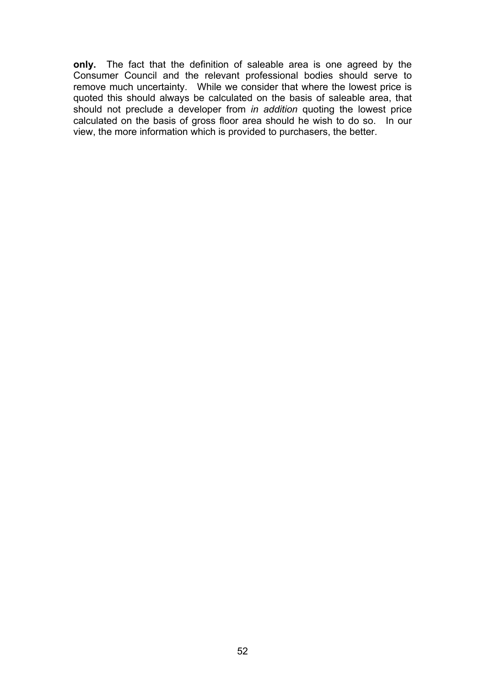**only.** The fact that the definition of saleable area is one agreed by the Consumer Council and the relevant professional bodies should serve to remove much uncertainty. While we consider that where the lowest price is quoted this should always be calculated on the basis of saleable area, that should not preclude a developer from *in addition* quoting the lowest price calculated on the basis of gross floor area should he wish to do so. In our view, the more information which is provided to purchasers, the better.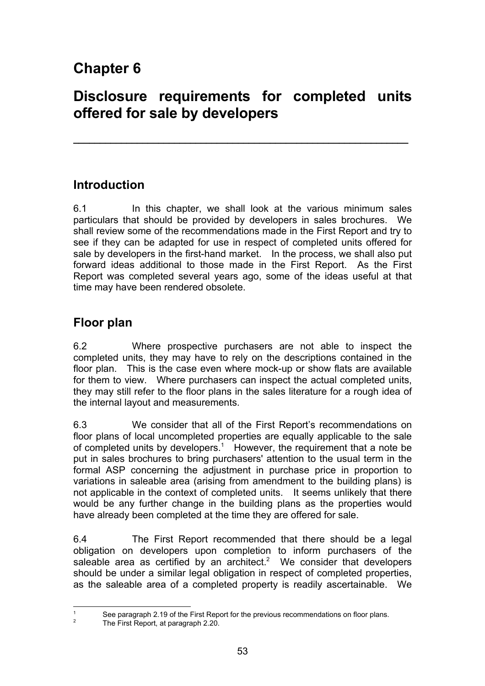# **Chapter 6**

# **Disclosure requirements for completed units offered for sale by developers**

**\_\_\_\_\_\_\_\_\_\_\_\_\_\_\_\_\_\_\_\_\_\_\_\_\_\_\_\_\_\_\_\_\_\_\_\_\_\_\_\_\_\_\_\_\_\_\_\_\_\_\_\_\_\_\_\_\_\_\_\_\_\_\_**

### **Introduction**

6.1 In this chapter, we shall look at the various minimum sales particulars that should be provided by developers in sales brochures. We shall review some of the recommendations made in the First Report and try to see if they can be adapted for use in respect of completed units offered for sale by developers in the first-hand market. In the process, we shall also put forward ideas additional to those made in the First Report. As the First Report was completed several years ago, some of the ideas useful at that time may have been rendered obsolete.

## **Floor plan**

6.2 Where prospective purchasers are not able to inspect the completed units, they may have to rely on the descriptions contained in the floor plan. This is the case even where mock-up or show flats are available for them to view. Where purchasers can inspect the actual completed units, they may still refer to the floor plans in the sales literature for a rough idea of the internal layout and measurements.

6.3 We consider that all of the First Report's recommendations on floor plans of local uncompleted properties are equally applicable to the sale of completed units by developers.<sup>1</sup> However, the requirement that a note be put in sales brochures to bring purchasers' attention to the usual term in the formal ASP concerning the adjustment in purchase price in proportion to variations in saleable area (arising from amendment to the building plans) is not applicable in the context of completed units. It seems unlikely that there would be any further change in the building plans as the properties would have already been completed at the time they are offered for sale.

6.4 The First Report recommended that there should be a legal obligation on developers upon completion to inform purchasers of the saleable area as certified by an architect.<sup>2</sup> We consider that developers should be under a similar legal obligation in respect of completed properties, as the saleable area of a completed property is readily ascertainable. We

 $\overline{1}$ 

See paragraph 2.19 of the First Report for the previous recommendations on floor plans.

<sup>2</sup> The First Report, at paragraph 2.20.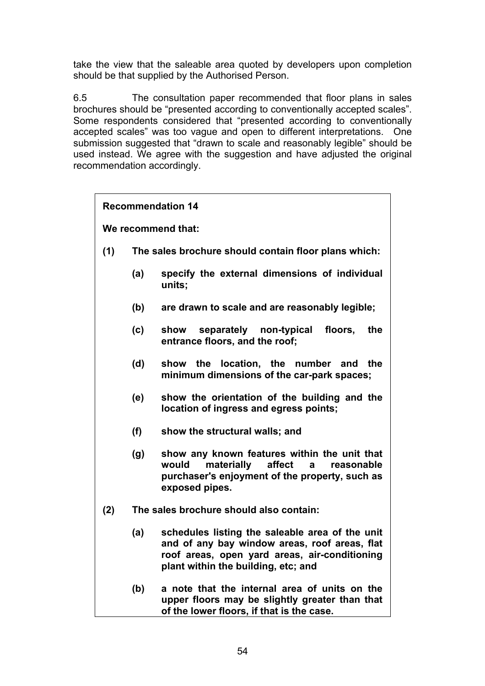take the view that the saleable area quoted by developers upon completion should be that supplied by the Authorised Person.

6.5 The consultation paper recommended that floor plans in sales brochures should be "presented according to conventionally accepted scales". Some respondents considered that "presented according to conventionally accepted scales" was too vague and open to different interpretations. One submission suggested that "drawn to scale and reasonably legible" should be used instead. We agree with the suggestion and have adjusted the original recommendation accordingly.

| <b>Recommendation 14</b> |                                                      |                                                                                                                                                                                          |
|--------------------------|------------------------------------------------------|------------------------------------------------------------------------------------------------------------------------------------------------------------------------------------------|
| We recommend that:       |                                                      |                                                                                                                                                                                          |
| (1)                      | The sales brochure should contain floor plans which: |                                                                                                                                                                                          |
|                          | (a)                                                  | specify the external dimensions of individual<br>units;                                                                                                                                  |
|                          | (b)                                                  | are drawn to scale and are reasonably legible;                                                                                                                                           |
|                          | (c)                                                  | separately non-typical<br>floors,<br>the<br>show<br>entrance floors, and the roof;                                                                                                       |
|                          | (d)                                                  | the location, the number and<br>the<br>show<br>minimum dimensions of the car-park spaces;                                                                                                |
|                          | (e)                                                  | show the orientation of the building and the<br>location of ingress and egress points;                                                                                                   |
|                          | (f)                                                  | show the structural walls; and                                                                                                                                                           |
|                          | (g)                                                  | show any known features within the unit that<br>materially<br>affect<br>would<br>reasonable<br>a<br>purchaser's enjoyment of the property, such as<br>exposed pipes.                     |
| (2)                      | The sales brochure should also contain:              |                                                                                                                                                                                          |
|                          | (a)                                                  | schedules listing the saleable area of the unit<br>and of any bay window areas, roof areas, flat<br>roof areas, open yard areas, air-conditioning<br>plant within the building, etc; and |
|                          | (b)                                                  | a note that the internal area of units on the<br>upper floors may be slightly greater than that<br>of the lower floors, if that is the case.                                             |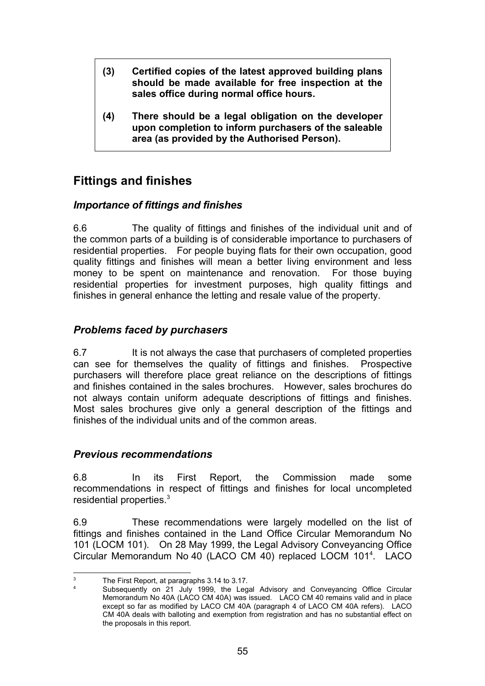- **(3) Certified copies of the latest approved building plans should be made available for free inspection at the sales office during normal office hours.**
- **(4) There should be a legal obligation on the developer upon completion to inform purchasers of the saleable area (as provided by the Authorised Person).**

## **Fittings and finishes**

#### *Importance of fittings and finishes*

6.6 The quality of fittings and finishes of the individual unit and of the common parts of a building is of considerable importance to purchasers of residential properties. For people buying flats for their own occupation, good quality fittings and finishes will mean a better living environment and less money to be spent on maintenance and renovation. For those buying residential properties for investment purposes, high quality fittings and finishes in general enhance the letting and resale value of the property.

#### *Problems faced by purchasers*

6.7 It is not always the case that purchasers of completed properties can see for themselves the quality of fittings and finishes. Prospective purchasers will therefore place great reliance on the descriptions of fittings and finishes contained in the sales brochures. However, sales brochures do not always contain uniform adequate descriptions of fittings and finishes. Most sales brochures give only a general description of the fittings and finishes of the individual units and of the common areas.

#### *Previous recommendations*

6.8 In its First Report, the Commission made some recommendations in respect of fittings and finishes for local uncompleted residential properties.<sup>3</sup>

6.9 These recommendations were largely modelled on the list of fittings and finishes contained in the Land Office Circular Memorandum No 101 (LOCM 101). On 28 May 1999, the Legal Advisory Conveyancing Office Circular Memorandum No 40 (LACO CM 40) replaced LOCM 101<sup>4</sup>. LACO

 3 The First Report, at paragraphs 3.14 to 3.17. 4

Subsequently on 21 July 1999, the Legal Advisory and Conveyancing Office Circular Memorandum No 40A (LACO CM 40A) was issued. LACO CM 40 remains valid and in place except so far as modified by LACO CM 40A (paragraph 4 of LACO CM 40A refers). LACO CM 40A deals with balloting and exemption from registration and has no substantial effect on the proposals in this report.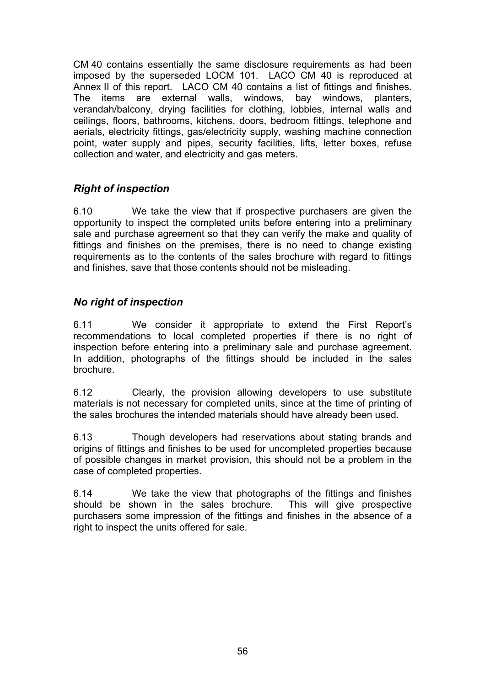CM 40 contains essentially the same disclosure requirements as had been imposed by the superseded LOCM 101. LACO CM 40 is reproduced at Annex II of this report. LACO CM 40 contains a list of fittings and finishes. The items are external walls, windows, bay windows, planters, verandah/balcony, drying facilities for clothing, lobbies, internal walls and ceilings, floors, bathrooms, kitchens, doors, bedroom fittings, telephone and aerials, electricity fittings, gas/electricity supply, washing machine connection point, water supply and pipes, security facilities, lifts, letter boxes, refuse collection and water, and electricity and gas meters.

#### *Right of inspection*

6.10 We take the view that if prospective purchasers are given the opportunity to inspect the completed units before entering into a preliminary sale and purchase agreement so that they can verify the make and quality of fittings and finishes on the premises, there is no need to change existing requirements as to the contents of the sales brochure with regard to fittings and finishes, save that those contents should not be misleading.

#### *No right of inspection*

6.11 We consider it appropriate to extend the First Report's recommendations to local completed properties if there is no right of inspection before entering into a preliminary sale and purchase agreement. In addition, photographs of the fittings should be included in the sales brochure.

6.12 Clearly, the provision allowing developers to use substitute materials is not necessary for completed units, since at the time of printing of the sales brochures the intended materials should have already been used.

6.13 Though developers had reservations about stating brands and origins of fittings and finishes to be used for uncompleted properties because of possible changes in market provision, this should not be a problem in the case of completed properties.

6.14 We take the view that photographs of the fittings and finishes should be shown in the sales brochure. This will give prospective purchasers some impression of the fittings and finishes in the absence of a right to inspect the units offered for sale.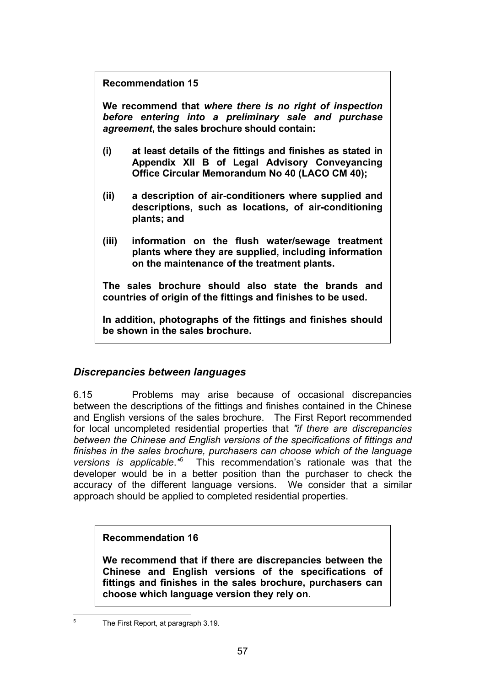**Recommendation 15**

**We recommend that** *where there is no right of inspection before entering into a preliminary sale and purchase agreement***, the sales brochure should contain:**

- **(i) at least details of the fittings and finishes as stated in Appendix XII B of Legal Advisory Conveyancing Office Circular Memorandum No 40 (LACO CM 40);**
- **(ii) a description of air-conditioners where supplied and descriptions, such as locations, of air-conditioning plants; and**
- **(iii) information on the flush water/sewage treatment plants where they are supplied, including information on the maintenance of the treatment plants.**

**The sales brochure should also state the brands and countries of origin of the fittings and finishes to be used.**

**In addition, photographs of the fittings and finishes should be shown in the sales brochure.**

### *Discrepancies between languages*

6.15 Problems may arise because of occasional discrepancies between the descriptions of the fittings and finishes contained in the Chinese and English versions of the sales brochure. The First Report recommended for local uncompleted residential properties that *"if there are discrepancies between the Chinese and English versions of the specifications of fittings and finishes in the sales brochure, purchasers can choose which of the language versions is applicable*.*"* 5 This recommendation's rationale was that the developer would be in a better position than the purchaser to check the accuracy of the different language versions. We consider that a similar approach should be applied to completed residential properties.

### **Recommendation 16**

**We recommend that if there are discrepancies between the Chinese and English versions of the specifications of fittings and finishes in the sales brochure, purchasers can choose which language version they rely on.**

5

The First Report, at paragraph 3.19.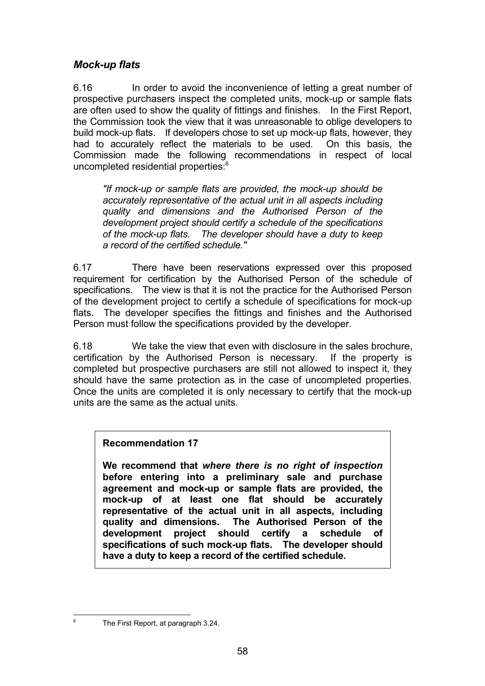#### *Mock-up flats*

6.16 In order to avoid the inconvenience of letting a great number of prospective purchasers inspect the completed units, mock-up or sample flats are often used to show the quality of fittings and finishes. In the First Report, the Commission took the view that it was unreasonable to oblige developers to build mock-up flats. If developers chose to set up mock-up flats, however, they had to accurately reflect the materials to be used. On this basis, the Commission made the following recommendations in respect of local uncompleted residential properties:6

*"If mock-up or sample flats are provided, the mock-up should be accurately representative of the actual unit in all aspects including quality and dimensions and the Authorised Person of the development project should certify a schedule of the specifications of the mock-up flats. The developer should have a duty to keep a record of the certified schedule."*

6.17 There have been reservations expressed over this proposed requirement for certification by the Authorised Person of the schedule of specifications. The view is that it is not the practice for the Authorised Person of the development project to certify a schedule of specifications for mock-up flats. The developer specifies the fittings and finishes and the Authorised Person must follow the specifications provided by the developer.

6.18 We take the view that even with disclosure in the sales brochure, certification by the Authorised Person is necessary. If the property is completed but prospective purchasers are still not allowed to inspect it, they should have the same protection as in the case of uncompleted properties. Once the units are completed it is only necessary to certify that the mock-up units are the same as the actual units.

#### **Recommendation 17**

**We recommend that** *where there is no right of inspection* **before entering into a preliminary sale and purchase agreement and mock-up or sample flats are provided, the mock-up of at least one flat should be accurately representative of the actual unit in all aspects, including** The Authorised Person of the **development project should certify a schedule of specifications of such mock-up flats. The developer should have a duty to keep a record of the certified schedule.**

-6

The First Report, at paragraph 3.24.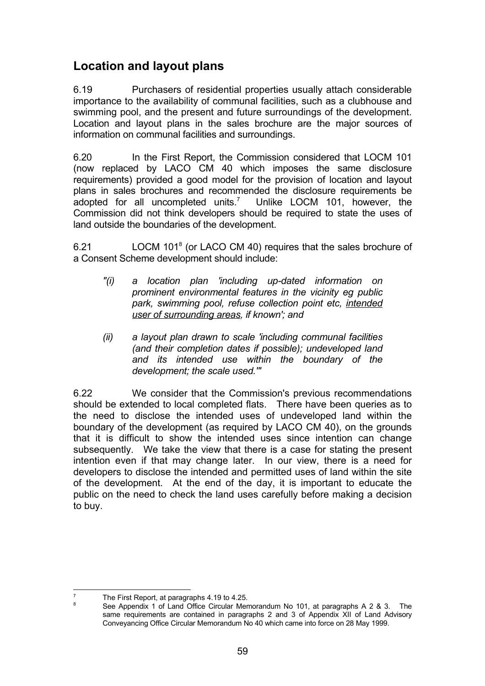## **Location and layout plans**

6.19 Purchasers of residential properties usually attach considerable importance to the availability of communal facilities, such as a clubhouse and swimming pool, and the present and future surroundings of the development. Location and layout plans in the sales brochure are the major sources of information on communal facilities and surroundings.

6.20 In the First Report, the Commission considered that LOCM 101 (now replaced by LACO CM 40 which imposes the same disclosure requirements) provided a good model for the provision of location and layout plans in sales brochures and recommended the disclosure requirements be adopted for all uncompleted units.<sup>7</sup> Unlike LOCM 101, however, the Commission did not think developers should be required to state the uses of land outside the boundaries of the development.

6.21 LOCM 101<sup>8</sup> (or LACO CM 40) requires that the sales brochure of a Consent Scheme development should include:

- *"(i) a location plan 'including up-dated information on prominent environmental features in the vicinity eg public park, swimming pool, refuse collection point etc, intended user of surrounding areas, if known'; and*
- *(ii) a layout plan drawn to scale 'including communal facilities (and their completion dates if possible); undeveloped land and its intended use within the boundary of the development; the scale used.'"*

6.22 We consider that the Commission's previous recommendations should be extended to local completed flats. There have been queries as to the need to disclose the intended uses of undeveloped land within the boundary of the development (as required by LACO CM 40), on the grounds that it is difficult to show the intended uses since intention can change subsequently. We take the view that there is a case for stating the present intention even if that may change later. In our view, there is a need for developers to disclose the intended and permitted uses of land within the site of the development. At the end of the day, it is important to educate the public on the need to check the land uses carefully before making a decision to buy.

<sup>-&</sup>lt;br>7  $T$  The First Report, at paragraphs 4.19 to 4.25.

<sup>8</sup> See Appendix 1 of Land Office Circular Memorandum No 101, at paragraphs A 2 & 3. The same requirements are contained in paragraphs 2 and 3 of Appendix XII of Land Advisory Conveyancing Office Circular Memorandum No 40 which came into force on 28 May 1999.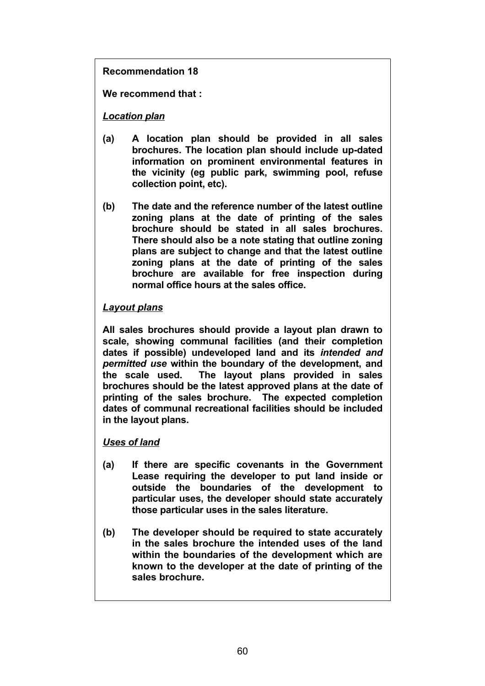**Recommendation 18**

**We recommend that :**

#### *Location plan*

- **(a) A location plan should be provided in all sales brochures. The location plan should include up-dated information on prominent environmental features in the vicinity (eg public park, swimming pool, refuse collection point, etc).**
- **(b) The date and the reference number of the latest outline zoning plans at the date of printing of the sales brochure should be stated in all sales brochures. There should also be a note stating that outline zoning plans are subject to change and that the latest outline zoning plans at the date of printing of the sales brochure are available for free inspection during normal office hours at the sales office.**

#### *Layout plans*

**All sales brochures should provide a layout plan drawn to scale, showing communal facilities (and their completion dates if possible) undeveloped land and its** *intended and permitted use* **within the boundary of the development, and the scale used. The layout plans provided in sales brochures should be the latest approved plans at the date of printing of the sales brochure. The expected completion dates of communal recreational facilities should be included in the layout plans.**

#### *Uses of land*

- **(a) If there are specific covenants in the Government Lease requiring the developer to put land inside or outside the boundaries of the development to particular uses, the developer should state accurately those particular uses in the sales literature.**
- **(b) The developer should be required to state accurately in the sales brochure the intended uses of the land within the boundaries of the development which are known to the developer at the date of printing of the sales brochure.**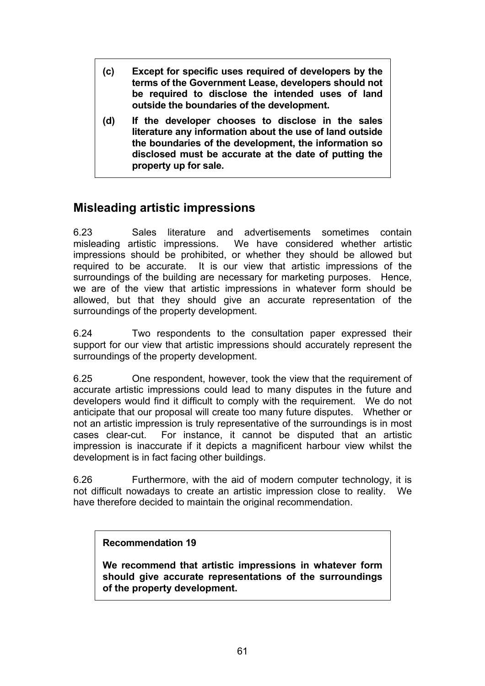- **(c) Except for specific uses required of developers by the terms of the Government Lease, developers should not be required to disclose the intended uses of land outside the boundaries of the development.**
- **(d) If the developer chooses to disclose in the sales literature any information about the use of land outside the boundaries of the development, the information so disclosed must be accurate at the date of putting the property up for sale.**

### **Misleading artistic impressions**

6.23 Sales literature and advertisements sometimes contain misleading artistic impressions. We have considered whether artistic impressions should be prohibited, or whether they should be allowed but required to be accurate. It is our view that artistic impressions of the surroundings of the building are necessary for marketing purposes. Hence, we are of the view that artistic impressions in whatever form should be allowed, but that they should give an accurate representation of the surroundings of the property development.

6.24 Two respondents to the consultation paper expressed their support for our view that artistic impressions should accurately represent the surroundings of the property development.

6.25 One respondent, however, took the view that the requirement of accurate artistic impressions could lead to many disputes in the future and developers would find it difficult to comply with the requirement. We do not anticipate that our proposal will create too many future disputes. Whether or not an artistic impression is truly representative of the surroundings is in most cases clear-cut. For instance, it cannot be disputed that an artistic impression is inaccurate if it depicts a magnificent harbour view whilst the development is in fact facing other buildings.

6.26 Furthermore, with the aid of modern computer technology, it is not difficult nowadays to create an artistic impression close to reality. We have therefore decided to maintain the original recommendation.

#### **Recommendation 19**

**We recommend that artistic impressions in whatever form should give accurate representations of the surroundings of the property development.**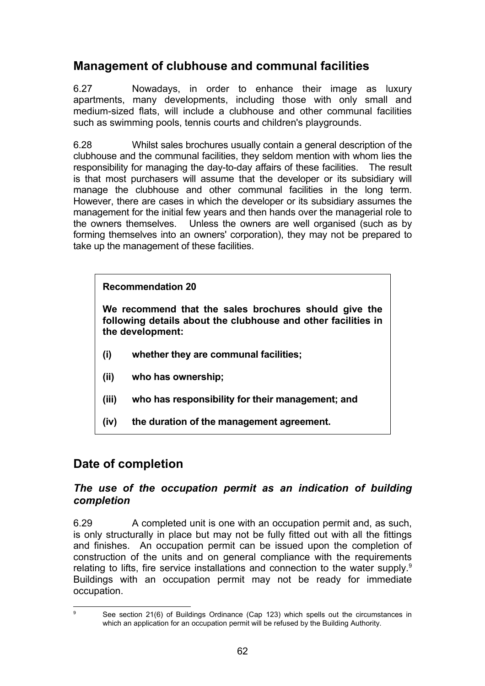## **Management of clubhouse and communal facilities**

6.27 Nowadays, in order to enhance their image as luxury apartments, many developments, including those with only small and medium-sized flats, will include a clubhouse and other communal facilities such as swimming pools, tennis courts and children's playgrounds.

6.28 Whilst sales brochures usually contain a general description of the clubhouse and the communal facilities, they seldom mention with whom lies the responsibility for managing the day-to-day affairs of these facilities. The result is that most purchasers will assume that the developer or its subsidiary will manage the clubhouse and other communal facilities in the long term. However, there are cases in which the developer or its subsidiary assumes the management for the initial few years and then hands over the managerial role to the owners themselves. Unless the owners are well organised (such as by forming themselves into an owners' corporation), they may not be prepared to take up the management of these facilities.

#### **Recommendation 20**

**We recommend that the sales brochures should give the following details about the clubhouse and other facilities in the development:**

- **(i) whether they are communal facilities;**
- **(ii) who has ownership;**
- **(iii) who has responsibility for their management; and**
- **(iv) the duration of the management agreement.**

# **Date of completion**

j 9

#### *The use of the occupation permit as an indication of building completion*

6.29 A completed unit is one with an occupation permit and, as such, is only structurally in place but may not be fully fitted out with all the fittings and finishes. An occupation permit can be issued upon the completion of construction of the units and on general compliance with the requirements relating to lifts, fire service installations and connection to the water supply. $9$ Buildings with an occupation permit may not be ready for immediate occupation.

See section 21(6) of Buildings Ordinance (Cap 123) which spells out the circumstances in which an application for an occupation permit will be refused by the Building Authority.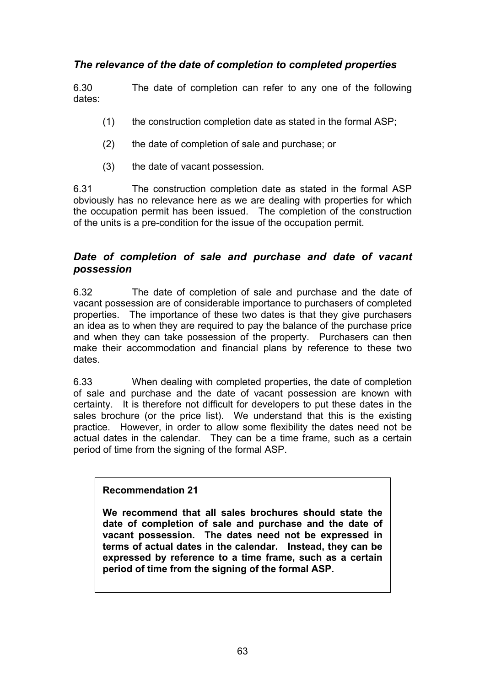#### *The relevance of the date of completion to completed properties*

6.30 The date of completion can refer to any one of the following dates:

- (1) the construction completion date as stated in the formal ASP;
- (2) the date of completion of sale and purchase; or
- (3) the date of vacant possession.

6.31 The construction completion date as stated in the formal ASP obviously has no relevance here as we are dealing with properties for which the occupation permit has been issued. The completion of the construction of the units is a pre-condition for the issue of the occupation permit.

#### *Date of completion of sale and purchase and date of vacant possession*

6.32 The date of completion of sale and purchase and the date of vacant possession are of considerable importance to purchasers of completed properties. The importance of these two dates is that they give purchasers an idea as to when they are required to pay the balance of the purchase price and when they can take possession of the property. Purchasers can then make their accommodation and financial plans by reference to these two dates.

6.33 When dealing with completed properties, the date of completion of sale and purchase and the date of vacant possession are known with certainty. It is therefore not difficult for developers to put these dates in the sales brochure (or the price list). We understand that this is the existing practice. However, in order to allow some flexibility the dates need not be actual dates in the calendar. They can be a time frame, such as a certain period of time from the signing of the formal ASP.

#### **Recommendation 21**

**We recommend that all sales brochures should state the date of completion of sale and purchase and the date of vacant possession. The dates need not be expressed in terms of actual dates in the calendar. Instead, they can be expressed by reference to a time frame, such as a certain period of time from the signing of the formal ASP.**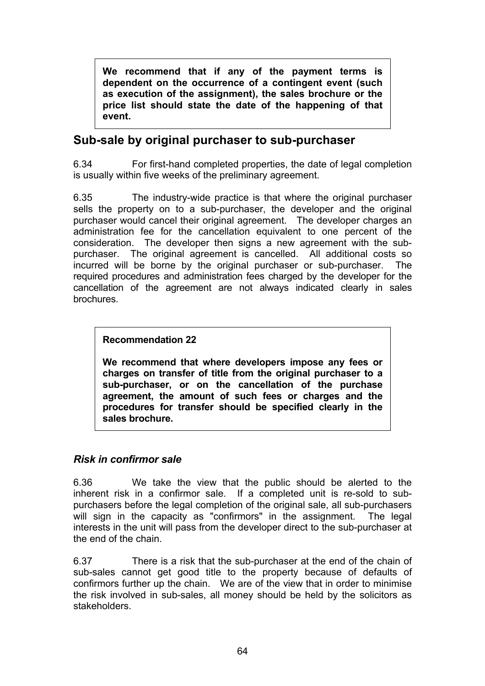**We recommend that if any of the payment terms is dependent on the occurrence of a contingent event (such as execution of the assignment), the sales brochure or the price list should state the date of the happening of that event.**

### **Sub-sale by original purchaser to sub-purchaser**

6.34 For first-hand completed properties, the date of legal completion is usually within five weeks of the preliminary agreement.

6.35 The industry-wide practice is that where the original purchaser sells the property on to a sub-purchaser, the developer and the original purchaser would cancel their original agreement. The developer charges an administration fee for the cancellation equivalent to one percent of the consideration. The developer then signs a new agreement with the subpurchaser. The original agreement is cancelled. All additional costs so incurred will be borne by the original purchaser or sub-purchaser. The required procedures and administration fees charged by the developer for the cancellation of the agreement are not always indicated clearly in sales brochures.

#### **Recommendation 22**

**We recommend that where developers impose any fees or charges on transfer of title from the original purchaser to a sub-purchaser, or on the cancellation of the purchase agreement, the amount of such fees or charges and the procedures for transfer should be specified clearly in the sales brochure.**

#### *Risk in confirmor sale*

6.36 We take the view that the public should be alerted to the inherent risk in a confirmor sale. If a completed unit is re-sold to subpurchasers before the legal completion of the original sale, all sub-purchasers will sign in the capacity as "confirmors" in the assignment. The legal interests in the unit will pass from the developer direct to the sub-purchaser at the end of the chain.

6.37 There is a risk that the sub-purchaser at the end of the chain of sub-sales cannot get good title to the property because of defaults of confirmors further up the chain. We are of the view that in order to minimise the risk involved in sub-sales, all money should be held by the solicitors as stakeholders.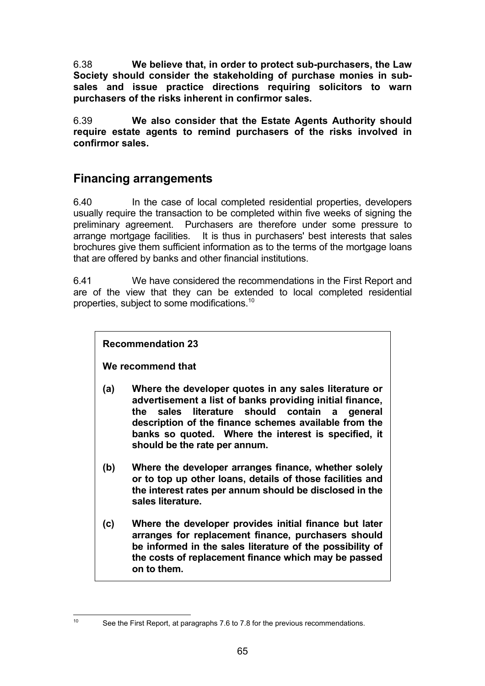6.38 **We believe that, in order to protect sub-purchasers, the Law Society should consider the stakeholding of purchase monies in subsales and issue practice directions requiring solicitors to warn purchasers of the risks inherent in confirmor sales.**

6.39 **We also consider that the Estate Agents Authority should require estate agents to remind purchasers of the risks involved in confirmor sales.**

### **Financing arrangements**

6.40 In the case of local completed residential properties, developers usually require the transaction to be completed within five weeks of signing the preliminary agreement. Purchasers are therefore under some pressure to arrange mortgage facilities. It is thus in purchasers' best interests that sales brochures give them sufficient information as to the terms of the mortgage loans that are offered by banks and other financial institutions.

6.41 We have considered the recommendations in the First Report and are of the view that they can be extended to local completed residential properties, subject to some modifications.10

#### **Recommendation 23**

**We recommend that**

- **(a) Where the developer quotes in any sales literature or advertisement a list of banks providing initial finance, the sales literature should contain a general description of the finance schemes available from the banks so quoted. Where the interest is specified, it should be the rate per annum.**
- **(b) Where the developer arranges finance, whether solely or to top up other loans, details of those facilities and the interest rates per annum should be disclosed in the sales literature.**
- **(c) Where the developer provides initial finance but later arranges for replacement finance, purchasers should be informed in the sales literature of the possibility of the costs of replacement finance which may be passed on to them.**

 $10<sup>10</sup>$ 

See the First Report, at paragraphs 7.6 to 7.8 for the previous recommendations.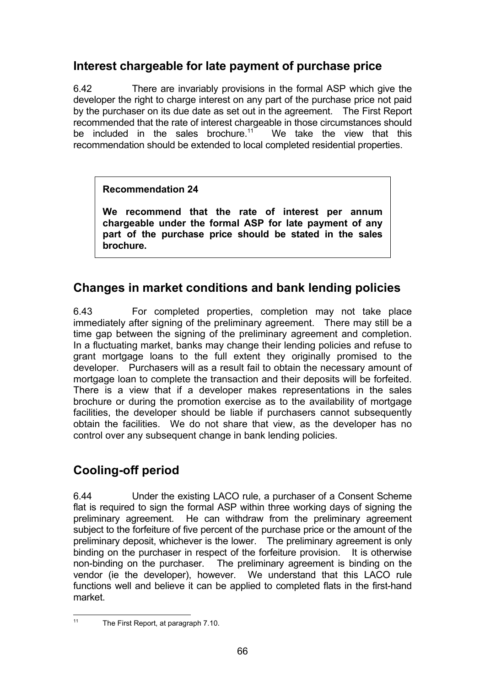## **Interest chargeable for late payment of purchase price**

6.42 There are invariably provisions in the formal ASP which give the developer the right to charge interest on any part of the purchase price not paid by the purchaser on its due date as set out in the agreement. The First Report recommended that the rate of interest chargeable in those circumstances should be included in the sales brochure.<sup>11</sup> We take the view that this recommendation should be extended to local completed residential properties.

#### **Recommendation 24**

**We recommend that the rate of interest per annum chargeable under the formal ASP for late payment of any part of the purchase price should be stated in the sales brochure.**

### **Changes in market conditions and bank lending policies**

6.43 For completed properties, completion may not take place immediately after signing of the preliminary agreement. There may still be a time gap between the signing of the preliminary agreement and completion. In a fluctuating market, banks may change their lending policies and refuse to grant mortgage loans to the full extent they originally promised to the developer. Purchasers will as a result fail to obtain the necessary amount of mortgage loan to complete the transaction and their deposits will be forfeited. There is a view that if a developer makes representations in the sales brochure or during the promotion exercise as to the availability of mortgage facilities, the developer should be liable if purchasers cannot subsequently obtain the facilities. We do not share that view, as the developer has no control over any subsequent change in bank lending policies.

# **Cooling-off period**

6.44 Under the existing LACO rule, a purchaser of a Consent Scheme flat is required to sign the formal ASP within three working days of signing the preliminary agreement. He can withdraw from the preliminary agreement subject to the forfeiture of five percent of the purchase price or the amount of the preliminary deposit, whichever is the lower. The preliminary agreement is only binding on the purchaser in respect of the forfeiture provision. It is otherwise non-binding on the purchaser. The preliminary agreement is binding on the vendor (ie the developer), however. We understand that this LACO rule functions well and believe it can be applied to completed flats in the first-hand market.

 $11$ 

The First Report, at paragraph 7.10.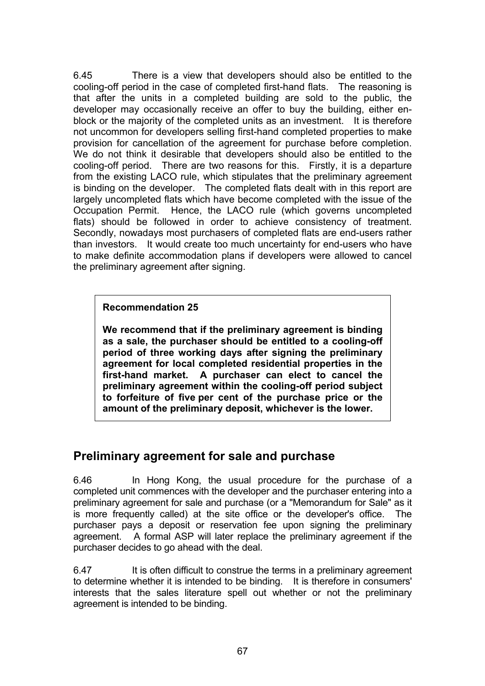6.45 There is a view that developers should also be entitled to the cooling-off period in the case of completed first-hand flats. The reasoning is that after the units in a completed building are sold to the public, the developer may occasionally receive an offer to buy the building, either enblock or the majority of the completed units as an investment. It is therefore not uncommon for developers selling first-hand completed properties to make provision for cancellation of the agreement for purchase before completion. We do not think it desirable that developers should also be entitled to the cooling-off period. There are two reasons for this. Firstly, it is a departure from the existing LACO rule, which stipulates that the preliminary agreement is binding on the developer. The completed flats dealt with in this report are largely uncompleted flats which have become completed with the issue of the Occupation Permit. Hence, the LACO rule (which governs uncompleted flats) should be followed in order to achieve consistency of treatment. Secondly, nowadays most purchasers of completed flats are end-users rather than investors. It would create too much uncertainty for end-users who have to make definite accommodation plans if developers were allowed to cancel the preliminary agreement after signing.

**Recommendation 25**

**We recommend that if the preliminary agreement is binding as a sale, the purchaser should be entitled to a cooling-off period of three working days after signing the preliminary agreement for local completed residential properties in the first-hand market. A purchaser can elect to cancel the preliminary agreement within the cooling-off period subject to forfeiture of five per cent of the purchase price or the amount of the preliminary deposit, whichever is the lower.**

### **Preliminary agreement for sale and purchase**

6.46 In Hong Kong, the usual procedure for the purchase of a completed unit commences with the developer and the purchaser entering into a preliminary agreement for sale and purchase (or a "Memorandum for Sale" as it is more frequently called) at the site office or the developer's office. The purchaser pays a deposit or reservation fee upon signing the preliminary agreement. A formal ASP will later replace the preliminary agreement if the purchaser decides to go ahead with the deal.

6.47 It is often difficult to construe the terms in a preliminary agreement to determine whether it is intended to be binding. It is therefore in consumers' interests that the sales literature spell out whether or not the preliminary agreement is intended to be binding.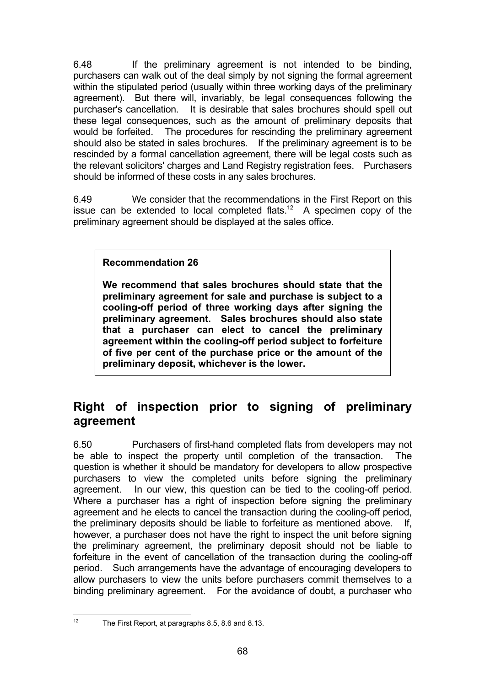6.48 If the preliminary agreement is not intended to be binding, purchasers can walk out of the deal simply by not signing the formal agreement within the stipulated period (usually within three working days of the preliminary agreement). But there will, invariably, be legal consequences following the purchaser's cancellation. It is desirable that sales brochures should spell out these legal consequences, such as the amount of preliminary deposits that would be forfeited. The procedures for rescinding the preliminary agreement should also be stated in sales brochures. If the preliminary agreement is to be rescinded by a formal cancellation agreement, there will be legal costs such as the relevant solicitors' charges and Land Registry registration fees. Purchasers should be informed of these costs in any sales brochures.

6.49 We consider that the recommendations in the First Report on this issue can be extended to local completed flats.<sup>12</sup> A specimen copy of the preliminary agreement should be displayed at the sales office.

# **Recommendation 26**

**We recommend that sales brochures should state that the preliminary agreement for sale and purchase is subject to a cooling-off period of three working days after signing the preliminary agreement. Sales brochures should also state that a purchaser can elect to cancel the preliminary agreement within the cooling-off period subject to forfeiture of five per cent of the purchase price or the amount of the preliminary deposit, whichever is the lower.**

# **Right of inspection prior to signing of preliminary agreement**

6.50 Purchasers of first-hand completed flats from developers may not be able to inspect the property until completion of the transaction. The question is whether it should be mandatory for developers to allow prospective purchasers to view the completed units before signing the preliminary agreement. In our view, this question can be tied to the cooling-off period. Where a purchaser has a right of inspection before signing the preliminary agreement and he elects to cancel the transaction during the cooling-off period, the preliminary deposits should be liable to forfeiture as mentioned above. If, however, a purchaser does not have the right to inspect the unit before signing the preliminary agreement, the preliminary deposit should not be liable to forfeiture in the event of cancellation of the transaction during the cooling-off period. Such arrangements have the advantage of encouraging developers to allow purchasers to view the units before purchasers commit themselves to a binding preliminary agreement. For the avoidance of doubt, a purchaser who

 $12<sup>12</sup>$ 

The First Report, at paragraphs 8.5, 8.6 and 8.13.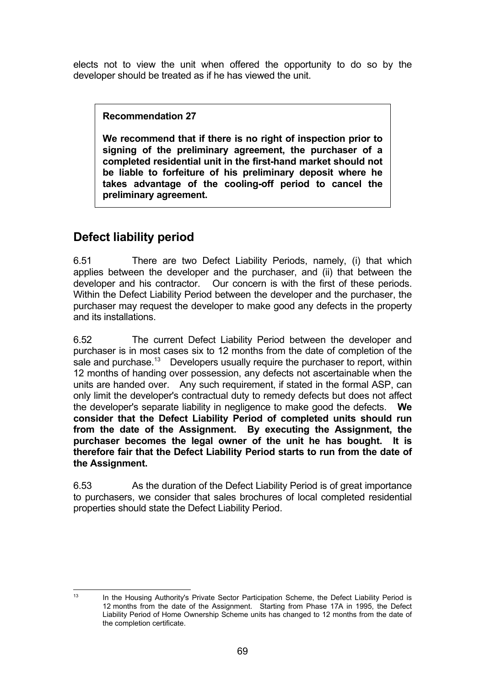elects not to view the unit when offered the opportunity to do so by the developer should be treated as if he has viewed the unit.

**Recommendation 27**

**We recommend that if there is no right of inspection prior to signing of the preliminary agreement, the purchaser of a completed residential unit in the first-hand market should not be liable to forfeiture of his preliminary deposit where he takes advantage of the cooling-off period to cancel the preliminary agreement.**

# **Defect liability period**

6.51 There are two Defect Liability Periods, namely, (i) that which applies between the developer and the purchaser, and (ii) that between the developer and his contractor. Our concern is with the first of these periods. Within the Defect Liability Period between the developer and the purchaser, the purchaser may request the developer to make good any defects in the property and its installations.

6.52 The current Defect Liability Period between the developer and purchaser is in most cases six to 12 months from the date of completion of the sale and purchase.<sup>13</sup> Developers usually require the purchaser to report, within 12 months of handing over possession, any defects not ascertainable when the units are handed over. Any such requirement, if stated in the formal ASP, can only limit the developer's contractual duty to remedy defects but does not affect the developer's separate liability in negligence to make good the defects. **We consider that the Defect Liability Period of completed units should run from the date of the Assignment. By executing the Assignment, the purchaser becomes the legal owner of the unit he has bought. It is therefore fair that the Defect Liability Period starts to run from the date of the Assignment.**

6.53 As the duration of the Defect Liability Period is of great importance to purchasers, we consider that sales brochures of local completed residential properties should state the Defect Liability Period.

 $13$ 

In the Housing Authority's Private Sector Participation Scheme, the Defect Liability Period is 12 months from the date of the Assignment. Starting from Phase 17A in 1995, the Defect Liability Period of Home Ownership Scheme units has changed to 12 months from the date of the completion certificate.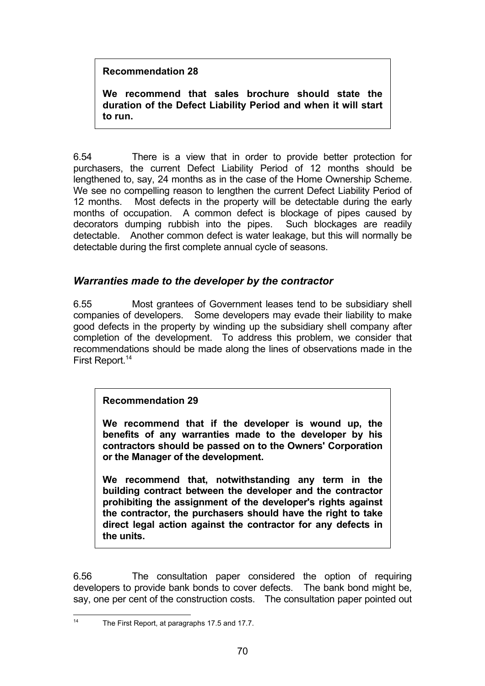## **Recommendation 28**

**We recommend that sales brochure should state the duration of the Defect Liability Period and when it will start to run.**

6.54 There is a view that in order to provide better protection for purchasers, the current Defect Liability Period of 12 months should be lengthened to, say, 24 months as in the case of the Home Ownership Scheme. We see no compelling reason to lengthen the current Defect Liability Period of 12 months. Most defects in the property will be detectable during the early months of occupation. A common defect is blockage of pipes caused by decorators dumping rubbish into the pipes. Such blockages are readily detectable. Another common defect is water leakage, but this will normally be detectable during the first complete annual cycle of seasons.

# *Warranties made to the developer by the contractor*

6.55 Most grantees of Government leases tend to be subsidiary shell companies of developers. Some developers may evade their liability to make good defects in the property by winding up the subsidiary shell company after completion of the development. To address this problem, we consider that recommendations should be made along the lines of observations made in the First Report.<sup>14</sup>

# **Recommendation 29**

**We recommend that if the developer is wound up, the benefits of any warranties made to the developer by his contractors should be passed on to the Owners' Corporation or the Manager of the development.**

**We recommend that, notwithstanding any term in the building contract between the developer and the contractor prohibiting the assignment of the developer's rights against the contractor, the purchasers should have the right to take direct legal action against the contractor for any defects in the units.**

6.56 The consultation paper considered the option of requiring developers to provide bank bonds to cover defects. The bank bond might be, say, one per cent of the construction costs. The consultation paper pointed out

 $14$ The First Report, at paragraphs 17.5 and 17.7.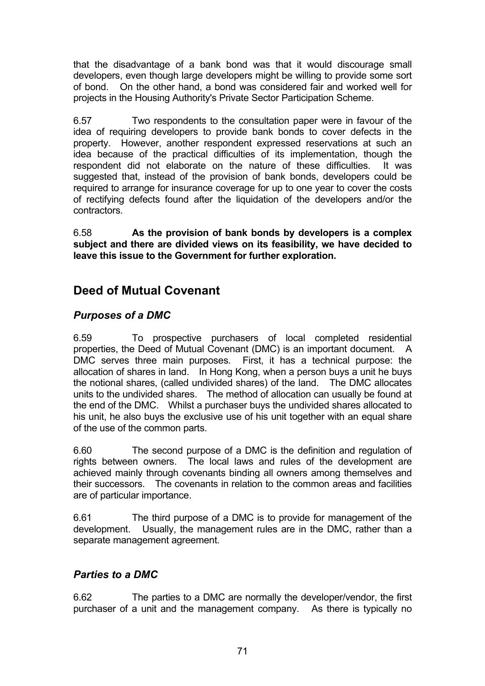that the disadvantage of a bank bond was that it would discourage small developers, even though large developers might be willing to provide some sort of bond. On the other hand, a bond was considered fair and worked well for projects in the Housing Authority's Private Sector Participation Scheme.

6.57 Two respondents to the consultation paper were in favour of the idea of requiring developers to provide bank bonds to cover defects in the property. However, another respondent expressed reservations at such an idea because of the practical difficulties of its implementation, though the respondent did not elaborate on the nature of these difficulties. It was suggested that, instead of the provision of bank bonds, developers could be required to arrange for insurance coverage for up to one year to cover the costs of rectifying defects found after the liquidation of the developers and/or the contractors.

6.58 **As the provision of bank bonds by developers is a complex subject and there are divided views on its feasibility, we have decided to leave this issue to the Government for further exploration.**

# **Deed of Mutual Covenant**

# *Purposes of a DMC*

6.59 To prospective purchasers of local completed residential properties, the Deed of Mutual Covenant (DMC) is an important document. A DMC serves three main purposes. First, it has a technical purpose: the allocation of shares in land. In Hong Kong, when a person buys a unit he buys the notional shares, (called undivided shares) of the land. The DMC allocates units to the undivided shares. The method of allocation can usually be found at the end of the DMC. Whilst a purchaser buys the undivided shares allocated to his unit, he also buys the exclusive use of his unit together with an equal share of the use of the common parts.

6.60 The second purpose of a DMC is the definition and regulation of rights between owners. The local laws and rules of the development are achieved mainly through covenants binding all owners among themselves and their successors. The covenants in relation to the common areas and facilities are of particular importance.

6.61 The third purpose of a DMC is to provide for management of the development. Usually, the management rules are in the DMC, rather than a separate management agreement.

# *Parties to a DMC*

6.62 The parties to a DMC are normally the developer/vendor, the first purchaser of a unit and the management company. As there is typically no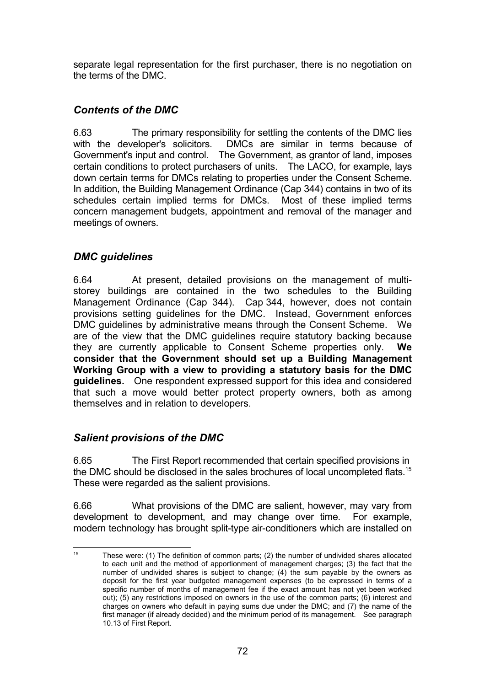separate legal representation for the first purchaser, there is no negotiation on the terms of the DMC.

# *Contents of the DMC*

6.63 The primary responsibility for settling the contents of the DMC lies with the developer's solicitors. DMCs are similar in terms because of Government's input and control. The Government, as grantor of land, imposes certain conditions to protect purchasers of units. The LACO, for example, lays down certain terms for DMCs relating to properties under the Consent Scheme. In addition, the Building Management Ordinance (Cap 344) contains in two of its schedules certain implied terms for DMCs. Most of these implied terms concern management budgets, appointment and removal of the manager and meetings of owners.

# *DMC guidelines*

6.64 At present, detailed provisions on the management of multistorey buildings are contained in the two schedules to the Building Management Ordinance (Cap 344). Cap 344, however, does not contain provisions setting guidelines for the DMC. Instead, Government enforces DMC guidelines by administrative means through the Consent Scheme. We are of the view that the DMC guidelines require statutory backing because they are currently applicable to Consent Scheme properties only. **We consider that the Government should set up a Building Management Working Group with a view to providing a statutory basis for the DMC guidelines.** One respondent expressed support for this idea and considered that such a move would better protect property owners, both as among themselves and in relation to developers.

# *Salient provisions of the DMC*

6.65 The First Report recommended that certain specified provisions in the DMC should be disclosed in the sales brochures of local uncompleted flats.<sup>15</sup> These were regarded as the salient provisions.

6.66 What provisions of the DMC are salient, however, may vary from development to development, and may change over time. For example, modern technology has brought split-type air-conditioners which are installed on

 $15$ 15 These were: (1) The definition of common parts; (2) the number of undivided shares allocated to each unit and the method of apportionment of management charges; (3) the fact that the number of undivided shares is subject to change; (4) the sum payable by the owners as deposit for the first year budgeted management expenses (to be expressed in terms of a specific number of months of management fee if the exact amount has not yet been worked out); (5) any restrictions imposed on owners in the use of the common parts; (6) interest and charges on owners who default in paying sums due under the DMC; and (7) the name of the first manager (if already decided) and the minimum period of its management. See paragraph 10.13 of First Report.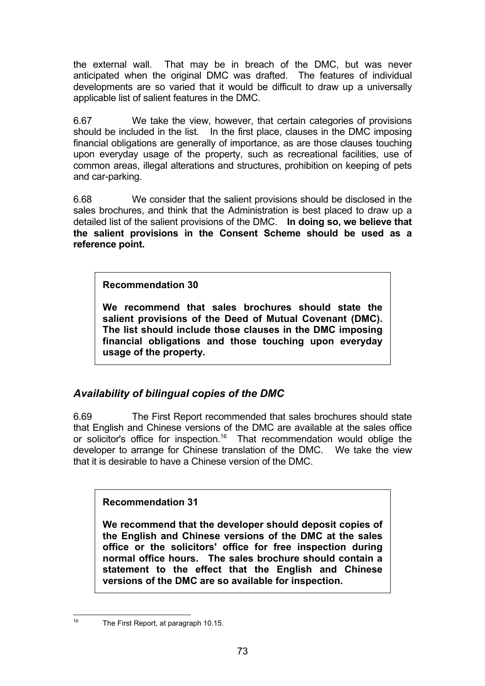the external wall. That may be in breach of the DMC, but was never anticipated when the original DMC was drafted. The features of individual developments are so varied that it would be difficult to draw up a universally applicable list of salient features in the DMC.

6.67 We take the view, however, that certain categories of provisions should be included in the list. In the first place, clauses in the DMC imposing financial obligations are generally of importance, as are those clauses touching upon everyday usage of the property, such as recreational facilities, use of common areas, illegal alterations and structures, prohibition on keeping of pets and car-parking.

6.68 We consider that the salient provisions should be disclosed in the sales brochures, and think that the Administration is best placed to draw up a detailed list of the salient provisions of the DMC. **In doing so, we believe that the salient provisions in the Consent Scheme should be used as a reference point.**

**Recommendation 30**

**We recommend that sales brochures should state the salient provisions of the Deed of Mutual Covenant (DMC). The list should include those clauses in the DMC imposing financial obligations and those touching upon everyday usage of the property.**

# *Availability of bilingual copies of the DMC*

6.69 The First Report recommended that sales brochures should state that English and Chinese versions of the DMC are available at the sales office or solicitor's office for inspection.<sup>16</sup> That recommendation would oblige the developer to arrange for Chinese translation of the DMC. We take the view that it is desirable to have a Chinese version of the DMC.

**Recommendation 31**

**We recommend that the developer should deposit copies of the English and Chinese versions of the DMC at the sales office or the solicitors' office for free inspection during normal office hours. The sales brochure should contain a statement to the effect that the English and Chinese versions of the DMC are so available for inspection.**

<sup>16</sup> 

The First Report, at paragraph 10.15.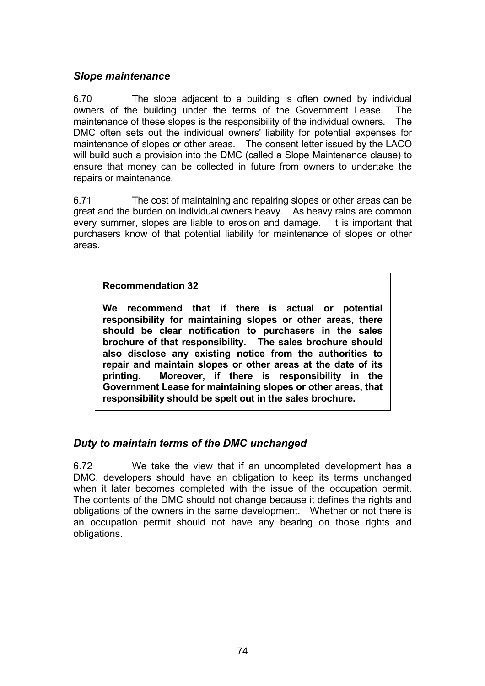## *Slope maintenance*

6.70 The slope adjacent to a building is often owned by individual owners of the building under the terms of the Government Lease. The maintenance of these slopes is the responsibility of the individual owners. The DMC often sets out the individual owners' liability for potential expenses for maintenance of slopes or other areas. The consent letter issued by the LACO will build such a provision into the DMC (called a Slope Maintenance clause) to ensure that money can be collected in future from owners to undertake the repairs or maintenance.

6.71 The cost of maintaining and repairing slopes or other areas can be great and the burden on individual owners heavy. As heavy rains are common every summer, slopes are liable to erosion and damage. It is important that purchasers know of that potential liability for maintenance of slopes or other areas.

**Recommendation 32**

**We recommend that if there is actual or potential responsibility for maintaining slopes or other areas, there should be clear notification to purchasers in the sales brochure of that responsibility. The sales brochure should also disclose any existing notice from the authorities to repair and maintain slopes or other areas at the date of its printing. Moreover, if there is responsibility in the Government Lease for maintaining slopes or other areas, that responsibility should be spelt out in the sales brochure.**

# *Duty to maintain terms of the DMC unchanged*

6.72 We take the view that if an uncompleted development has a DMC, developers should have an obligation to keep its terms unchanged when it later becomes completed with the issue of the occupation permit. The contents of the DMC should not change because it defines the rights and obligations of the owners in the same development. Whether or not there is an occupation permit should not have any bearing on those rights and obligations.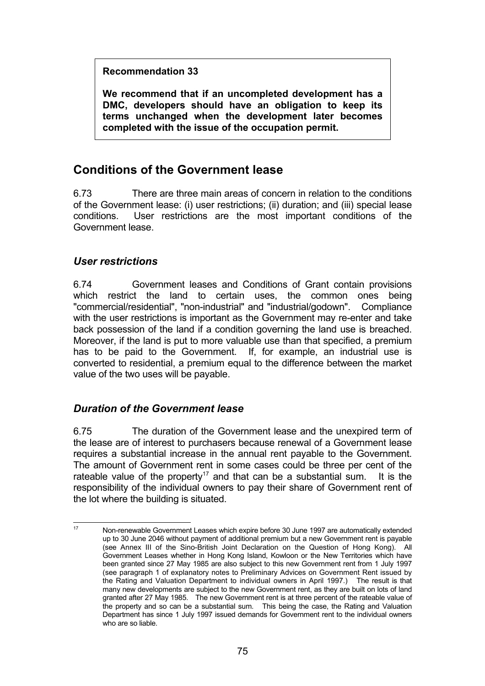**Recommendation 33**

**We recommend that if an uncompleted development has a DMC, developers should have an obligation to keep its terms unchanged when the development later becomes completed with the issue of the occupation permit.**

# **Conditions of the Government lease**

6.73 There are three main areas of concern in relation to the conditions of the Government lease: (i) user restrictions; (ii) duration; and (iii) special lease conditions. User restrictions are the most important conditions of the Government lease.

# *User restrictions*

6.74 Government leases and Conditions of Grant contain provisions which restrict the land to certain uses, the common ones being "commercial/residential", "non-industrial" and "industrial/godown". Compliance with the user restrictions is important as the Government may re-enter and take back possession of the land if a condition governing the land use is breached. Moreover, if the land is put to more valuable use than that specified, a premium has to be paid to the Government. If, for example, an industrial use is converted to residential, a premium equal to the difference between the market value of the two uses will be payable.

# *Duration of the Government lease*

6.75 The duration of the Government lease and the unexpired term of the lease are of interest to purchasers because renewal of a Government lease requires a substantial increase in the annual rent payable to the Government. The amount of Government rent in some cases could be three per cent of the rateable value of the property<sup>17</sup> and that can be a substantial sum. It is the responsibility of the individual owners to pay their share of Government rent of the lot where the building is situated.

 $17$ <sup>17</sup> Non-renewable Government Leases which expire before 30 June 1997 are automatically extended up to 30 June 2046 without payment of additional premium but a new Government rent is payable (see Annex III of the Sino-British Joint Declaration on the Question of Hong Kong). All Government Leases whether in Hong Kong Island, Kowloon or the New Territories which have been granted since 27 May 1985 are also subject to this new Government rent from 1 July 1997 (see paragraph 1 of explanatory notes to Preliminary Advices on Government Rent issued by the Rating and Valuation Department to individual owners in April 1997.) The result is that many new developments are subject to the new Government rent, as they are built on lots of land granted after 27 May 1985. The new Government rent is at three percent of the rateable value of the property and so can be a substantial sum. This being the case, the Rating and Valuation Department has since 1 July 1997 issued demands for Government rent to the individual owners who are so liable.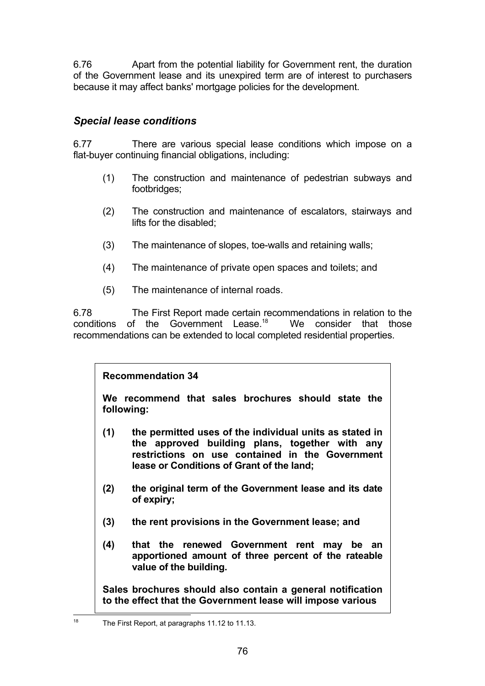6.76 Apart from the potential liability for Government rent, the duration of the Government lease and its unexpired term are of interest to purchasers because it may affect banks' mortgage policies for the development.

# *Special lease conditions*

6.77 There are various special lease conditions which impose on a flat-buyer continuing financial obligations, including:

- (1) The construction and maintenance of pedestrian subways and footbridges;
- (2) The construction and maintenance of escalators, stairways and lifts for the disabled;
- (3) The maintenance of slopes, toe-walls and retaining walls;
- (4) The maintenance of private open spaces and toilets; and
- (5) The maintenance of internal roads.

6.78 The First Report made certain recommendations in relation to the conditions of the Government Lease.<sup>18</sup> We consider that those recommendations can be extended to local completed residential properties.

# **Recommendation 34**

**We recommend that sales brochures should state the following:**

- **(1) the permitted uses of the individual units as stated in the approved building plans, together with any restrictions on use contained in the Government lease or Conditions of Grant of the land;**
- **(2) the original term of the Government lease and its date of expiry;**
- **(3) the rent provisions in the Government lease; and**
- **(4) that the renewed Government rent may be an apportioned amount of three percent of the rateable value of the building.**

**Sales brochures should also contain a general notification to the effect that the Government lease will impose various**

18

The First Report, at paragraphs 11.12 to 11.13.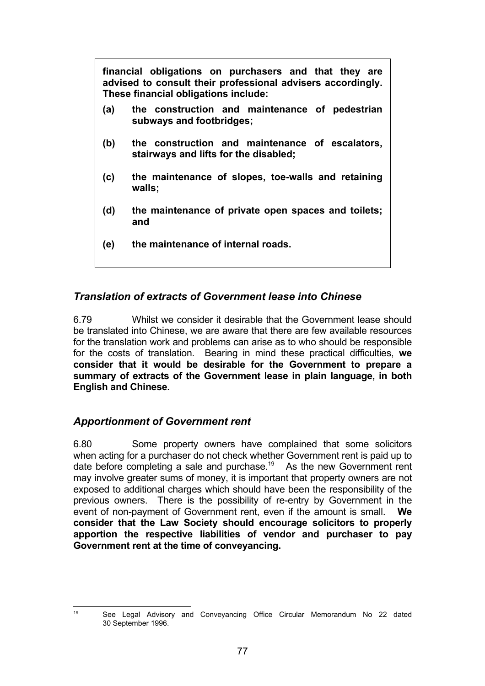**financial obligations on purchasers and that they are advised to consult their professional advisers accordingly. These financial obligations include: (a) the construction and maintenance of pedestrian subways and footbridges; (b) the construction and maintenance of escalators, stairways and lifts for the disabled; (c) the maintenance of slopes, toe-walls and retaining walls; (d) the maintenance of private open spaces and toilets; and (e) the maintenance of internal roads.**

# *Translation of extracts of Government lease into Chinese*

6.79 Whilst we consider it desirable that the Government lease should be translated into Chinese, we are aware that there are few available resources for the translation work and problems can arise as to who should be responsible for the costs of translation. Bearing in mind these practical difficulties, **we consider that it would be desirable for the Government to prepare a summary of extracts of the Government lease in plain language, in both English and Chinese.**

## *Apportionment of Government rent*

6.80 Some property owners have complained that some solicitors when acting for a purchaser do not check whether Government rent is paid up to date before completing a sale and purchase.<sup>19</sup> As the new Government rent may involve greater sums of money, it is important that property owners are not exposed to additional charges which should have been the responsibility of the previous owners. There is the possibility of re-entry by Government in the event of non-payment of Government rent, even if the amount is small. **We consider that the Law Society should encourage solicitors to properly apportion the respective liabilities of vendor and purchaser to pay Government rent at the time of conveyancing.**

19

<sup>19</sup> See Legal Advisory and Conveyancing Office Circular Memorandum No 22 dated 30 September 1996.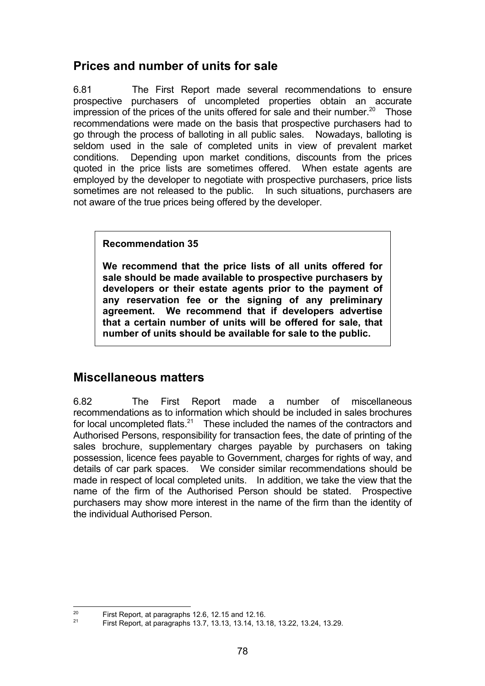# **Prices and number of units for sale**

6.81 The First Report made several recommendations to ensure prospective purchasers of uncompleted properties obtain an accurate impression of the prices of the units offered for sale and their number.<sup>20</sup> Those recommendations were made on the basis that prospective purchasers had to go through the process of balloting in all public sales. Nowadays, balloting is seldom used in the sale of completed units in view of prevalent market conditions. Depending upon market conditions, discounts from the prices quoted in the price lists are sometimes offered. When estate agents are employed by the developer to negotiate with prospective purchasers, price lists sometimes are not released to the public. In such situations, purchasers are not aware of the true prices being offered by the developer.

## **Recommendation 35**

**We recommend that the price lists of all units offered for sale should be made available to prospective purchasers by developers or their estate agents prior to the payment of any reservation fee or the signing of any preliminary agreement. We recommend that if developers advertise that a certain number of units will be offered for sale, that number of units should be available for sale to the public.**

# **Miscellaneous matters**

6.82 The First Report made a number of miscellaneous recommendations as to information which should be included in sales brochures for local uncompleted flats.<sup>21</sup> These included the names of the contractors and Authorised Persons, responsibility for transaction fees, the date of printing of the sales brochure, supplementary charges payable by purchasers on taking possession, licence fees payable to Government, charges for rights of way, and details of car park spaces. We consider similar recommendations should be made in respect of local completed units. In addition, we take the view that the name of the firm of the Authorised Person should be stated. Prospective purchasers may show more interest in the name of the firm than the identity of the individual Authorised Person.

<sup>20</sup> <sup>20</sup> First Report, at paragraphs 12.6, 12.15 and 12.16.<br><sup>21</sup> Eirst Beport, at paragraphs 12.7, 12.12.14, 12.14

<sup>21</sup> First Report, at paragraphs 13.7, 13.13, 13.14, 13.18, 13.22, 13.24, 13.29.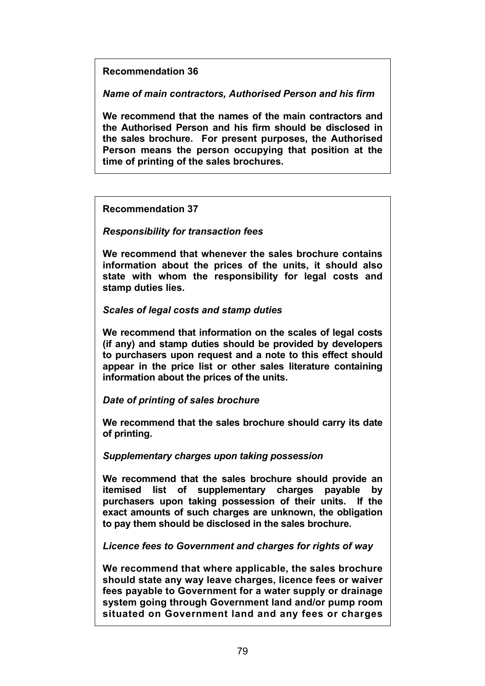**Recommendation 36**

*Name of main contractors, Authorised Person and his firm*

**We recommend that the names of the main contractors and the Authorised Person and his firm should be disclosed in the sales brochure. For present purposes, the Authorised Person means the person occupying that position at the time of printing of the sales brochures.**

**Recommendation 37**

*Responsibility for transaction fees*

**We recommend that whenever the sales brochure contains information about the prices of the units, it should also state with whom the responsibility for legal costs and stamp duties lies.**

*Scales of legal costs and stamp duties*

**We recommend that information on the scales of legal costs (if any) and stamp duties should be provided by developers to purchasers upon request and a note to this effect should appear in the price list or other sales literature containing information about the prices of the units.**

*Date of printing of sales brochure*

**We recommend that the sales brochure should carry its date of printing.**

*Supplementary charges upon taking possession*

**We recommend that the sales brochure should provide an itemised list of supplementary charges payable by purchasers upon taking possession of their units. If the exact amounts of such charges are unknown, the obligation to pay them should be disclosed in the sales brochure.**

*Licence fees to Government and charges for rights of way*

**We recommend that where applicable, the sales brochure should state any way leave charges, licence fees or waiver fees payable to Government for a water supply or drainage system going through Government land and/or pump room situated on Government land and any fees or charges**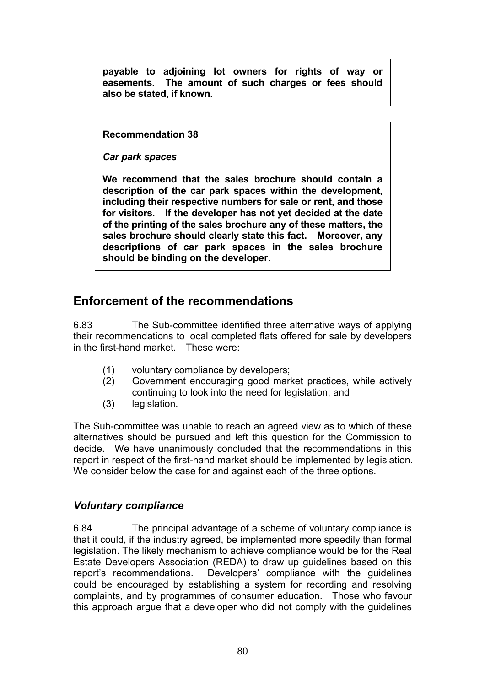**payable to adjoining lot owners for rights of way or easements. The amount of such charges or fees should also be stated, if known.**

**Recommendation 38**

*Car park spaces*

**We recommend that the sales brochure should contain a description of the car park spaces within the development, including their respective numbers for sale or rent, and those for visitors. If the developer has not yet decided at the date of the printing of the sales brochure any of these matters, the sales brochure should clearly state this fact. Moreover, any descriptions of car park spaces in the sales brochure should be binding on the developer.**

# **Enforcement of the recommendations**

6.83 The Sub-committee identified three alternative ways of applying their recommendations to local completed flats offered for sale by developers in the first-hand market. These were:

- (1) voluntary compliance by developers;
- (2) Government encouraging good market practices, while actively continuing to look into the need for legislation; and
- (3) legislation.

The Sub-committee was unable to reach an agreed view as to which of these alternatives should be pursued and left this question for the Commission to decide. We have unanimously concluded that the recommendations in this report in respect of the first-hand market should be implemented by legislation. We consider below the case for and against each of the three options.

## *Voluntary compliance*

6.84 The principal advantage of a scheme of voluntary compliance is that it could, if the industry agreed, be implemented more speedily than formal legislation. The likely mechanism to achieve compliance would be for the Real Estate Developers Association (REDA) to draw up guidelines based on this report's recommendations. Developers' compliance with the guidelines could be encouraged by establishing a system for recording and resolving complaints, and by programmes of consumer education. Those who favour this approach argue that a developer who did not comply with the guidelines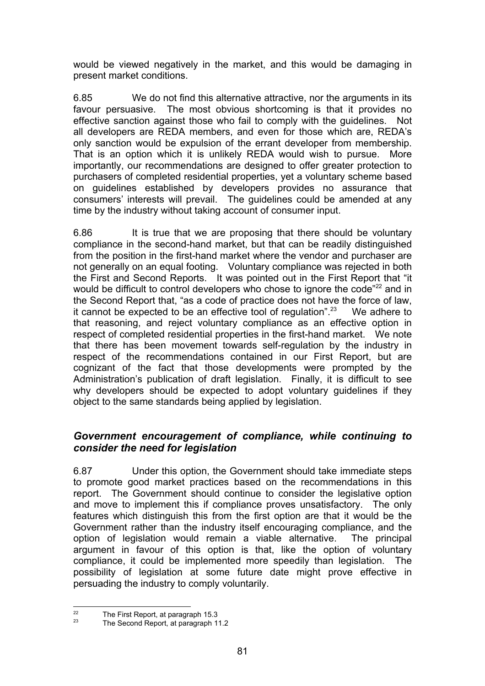would be viewed negatively in the market, and this would be damaging in present market conditions.

6.85 We do not find this alternative attractive, nor the arguments in its favour persuasive. The most obvious shortcoming is that it provides no effective sanction against those who fail to comply with the guidelines. Not all developers are REDA members, and even for those which are, REDA's only sanction would be expulsion of the errant developer from membership. That is an option which it is unlikely REDA would wish to pursue. More importantly, our recommendations are designed to offer greater protection to purchasers of completed residential properties, yet a voluntary scheme based on guidelines established by developers provides no assurance that consumers' interests will prevail. The guidelines could be amended at any time by the industry without taking account of consumer input.

6.86 It is true that we are proposing that there should be voluntary compliance in the second-hand market, but that can be readily distinguished from the position in the first-hand market where the vendor and purchaser are not generally on an equal footing. Voluntary compliance was rejected in both the First and Second Reports. It was pointed out in the First Report that "it would be difficult to control developers who chose to ignore the code"<sup>22</sup> and in the Second Report that, "as a code of practice does not have the force of law, it cannot be expected to be an effective tool of regulation".<sup>23</sup> We adhere to that reasoning, and reject voluntary compliance as an effective option in respect of completed residential properties in the first-hand market. We note that there has been movement towards self-regulation by the industry in respect of the recommendations contained in our First Report, but are cognizant of the fact that those developments were prompted by the Administration's publication of draft legislation. Finally, it is difficult to see why developers should be expected to adopt voluntary guidelines if they object to the same standards being applied by legislation.

## *Government encouragement of compliance, while continuing to consider the need for legislation*

6.87 Under this option, the Government should take immediate steps to promote good market practices based on the recommendations in this report. The Government should continue to consider the legislative option and move to implement this if compliance proves unsatisfactory. The only features which distinguish this from the first option are that it would be the Government rather than the industry itself encouraging compliance, and the option of legislation would remain a viable alternative. The principal argument in favour of this option is that, like the option of voluntary compliance, it could be implemented more speedily than legislation. The possibility of legislation at some future date might prove effective in persuading the industry to comply voluntarily.

 $22$  $\frac{22}{23}$  The First Report, at paragraph 15.3

The Second Report, at paragraph 11.2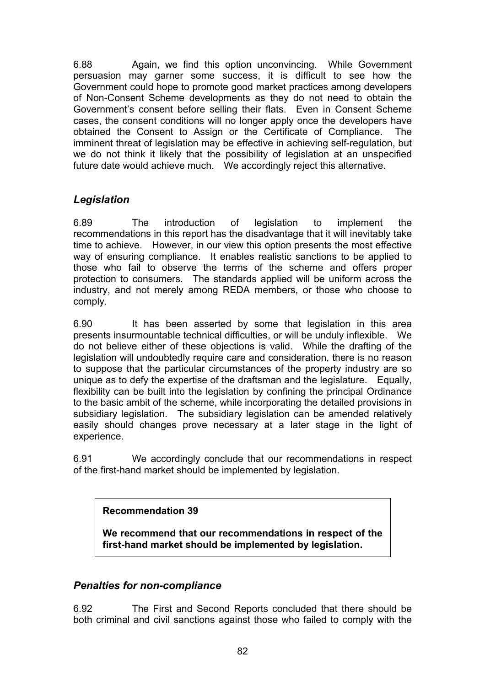6.88 Again, we find this option unconvincing. While Government persuasion may garner some success, it is difficult to see how the Government could hope to promote good market practices among developers of Non-Consent Scheme developments as they do not need to obtain the Government's consent before selling their flats. Even in Consent Scheme cases, the consent conditions will no longer apply once the developers have obtained the Consent to Assign or the Certificate of Compliance. The imminent threat of legislation may be effective in achieving self-regulation, but we do not think it likely that the possibility of legislation at an unspecified future date would achieve much. We accordingly reject this alternative.

# *Legislation*

6.89 The introduction of legislation to implement the recommendations in this report has the disadvantage that it will inevitably take time to achieve. However, in our view this option presents the most effective way of ensuring compliance. It enables realistic sanctions to be applied to those who fail to observe the terms of the scheme and offers proper protection to consumers. The standards applied will be uniform across the industry, and not merely among REDA members, or those who choose to comply.

6.90 It has been asserted by some that legislation in this area presents insurmountable technical difficulties, or will be unduly inflexible. We do not believe either of these objections is valid. While the drafting of the legislation will undoubtedly require care and consideration, there is no reason to suppose that the particular circumstances of the property industry are so unique as to defy the expertise of the draftsman and the legislature. Equally, flexibility can be built into the legislation by confining the principal Ordinance to the basic ambit of the scheme, while incorporating the detailed provisions in subsidiary legislation. The subsidiary legislation can be amended relatively easily should changes prove necessary at a later stage in the light of experience.

6.91 We accordingly conclude that our recommendations in respect of the first-hand market should be implemented by legislation.

**Recommendation 39**

**We recommend that our recommendations in respect of the first-hand market should be implemented by legislation.**

# *Penalties for non-compliance*

6.92 The First and Second Reports concluded that there should be both criminal and civil sanctions against those who failed to comply with the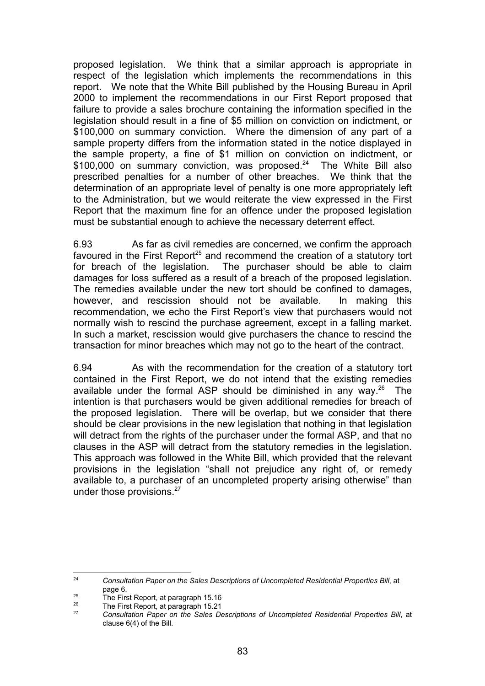proposed legislation. We think that a similar approach is appropriate in respect of the legislation which implements the recommendations in this report. We note that the White Bill published by the Housing Bureau in April 2000 to implement the recommendations in our First Report proposed that failure to provide a sales brochure containing the information specified in the legislation should result in a fine of \$5 million on conviction on indictment, or \$100,000 on summary conviction. Where the dimension of any part of a sample property differs from the information stated in the notice displayed in the sample property, a fine of \$1 million on conviction on indictment, or  $$100,000$  on summary conviction, was proposed.<sup>24</sup> The White Bill also prescribed penalties for a number of other breaches. We think that the determination of an appropriate level of penalty is one more appropriately left to the Administration, but we would reiterate the view expressed in the First Report that the maximum fine for an offence under the proposed legislation must be substantial enough to achieve the necessary deterrent effect.

6.93 As far as civil remedies are concerned, we confirm the approach favoured in the First Report<sup>25</sup> and recommend the creation of a statutory tort for breach of the legislation. The purchaser should be able to claim The purchaser should be able to claim damages for loss suffered as a result of a breach of the proposed legislation. The remedies available under the new tort should be confined to damages, however, and rescission should not be available. In making this recommendation, we echo the First Report's view that purchasers would not normally wish to rescind the purchase agreement, except in a falling market. In such a market, rescission would give purchasers the chance to rescind the transaction for minor breaches which may not go to the heart of the contract.

6.94 As with the recommendation for the creation of a statutory tort contained in the First Report, we do not intend that the existing remedies available under the formal ASP should be diminished in any way. $26$  The intention is that purchasers would be given additional remedies for breach of the proposed legislation. There will be overlap, but we consider that there should be clear provisions in the new legislation that nothing in that legislation will detract from the rights of the purchaser under the formal ASP, and that no clauses in the ASP will detract from the statutory remedies in the legislation. This approach was followed in the White Bill, which provided that the relevant provisions in the legislation "shall not prejudice any right of, or remedy available to, a purchaser of an uncompleted property arising otherwise" than under those provisions.<sup>27</sup>

 $24$ <sup>24</sup> *Consultation Paper on the Sales Descriptions of Uncompleted Residential Properties Bill*, at page 6.

<sup>&</sup>lt;sup>25</sup> The First Report, at paragraph 15.16

<sup>&</sup>lt;sup>26</sup> The First Report, at paragraph 15.21

<sup>27</sup> *Consultation Paper on the Sales Descriptions of Uncompleted Residential Properties Bill*, at clause 6(4) of the Bill.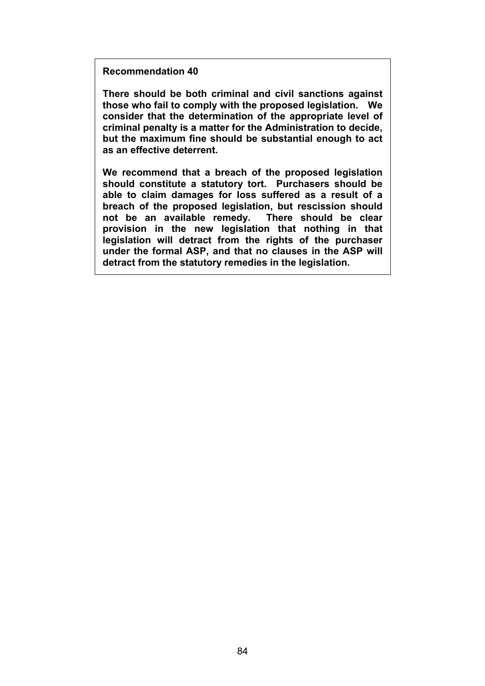**Recommendation 40**

**There should be both criminal and civil sanctions against those who fail to comply with the proposed legislation. We consider that the determination of the appropriate level of criminal penalty is a matter for the Administration to decide, but the maximum fine should be substantial enough to act as an effective deterrent.**

**We recommend that a breach of the proposed legislation should constitute a statutory tort. Purchasers should be able to claim damages for loss suffered as a result of a breach of the proposed legislation, but rescission should not be an available remedy. There should be clear provision in the new legislation that nothing in that legislation will detract from the rights of the purchaser under the formal ASP, and that no clauses in the ASP will detract from the statutory remedies in the legislation.**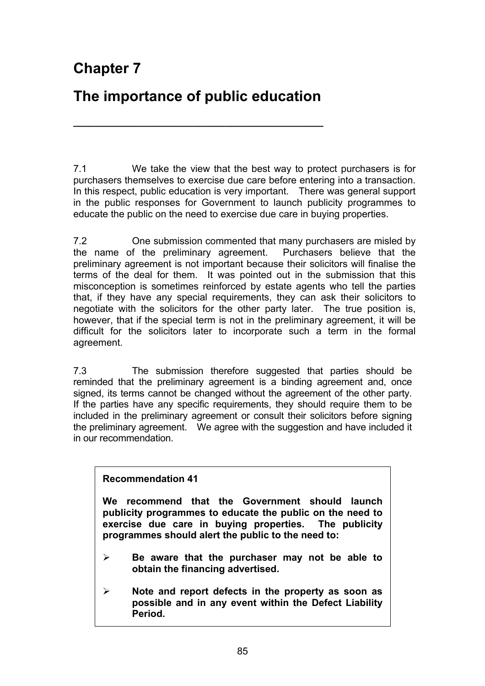# **Chapter 7**

# **The importance of public education**

**\_\_\_\_\_\_\_\_\_\_\_\_\_\_\_\_\_\_\_\_\_\_\_\_\_\_\_\_\_\_\_\_\_\_\_\_\_\_\_\_\_\_\_\_\_\_**

7.1 We take the view that the best way to protect purchasers is for purchasers themselves to exercise due care before entering into a transaction. In this respect, public education is very important. There was general support in the public responses for Government to launch publicity programmes to educate the public on the need to exercise due care in buying properties.

7.2 One submission commented that many purchasers are misled by the name of the preliminary agreement. Purchasers believe that the preliminary agreement is not important because their solicitors will finalise the terms of the deal for them. It was pointed out in the submission that this misconception is sometimes reinforced by estate agents who tell the parties that, if they have any special requirements, they can ask their solicitors to negotiate with the solicitors for the other party later. The true position is, however, that if the special term is not in the preliminary agreement, it will be difficult for the solicitors later to incorporate such a term in the formal agreement.

7.3 The submission therefore suggested that parties should be reminded that the preliminary agreement is a binding agreement and, once signed, its terms cannot be changed without the agreement of the other party. If the parties have any specific requirements, they should require them to be included in the preliminary agreement or consult their solicitors before signing the preliminary agreement. We agree with the suggestion and have included it in our recommendation.

## **Recommendation 41**

**We recommend that the Government should launch publicity programmes to educate the public on the need to exercise due care in buying properties. The publicity programmes should alert the public to the need to:**

- ¾ **Be aware that the purchaser may not be able to obtain the financing advertised.**
- ¾ **Note and report defects in the property as soon as possible and in any event within the Defect Liability Period.**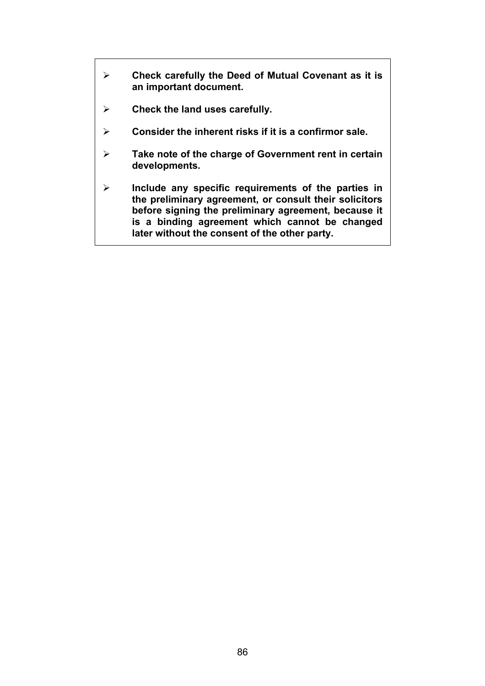- ¾ **Check carefully the Deed of Mutual Covenant as it is an important document.**
- ¾ **Check the land uses carefully.**
- ¾ **Consider the inherent risks if it is a confirmor sale.**
- ¾ **Take note of the charge of Government rent in certain developments.**
- ¾ **Include any specific requirements of the parties in the preliminary agreement, or consult their solicitors before signing the preliminary agreement, because it is a binding agreement which cannot be changed later without the consent of the other party.**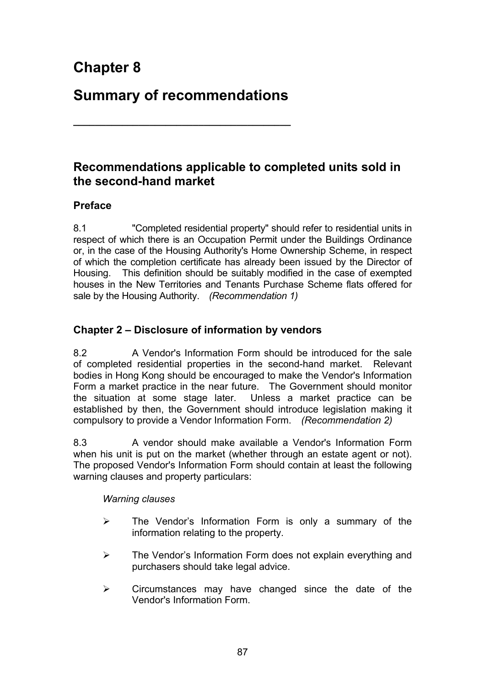# **Chapter 8**

# **Summary of recommendations**

**\_\_\_\_\_\_\_\_\_\_\_\_\_\_\_\_\_\_\_\_\_\_\_\_\_\_\_\_\_\_\_\_\_\_\_\_\_\_\_\_**

# **Recommendations applicable to completed units sold in the second-hand market**

# **Preface**

8.1 "Completed residential property" should refer to residential units in respect of which there is an Occupation Permit under the Buildings Ordinance or, in the case of the Housing Authority's Home Ownership Scheme, in respect of which the completion certificate has already been issued by the Director of Housing. This definition should be suitably modified in the case of exempted houses in the New Territories and Tenants Purchase Scheme flats offered for sale by the Housing Authority. *(Recommendation 1)*

# **Chapter 2 – Disclosure of information by vendors**

8.2 A Vendor's Information Form should be introduced for the sale of completed residential properties in the second-hand market. Relevant bodies in Hong Kong should be encouraged to make the Vendor's Information Form a market practice in the near future. The Government should monitor the situation at some stage later. Unless a market practice can be established by then, the Government should introduce legislation making it compulsory to provide a Vendor Information Form. *(Recommendation 2)*

8.3 A vendor should make available a Vendor's Information Form when his unit is put on the market (whether through an estate agent or not). The proposed Vendor's Information Form should contain at least the following warning clauses and property particulars:

*Warning clauses*

- $\geq$  The Vendor's Information Form is only a summary of the information relating to the property.
- $\triangleright$  The Vendor's Information Form does not explain everything and purchasers should take legal advice.
- $\triangleright$  Circumstances may have changed since the date of the Vendor's Information Form.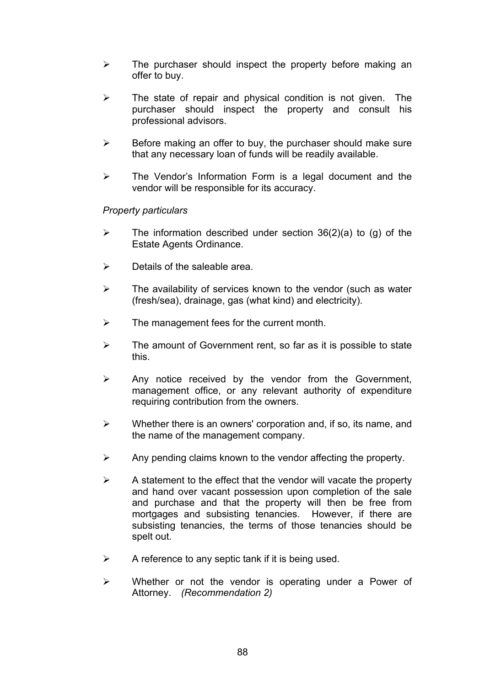- $\triangleright$  The purchaser should inspect the property before making an offer to buy.
- $\triangleright$  The state of repair and physical condition is not given. The purchaser should inspect the property and consult his professional advisors.
- $\triangleright$  Before making an offer to buy, the purchaser should make sure that any necessary loan of funds will be readily available.
- $\triangleright$  The Vendor's Information Form is a legal document and the vendor will be responsible for its accuracy.

#### *Property particulars*

- $\triangleright$  The information described under section 36(2)(a) to (g) of the Estate Agents Ordinance.
- $\triangleright$  Details of the saleable area.
- $\triangleright$  The availability of services known to the vendor (such as water (fresh/sea), drainage, gas (what kind) and electricity).
- $\triangleright$  The management fees for the current month.
- $\triangleright$  The amount of Government rent, so far as it is possible to state this.
- $\triangleright$  Any notice received by the vendor from the Government, management office, or any relevant authority of expenditure requiring contribution from the owners.
- $\triangleright$  Whether there is an owners' corporation and, if so, its name, and the name of the management company.
- $\triangleright$  Any pending claims known to the vendor affecting the property.
- $\triangleright$  A statement to the effect that the vendor will vacate the property and hand over vacant possession upon completion of the sale and purchase and that the property will then be free from mortgages and subsisting tenancies. However, if there are subsisting tenancies, the terms of those tenancies should be spelt out.
- $\triangleright$  A reference to any septic tank if it is being used.
- $\triangleright$  Whether or not the vendor is operating under a Power of Attorney. *(Recommendation 2)*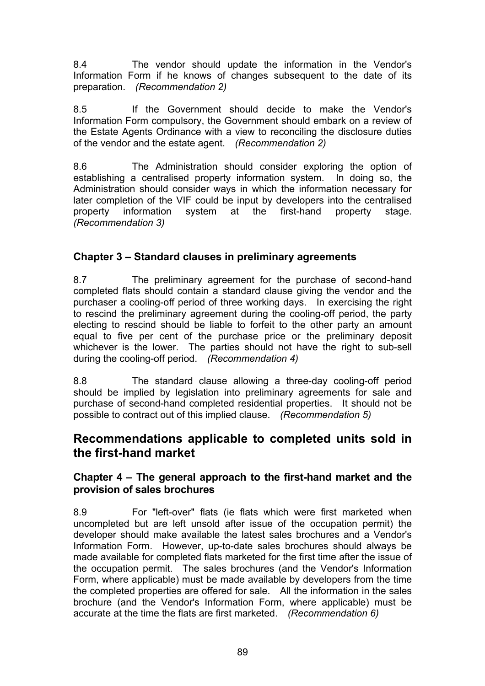8.4 The vendor should update the information in the Vendor's Information Form if he knows of changes subsequent to the date of its preparation. *(Recommendation 2)*

8.5 If the Government should decide to make the Vendor's Information Form compulsory, the Government should embark on a review of the Estate Agents Ordinance with a view to reconciling the disclosure duties of the vendor and the estate agent. *(Recommendation 2)*

8.6 The Administration should consider exploring the option of establishing a centralised property information system. In doing so, the Administration should consider ways in which the information necessary for later completion of the VIF could be input by developers into the centralised property information system at the first-hand property stage. *(Recommendation 3)*

# **Chapter 3 – Standard clauses in preliminary agreements**

8.7 The preliminary agreement for the purchase of second-hand completed flats should contain a standard clause giving the vendor and the purchaser a cooling-off period of three working days. In exercising the right to rescind the preliminary agreement during the cooling-off period, the party electing to rescind should be liable to forfeit to the other party an amount equal to five per cent of the purchase price or the preliminary deposit whichever is the lower. The parties should not have the right to sub-sell during the cooling-off period. *(Recommendation 4)*

8.8 The standard clause allowing a three-day cooling-off period should be implied by legislation into preliminary agreements for sale and purchase of second-hand completed residential properties. It should not be possible to contract out of this implied clause. *(Recommendation 5)*

# **Recommendations applicable to completed units sold in the first-hand market**

## **Chapter 4 – The general approach to the first-hand market and the provision of sales brochures**

8.9 For "left-over" flats (ie flats which were first marketed when uncompleted but are left unsold after issue of the occupation permit) the developer should make available the latest sales brochures and a Vendor's Information Form. However, up-to-date sales brochures should always be made available for completed flats marketed for the first time after the issue of the occupation permit. The sales brochures (and the Vendor's Information Form, where applicable) must be made available by developers from the time the completed properties are offered for sale. All the information in the sales brochure (and the Vendor's Information Form, where applicable) must be accurate at the time the flats are first marketed. *(Recommendation 6)*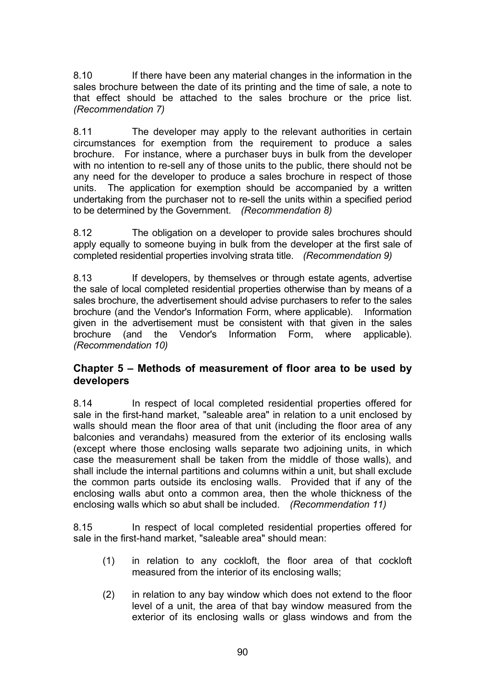8.10 If there have been any material changes in the information in the sales brochure between the date of its printing and the time of sale, a note to that effect should be attached to the sales brochure or the price list. *(Recommendation 7)*

8.11 The developer may apply to the relevant authorities in certain circumstances for exemption from the requirement to produce a sales brochure. For instance, where a purchaser buys in bulk from the developer with no intention to re-sell any of those units to the public, there should not be any need for the developer to produce a sales brochure in respect of those units. The application for exemption should be accompanied by a written undertaking from the purchaser not to re-sell the units within a specified period to be determined by the Government. *(Recommendation 8)*

8.12 The obligation on a developer to provide sales brochures should apply equally to someone buying in bulk from the developer at the first sale of completed residential properties involving strata title. *(Recommendation 9)*

8.13 If developers, by themselves or through estate agents, advertise the sale of local completed residential properties otherwise than by means of a sales brochure, the advertisement should advise purchasers to refer to the sales brochure (and the Vendor's Information Form, where applicable). Information given in the advertisement must be consistent with that given in the sales brochure (and the Vendor's Information Form, where applicable). *(Recommendation 10)*

## **Chapter 5 – Methods of measurement of floor area to be used by developers**

8.14 In respect of local completed residential properties offered for sale in the first-hand market, "saleable area" in relation to a unit enclosed by walls should mean the floor area of that unit (including the floor area of any balconies and verandahs) measured from the exterior of its enclosing walls (except where those enclosing walls separate two adjoining units, in which case the measurement shall be taken from the middle of those walls), and shall include the internal partitions and columns within a unit, but shall exclude the common parts outside its enclosing walls. Provided that if any of the enclosing walls abut onto a common area, then the whole thickness of the enclosing walls which so abut shall be included. *(Recommendation 11)*

8.15 In respect of local completed residential properties offered for sale in the first-hand market, "saleable area" should mean:

- (1) in relation to any cockloft, the floor area of that cockloft measured from the interior of its enclosing walls;
- (2) in relation to any bay window which does not extend to the floor level of a unit, the area of that bay window measured from the exterior of its enclosing walls or glass windows and from the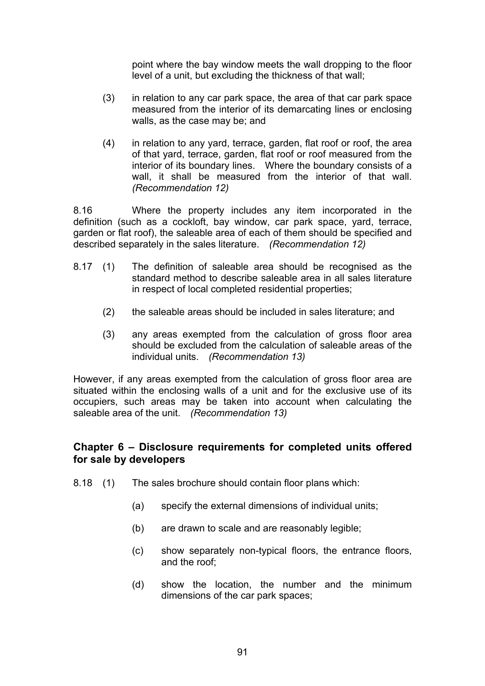point where the bay window meets the wall dropping to the floor level of a unit, but excluding the thickness of that wall;

- (3) in relation to any car park space, the area of that car park space measured from the interior of its demarcating lines or enclosing walls, as the case may be; and
- (4) in relation to any yard, terrace, garden, flat roof or roof, the area of that yard, terrace, garden, flat roof or roof measured from the interior of its boundary lines. Where the boundary consists of a wall, it shall be measured from the interior of that wall. *(Recommendation 12)*

8.16 Where the property includes any item incorporated in the definition (such as a cockloft, bay window, car park space, yard, terrace, garden or flat roof), the saleable area of each of them should be specified and described separately in the sales literature. *(Recommendation 12)*

- 8.17 (1) The definition of saleable area should be recognised as the standard method to describe saleable area in all sales literature in respect of local completed residential properties;
	- (2) the saleable areas should be included in sales literature; and
	- (3) any areas exempted from the calculation of gross floor area should be excluded from the calculation of saleable areas of the individual units.*(Recommendation 13)*

However, if any areas exempted from the calculation of gross floor area are situated within the enclosing walls of a unit and for the exclusive use of its occupiers, such areas may be taken into account when calculating the saleable area of the unit. *(Recommendation 13)*

## **Chapter 6 – Disclosure requirements for completed units offered for sale by developers**

- 8.18 (1) The sales brochure should contain floor plans which:
	- (a) specify the external dimensions of individual units;
	- (b) are drawn to scale and are reasonably legible;
	- (c) show separately non-typical floors, the entrance floors, and the roof;
	- (d) show the location, the number and the minimum dimensions of the car park spaces;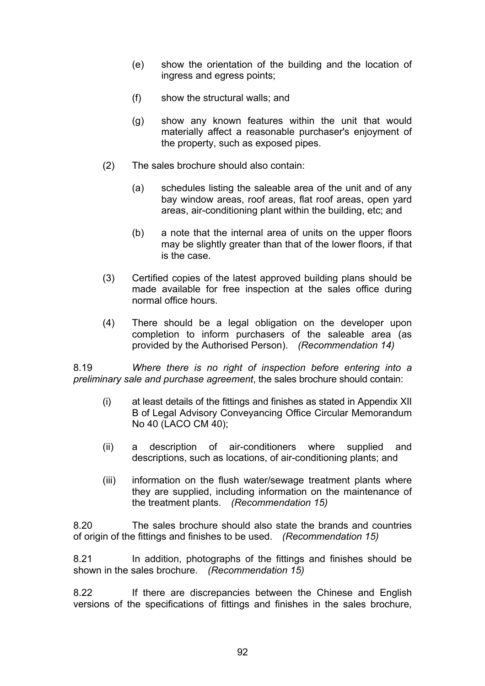- (e) show the orientation of the building and the location of ingress and egress points;
- (f) show the structural walls; and
- (g) show any known features within the unit that would materially affect a reasonable purchaser's enjoyment of the property, such as exposed pipes.
- (2) The sales brochure should also contain:
	- (a) schedules listing the saleable area of the unit and of any bay window areas, roof areas, flat roof areas, open yard areas, air-conditioning plant within the building, etc; and
	- (b) a note that the internal area of units on the upper floors may be slightly greater than that of the lower floors, if that is the case.
- (3) Certified copies of the latest approved building plans should be made available for free inspection at the sales office during normal office hours.
- (4) There should be a legal obligation on the developer upon completion to inform purchasers of the saleable area (as provided by the Authorised Person). *(Recommendation 14)*

8.19 *Where there is no right of inspection before entering into a preliminary sale and purchase agreement*, the sales brochure should contain:

- (i) at least details of the fittings and finishes as stated in Appendix XII B of Legal Advisory Conveyancing Office Circular Memorandum No 40 (LACO CM 40);
- (ii) a description of air-conditioners where supplied and descriptions, such as locations, of air-conditioning plants; and
- (iii) information on the flush water/sewage treatment plants where they are supplied, including information on the maintenance of the treatment plants. *(Recommendation 15)*

8.20 The sales brochure should also state the brands and countries of origin of the fittings and finishes to be used. *(Recommendation 15)*

8.21 In addition, photographs of the fittings and finishes should be shown in the sales brochure. *(Recommendation 15)*

8.22 If there are discrepancies between the Chinese and English versions of the specifications of fittings and finishes in the sales brochure,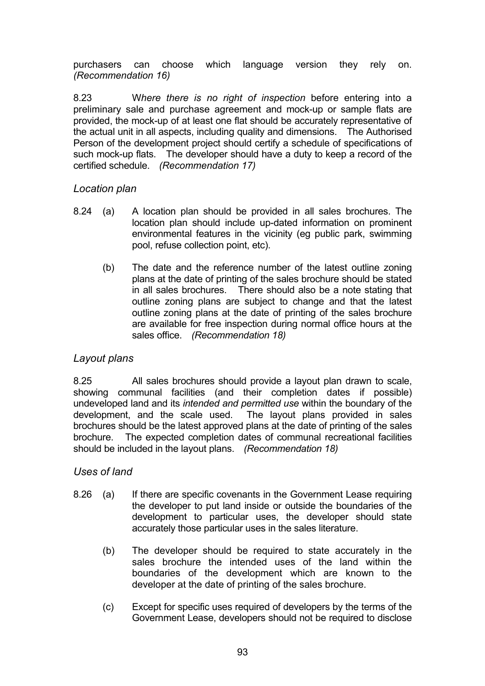purchasers can choose which language version they rely on. *(Recommendation 16)*

8.23 W*here there is no right of inspection* before entering into a preliminary sale and purchase agreement and mock-up or sample flats are provided, the mock-up of at least one flat should be accurately representative of the actual unit in all aspects, including quality and dimensions. The Authorised Person of the development project should certify a schedule of specifications of such mock-up flats. The developer should have a duty to keep a record of the certified schedule. *(Recommendation 17)*

## *Location plan*

- 8.24 (a) A location plan should be provided in all sales brochures. The location plan should include up-dated information on prominent environmental features in the vicinity (eg public park, swimming pool, refuse collection point, etc).
	- (b) The date and the reference number of the latest outline zoning plans at the date of printing of the sales brochure should be stated in all sales brochures. There should also be a note stating that outline zoning plans are subject to change and that the latest outline zoning plans at the date of printing of the sales brochure are available for free inspection during normal office hours at the sales office. *(Recommendation 18)*

## *Layout plans*

8.25 All sales brochures should provide a layout plan drawn to scale, showing communal facilities (and their completion dates if possible) undeveloped land and its *intended and permitted use* within the boundary of the development, and the scale used. The layout plans provided in sales brochures should be the latest approved plans at the date of printing of the sales brochure. The expected completion dates of communal recreational facilities should be included in the layout plans. *(Recommendation 18)*

## *Uses of land*

- 8.26 (a) If there are specific covenants in the Government Lease requiring the developer to put land inside or outside the boundaries of the development to particular uses, the developer should state accurately those particular uses in the sales literature.
	- (b) The developer should be required to state accurately in the sales brochure the intended uses of the land within the boundaries of the development which are known to the developer at the date of printing of the sales brochure.
	- (c) Except for specific uses required of developers by the terms of the Government Lease, developers should not be required to disclose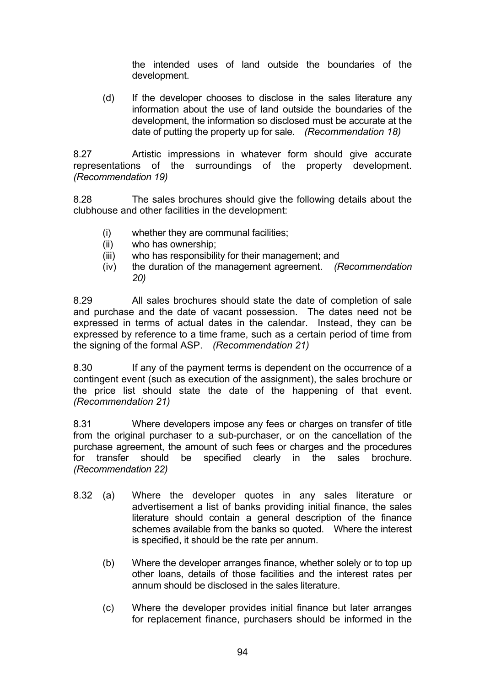the intended uses of land outside the boundaries of the development.

(d) If the developer chooses to disclose in the sales literature any information about the use of land outside the boundaries of the development, the information so disclosed must be accurate at the date of putting the property up for sale. *(Recommendation 18)*

8.27 Artistic impressions in whatever form should give accurate representations of the surroundings of the property development. *(Recommendation 19)*

8.28 The sales brochures should give the following details about the clubhouse and other facilities in the development:

- (i) whether they are communal facilities;
- (ii) who has ownership;
- (iii) who has responsibility for their management; and
- (iv) the duration of the management agreement. *(Recommendation 20)*

8.29 All sales brochures should state the date of completion of sale and purchase and the date of vacant possession. The dates need not be expressed in terms of actual dates in the calendar. Instead, they can be expressed by reference to a time frame, such as a certain period of time from the signing of the formal ASP. *(Recommendation 21)*

8.30 If any of the payment terms is dependent on the occurrence of a contingent event (such as execution of the assignment), the sales brochure or the price list should state the date of the happening of that event. *(Recommendation 21)*

8.31 Where developers impose any fees or charges on transfer of title from the original purchaser to a sub-purchaser, or on the cancellation of the purchase agreement, the amount of such fees or charges and the procedures for transfer should be specified clearly in the sales brochure. *(Recommendation 22)*

- 8.32 (a) Where the developer quotes in any sales literature or advertisement a list of banks providing initial finance, the sales literature should contain a general description of the finance schemes available from the banks so quoted. Where the interest is specified, it should be the rate per annum.
	- (b) Where the developer arranges finance, whether solely or to top up other loans, details of those facilities and the interest rates per annum should be disclosed in the sales literature.
	- (c) Where the developer provides initial finance but later arranges for replacement finance, purchasers should be informed in the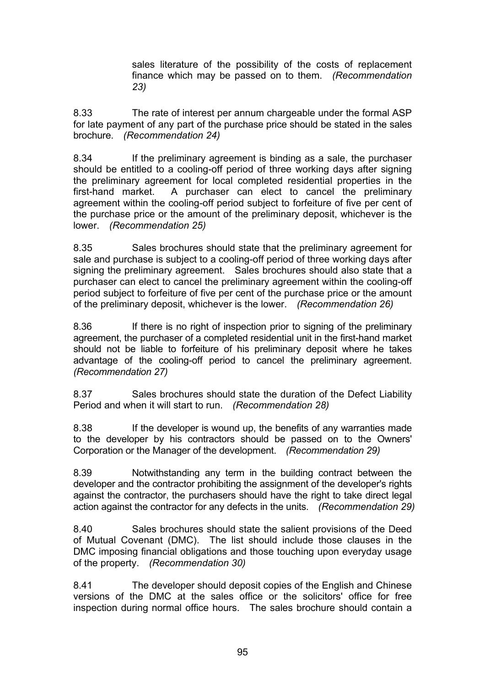sales literature of the possibility of the costs of replacement finance which may be passed on to them. *(Recommendation 23)*

8.33 The rate of interest per annum chargeable under the formal ASP for late payment of any part of the purchase price should be stated in the sales brochure. *(Recommendation 24)*

8.34 If the preliminary agreement is binding as a sale, the purchaser should be entitled to a cooling-off period of three working days after signing the preliminary agreement for local completed residential properties in the first-hand market. A purchaser can elect to cancel the preliminary agreement within the cooling-off period subject to forfeiture of five per cent of the purchase price or the amount of the preliminary deposit, whichever is the lower. *(Recommendation 25)*

8.35 Sales brochures should state that the preliminary agreement for sale and purchase is subject to a cooling-off period of three working days after signing the preliminary agreement. Sales brochures should also state that a purchaser can elect to cancel the preliminary agreement within the cooling-off period subject to forfeiture of five per cent of the purchase price or the amount of the preliminary deposit, whichever is the lower. *(Recommendation 26)*

8.36 If there is no right of inspection prior to signing of the preliminary agreement, the purchaser of a completed residential unit in the first-hand market should not be liable to forfeiture of his preliminary deposit where he takes advantage of the cooling-off period to cancel the preliminary agreement. *(Recommendation 27)*

8.37 Sales brochures should state the duration of the Defect Liability Period and when it will start to run.*(Recommendation 28)*

8.38 If the developer is wound up, the benefits of any warranties made to the developer by his contractors should be passed on to the Owners' Corporation or the Manager of the development. *(Recommendation 29)*

8.39 Notwithstanding any term in the building contract between the developer and the contractor prohibiting the assignment of the developer's rights against the contractor, the purchasers should have the right to take direct legal action against the contractor for any defects in the units.*(Recommendation 29)*

8.40 Sales brochures should state the salient provisions of the Deed of Mutual Covenant (DMC). The list should include those clauses in the DMC imposing financial obligations and those touching upon everyday usage of the property. *(Recommendation 30)*

8.41 The developer should deposit copies of the English and Chinese versions of the DMC at the sales office or the solicitors' office for free inspection during normal office hours. The sales brochure should contain a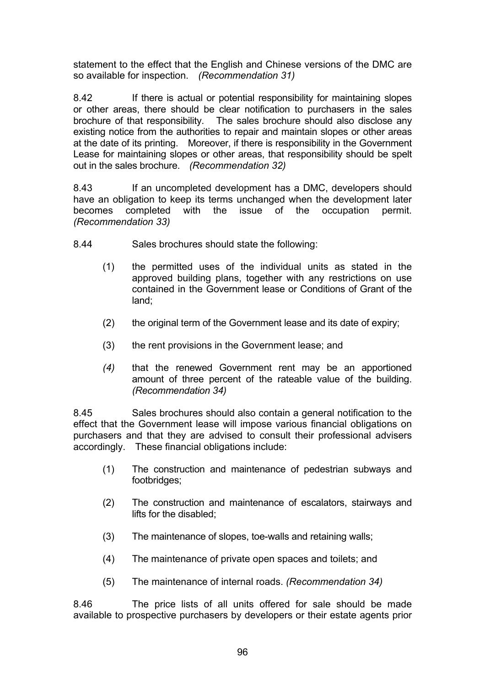statement to the effect that the English and Chinese versions of the DMC are so available for inspection.*(Recommendation 31)*

8.42 If there is actual or potential responsibility for maintaining slopes or other areas, there should be clear notification to purchasers in the sales brochure of that responsibility. The sales brochure should also disclose any The sales brochure should also disclose any existing notice from the authorities to repair and maintain slopes or other areas at the date of its printing. Moreover, if there is responsibility in the Government Lease for maintaining slopes or other areas, that responsibility should be spelt out in the sales brochure. *(Recommendation 32)*

8.43 If an uncompleted development has a DMC, developers should have an obligation to keep its terms unchanged when the development later becomes completed with the issue of the occupation permit. *(Recommendation 33)*

8.44 Sales brochures should state the following:

- (1) the permitted uses of the individual units as stated in the approved building plans, together with any restrictions on use contained in the Government lease or Conditions of Grant of the land;
- (2) the original term of the Government lease and its date of expiry;
- (3) the rent provisions in the Government lease; and
- *(4)* that the renewed Government rent may be an apportioned amount of three percent of the rateable value of the building. *(Recommendation 34)*

8.45 Sales brochures should also contain a general notification to the effect that the Government lease will impose various financial obligations on purchasers and that they are advised to consult their professional advisers accordingly. These financial obligations include:

- (1) The construction and maintenance of pedestrian subways and footbridges;
- (2) The construction and maintenance of escalators, stairways and lifts for the disabled;
- (3) The maintenance of slopes, toe-walls and retaining walls;
- (4) The maintenance of private open spaces and toilets; and
- (5) The maintenance of internal roads. *(Recommendation 34)*

8.46 The price lists of all units offered for sale should be made available to prospective purchasers by developers or their estate agents prior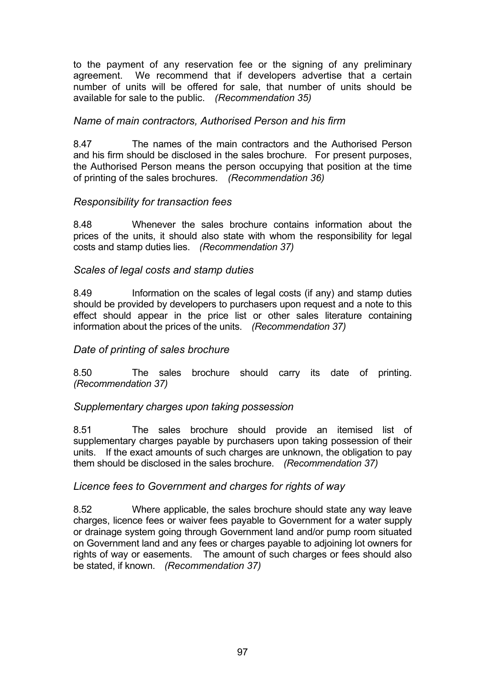to the payment of any reservation fee or the signing of any preliminary agreement. We recommend that if developers advertise that a certain number of units will be offered for sale, that number of units should be available for sale to the public. *(Recommendation 35)*

#### *Name of main contractors, Authorised Person and his firm*

8.47 The names of the main contractors and the Authorised Person and his firm should be disclosed in the sales brochure. For present purposes, the Authorised Person means the person occupying that position at the time of printing of the sales brochures. *(Recommendation 36)*

#### *Responsibility for transaction fees*

8.48 Whenever the sales brochure contains information about the prices of the units, it should also state with whom the responsibility for legal costs and stamp duties lies. *(Recommendation 37)*

#### *Scales of legal costs and stamp duties*

8.49 Information on the scales of legal costs (if any) and stamp duties should be provided by developers to purchasers upon request and a note to this effect should appear in the price list or other sales literature containing information about the prices of the units. *(Recommendation 37)*

## *Date of printing of sales brochure*

8.50 The sales brochure should carry its date of printing. *(Recommendation 37)*

#### *Supplementary charges upon taking possession*

8.51 The sales brochure should provide an itemised list of supplementary charges payable by purchasers upon taking possession of their units. If the exact amounts of such charges are unknown, the obligation to pay them should be disclosed in the sales brochure. *(Recommendation 37)*

#### *Licence fees to Government and charges for rights of way*

8.52 Where applicable, the sales brochure should state any way leave charges, licence fees or waiver fees payable to Government for a water supply or drainage system going through Government land and/or pump room situated on Government land and any fees or charges payable to adjoining lot owners for rights of way or easements. The amount of such charges or fees should also be stated, if known. *(Recommendation 37)*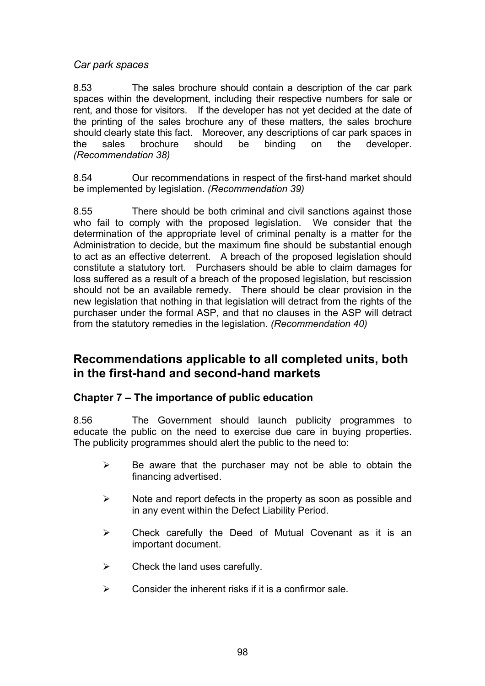*Car park spaces*

8.53 The sales brochure should contain a description of the car park spaces within the development, including their respective numbers for sale or rent, and those for visitors. If the developer has not yet decided at the date of the printing of the sales brochure any of these matters, the sales brochure should clearly state this fact. Moreover, any descriptions of car park spaces in the sales brochure should be binding on the developer. *(Recommendation 38)*

8.54 Our recommendations in respect of the first-hand market should be implemented by legislation. *(Recommendation 39)*

8.55 There should be both criminal and civil sanctions against those who fail to comply with the proposed legislation. We consider that the determination of the appropriate level of criminal penalty is a matter for the Administration to decide, but the maximum fine should be substantial enough to act as an effective deterrent. A breach of the proposed legislation should constitute a statutory tort. Purchasers should be able to claim damages for loss suffered as a result of a breach of the proposed legislation, but rescission should not be an available remedy. There should be clear provision in the new legislation that nothing in that legislation will detract from the rights of the purchaser under the formal ASP, and that no clauses in the ASP will detract from the statutory remedies in the legislation. *(Recommendation 40)*

# **Recommendations applicable to all completed units, both in the first-hand and second-hand markets**

# **Chapter 7 – The importance of public education**

8.56 The Government should launch publicity programmes to educate the public on the need to exercise due care in buying properties. The publicity programmes should alert the public to the need to:

- $\triangleright$  Be aware that the purchaser may not be able to obtain the financing advertised.
- $\triangleright$  Note and report defects in the property as soon as possible and in any event within the Defect Liability Period.
- $\triangleright$  Check carefully the Deed of Mutual Covenant as it is an important document.
- $\triangleright$  Check the land uses carefully.
- $\triangleright$  Consider the inherent risks if it is a confirmor sale.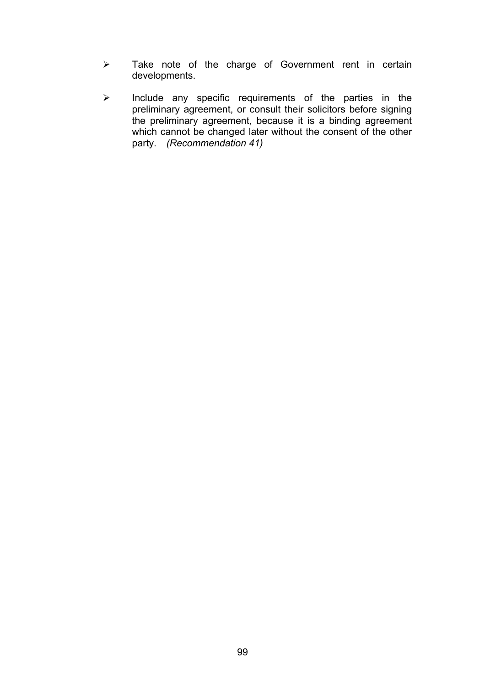- ¾ Take note of the charge of Government rent in certain developments.
- ¾ Include any specific requirements of the parties in the preliminary agreement, or consult their solicitors before signing the preliminary agreement, because it is a binding agreement which cannot be changed later without the consent of the other party. *(Recommendation 41)*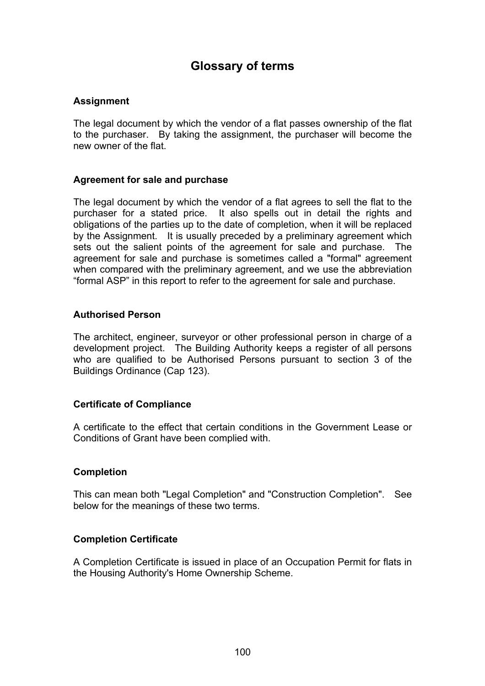# **Glossary of terms**

#### **Assignment**

The legal document by which the vendor of a flat passes ownership of the flat to the purchaser. By taking the assignment, the purchaser will become the new owner of the flat.

#### **Agreement for sale and purchase**

The legal document by which the vendor of a flat agrees to sell the flat to the purchaser for a stated price. It also spells out in detail the rights and obligations of the parties up to the date of completion, when it will be replaced by the Assignment. It is usually preceded by a preliminary agreement which sets out the salient points of the agreement for sale and purchase. The agreement for sale and purchase is sometimes called a "formal" agreement when compared with the preliminary agreement, and we use the abbreviation "formal ASP" in this report to refer to the agreement for sale and purchase.

#### **Authorised Person**

The architect, engineer, surveyor or other professional person in charge of a development project. The Building Authority keeps a register of all persons who are qualified to be Authorised Persons pursuant to section 3 of the Buildings Ordinance (Cap 123).

#### **Certificate of Compliance**

A certificate to the effect that certain conditions in the Government Lease or Conditions of Grant have been complied with.

#### **Completion**

This can mean both "Legal Completion" and "Construction Completion". See below for the meanings of these two terms.

#### **Completion Certificate**

A Completion Certificate is issued in place of an Occupation Permit for flats in the Housing Authority's Home Ownership Scheme.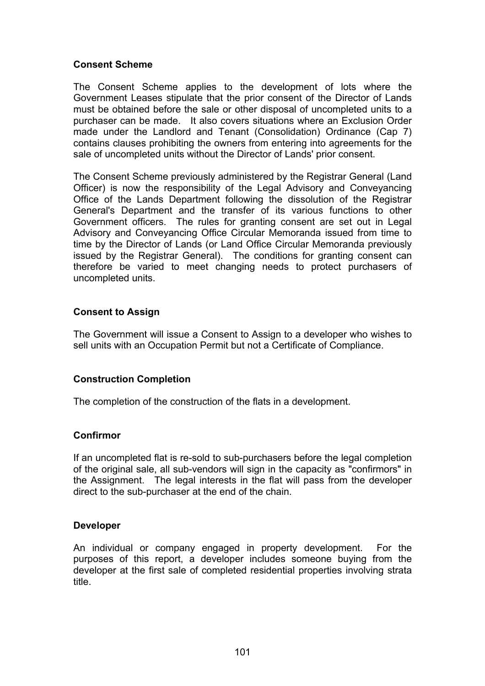#### **Consent Scheme**

The Consent Scheme applies to the development of lots where the Government Leases stipulate that the prior consent of the Director of Lands must be obtained before the sale or other disposal of uncompleted units to a purchaser can be made. It also covers situations where an Exclusion Order made under the Landlord and Tenant (Consolidation) Ordinance (Cap 7) contains clauses prohibiting the owners from entering into agreements for the sale of uncompleted units without the Director of Lands' prior consent.

The Consent Scheme previously administered by the Registrar General (Land Officer) is now the responsibility of the Legal Advisory and Conveyancing Office of the Lands Department following the dissolution of the Registrar General's Department and the transfer of its various functions to other Government officers. The rules for granting consent are set out in Legal Advisory and Conveyancing Office Circular Memoranda issued from time to time by the Director of Lands (or Land Office Circular Memoranda previously issued by the Registrar General). The conditions for granting consent can therefore be varied to meet changing needs to protect purchasers of uncompleted units.

## **Consent to Assign**

The Government will issue a Consent to Assign to a developer who wishes to sell units with an Occupation Permit but not a Certificate of Compliance.

#### **Construction Completion**

The completion of the construction of the flats in a development.

#### **Confirmor**

If an uncompleted flat is re-sold to sub-purchasers before the legal completion of the original sale, all sub-vendors will sign in the capacity as "confirmors" in the Assignment. The legal interests in the flat will pass from the developer direct to the sub-purchaser at the end of the chain.

#### **Developer**

An individual or company engaged in property development. For the purposes of this report, a developer includes someone buying from the developer at the first sale of completed residential properties involving strata title.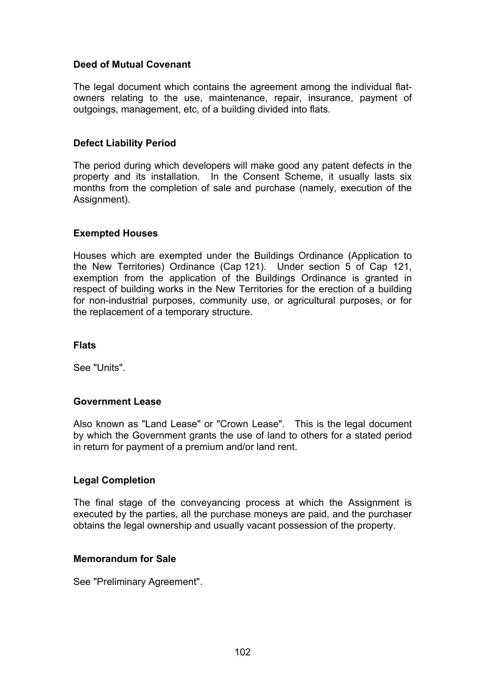#### **Deed of Mutual Covenant**

The legal document which contains the agreement among the individual flatowners relating to the use, maintenance, repair, insurance, payment of outgoings, management, etc, of a building divided into flats.

#### **Defect Liability Period**

The period during which developers will make good any patent defects in the property and its installation. In the Consent Scheme, it usually lasts six months from the completion of sale and purchase (namely, execution of the Assignment).

#### **Exempted Houses**

Houses which are exempted under the Buildings Ordinance (Application to the New Territories) Ordinance (Cap 121). Under section 5 of Cap 121, exemption from the application of the Buildings Ordinance is granted in respect of building works in the New Territories for the erection of a building for non-industrial purposes, community use, or agricultural purposes, or for the replacement of a temporary structure.

#### **Flats**

See "Units".

#### **Government Lease**

Also known as "Land Lease" or "Crown Lease". This is the legal document by which the Government grants the use of land to others for a stated period in return for payment of a premium and/or land rent.

#### **Legal Completion**

The final stage of the conveyancing process at which the Assignment is executed by the parties, all the purchase moneys are paid, and the purchaser obtains the legal ownership and usually vacant possession of the property.

#### **Memorandum for Sale**

See "Preliminary Agreement".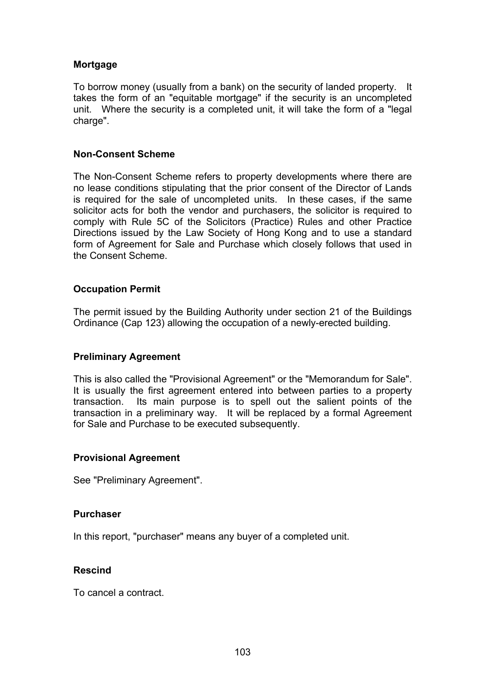#### **Mortgage**

To borrow money (usually from a bank) on the security of landed property. It takes the form of an "equitable mortgage" if the security is an uncompleted unit. Where the security is a completed unit, it will take the form of a "legal charge".

#### **Non-Consent Scheme**

The Non-Consent Scheme refers to property developments where there are no lease conditions stipulating that the prior consent of the Director of Lands is required for the sale of uncompleted units. In these cases, if the same solicitor acts for both the vendor and purchasers, the solicitor is required to comply with Rule 5C of the Solicitors (Practice) Rules and other Practice Directions issued by the Law Society of Hong Kong and to use a standard form of Agreement for Sale and Purchase which closely follows that used in the Consent Scheme.

#### **Occupation Permit**

The permit issued by the Building Authority under section 21 of the Buildings Ordinance (Cap 123) allowing the occupation of a newly-erected building.

#### **Preliminary Agreement**

This is also called the "Provisional Agreement" or the "Memorandum for Sale". It is usually the first agreement entered into between parties to a property transaction. Its main purpose is to spell out the salient points of the transaction in a preliminary way. It will be replaced by a formal Agreement for Sale and Purchase to be executed subsequently.

#### **Provisional Agreement**

See "Preliminary Agreement".

#### **Purchaser**

In this report, "purchaser" means any buyer of a completed unit.

#### **Rescind**

To cancel a contract.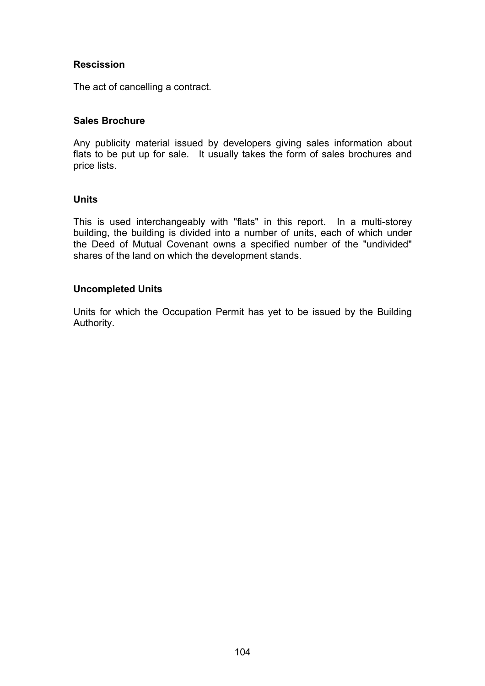### **Rescission**

The act of cancelling a contract.

### **Sales Brochure**

Any publicity material issued by developers giving sales information about flats to be put up for sale. It usually takes the form of sales brochures and price lists.

### **Units**

This is used interchangeably with "flats" in this report. In a multi-storey building, the building is divided into a number of units, each of which under the Deed of Mutual Covenant owns a specified number of the "undivided" shares of the land on which the development stands.

### **Uncompleted Units**

Units for which the Occupation Permit has yet to be issued by the Building Authority.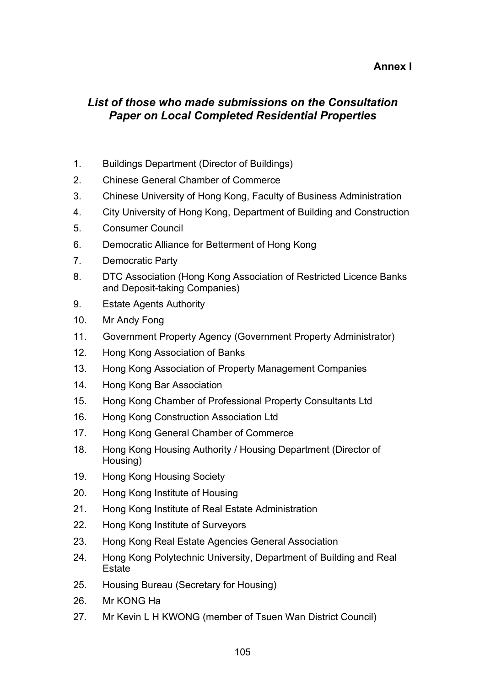## **Annex I**

## *List of those who made submissions on the Consultation Paper on Local Completed Residential Properties*

- 1. Buildings Department (Director of Buildings)
- 2. Chinese General Chamber of Commerce
- 3. Chinese University of Hong Kong, Faculty of Business Administration
- 4. City University of Hong Kong, Department of Building and Construction
- 5. Consumer Council
- 6. Democratic Alliance for Betterment of Hong Kong
- 7. Democratic Party
- 8. DTC Association (Hong Kong Association of Restricted Licence Banks and Deposit-taking Companies)
- 9. Estate Agents Authority
- 10. Mr Andy Fong
- 11. Government Property Agency (Government Property Administrator)
- 12. Hong Kong Association of Banks
- 13. Hong Kong Association of Property Management Companies
- 14. Hong Kong Bar Association
- 15. Hong Kong Chamber of Professional Property Consultants Ltd
- 16. Hong Kong Construction Association Ltd
- 17. Hong Kong General Chamber of Commerce
- 18. Hong Kong Housing Authority / Housing Department (Director of Housing)
- 19. Hong Kong Housing Society
- 20. Hong Kong Institute of Housing
- 21. Hong Kong Institute of Real Estate Administration
- 22. Hong Kong Institute of Surveyors
- 23. Hong Kong Real Estate Agencies General Association
- 24. Hong Kong Polytechnic University, Department of Building and Real **Estate**
- 25. Housing Bureau (Secretary for Housing)
- 26. Mr KONG Ha
- 27. Mr Kevin L H KWONG (member of Tsuen Wan District Council)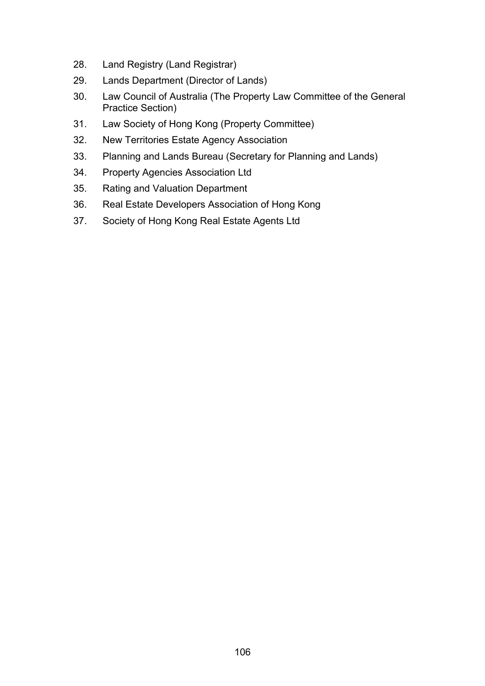- 28. Land Registry (Land Registrar)
- 29. Lands Department (Director of Lands)
- 30. Law Council of Australia (The Property Law Committee of the General Practice Section)
- 31. Law Society of Hong Kong (Property Committee)
- 32. New Territories Estate Agency Association
- 33. Planning and Lands Bureau (Secretary for Planning and Lands)
- 34. Property Agencies Association Ltd
- 35. Rating and Valuation Department
- 36. Real Estate Developers Association of Hong Kong
- 37. Society of Hong Kong Real Estate Agents Ltd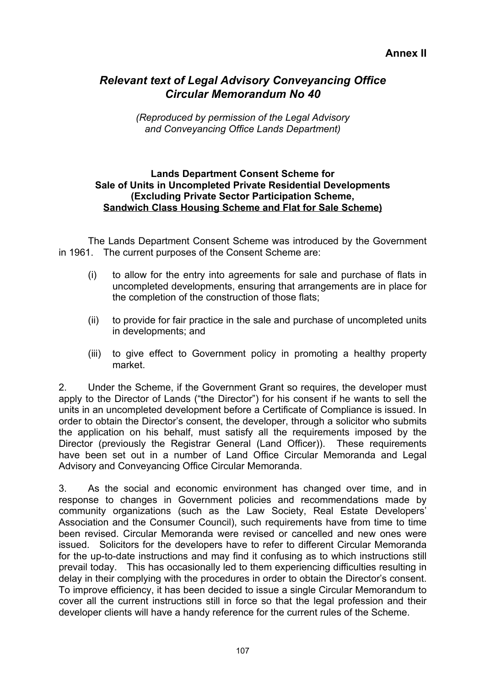## *Relevant text of Legal Advisory Conveyancing Office Circular Memorandum No 40*

*(Reproduced by permission of the Legal Advisory and Conveyancing Office Lands Department)*

### **Lands Department Consent Scheme for Sale of Units in Uncompleted Private Residential Developments (Excluding Private Sector Participation Scheme, Sandwich Class Housing Scheme and Flat for Sale Scheme)**

The Lands Department Consent Scheme was introduced by the Government in 1961. The current purposes of the Consent Scheme are:

- (i) to allow for the entry into agreements for sale and purchase of flats in uncompleted developments, ensuring that arrangements are in place for the completion of the construction of those flats;
- (ii) to provide for fair practice in the sale and purchase of uncompleted units in developments; and
- (iii) to give effect to Government policy in promoting a healthy property market.

2. Under the Scheme, if the Government Grant so requires, the developer must apply to the Director of Lands ("the Director") for his consent if he wants to sell the units in an uncompleted development before a Certificate of Compliance is issued. In order to obtain the Director's consent, the developer, through a solicitor who submits the application on his behalf, must satisfy all the requirements imposed by the Director (previously the Registrar General (Land Officer)). These requirements have been set out in a number of Land Office Circular Memoranda and Legal Advisory and Conveyancing Office Circular Memoranda.

3. As the social and economic environment has changed over time, and in response to changes in Government policies and recommendations made by community organizations (such as the Law Society, Real Estate Developers' Association and the Consumer Council), such requirements have from time to time been revised. Circular Memoranda were revised or cancelled and new ones were issued. Solicitors for the developers have to refer to different Circular Memoranda for the up-to-date instructions and may find it confusing as to which instructions still prevail today. This has occasionally led to them experiencing difficulties resulting in delay in their complying with the procedures in order to obtain the Director's consent. To improve efficiency, it has been decided to issue a single Circular Memorandum to cover all the current instructions still in force so that the legal profession and their developer clients will have a handy reference for the current rules of the Scheme.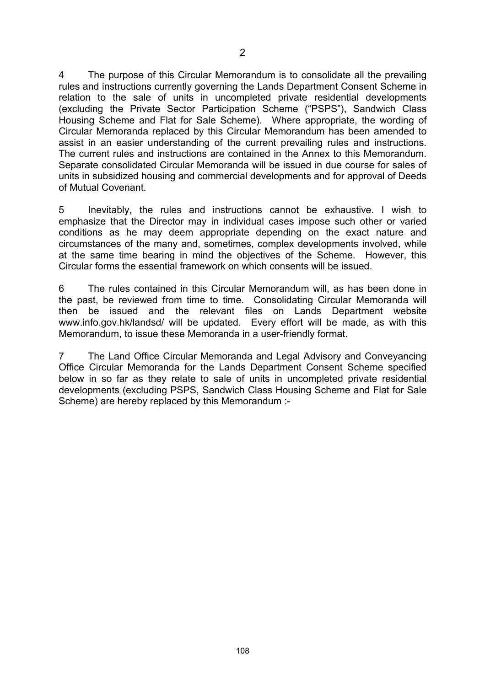4 The purpose of this Circular Memorandum is to consolidate all the prevailing rules and instructions currently governing the Lands Department Consent Scheme in relation to the sale of units in uncompleted private residential developments (excluding the Private Sector Participation Scheme ("PSPS"), Sandwich Class Housing Scheme and Flat for Sale Scheme). Where appropriate, the wording of Circular Memoranda replaced by this Circular Memorandum has been amended to assist in an easier understanding of the current prevailing rules and instructions. The current rules and instructions are contained in the Annex to this Memorandum. Separate consolidated Circular Memoranda will be issued in due course for sales of units in subsidized housing and commercial developments and for approval of Deeds of Mutual Covenant.

5 Inevitably, the rules and instructions cannot be exhaustive. I wish to emphasize that the Director may in individual cases impose such other or varied conditions as he may deem appropriate depending on the exact nature and circumstances of the many and, sometimes, complex developments involved, while at the same time bearing in mind the objectives of the Scheme. However, this Circular forms the essential framework on which consents will be issued.

6 The rules contained in this Circular Memorandum will, as has been done in the past, be reviewed from time to time. Consolidating Circular Memoranda will then be issued and the relevant files on Lands Department website www.info.gov.hk/landsd/ will be updated. Every effort will be made, as with this Memorandum, to issue these Memoranda in a user-friendly format.

7 The Land Office Circular Memoranda and Legal Advisory and Conveyancing Office Circular Memoranda for the Lands Department Consent Scheme specified below in so far as they relate to sale of units in uncompleted private residential developments (excluding PSPS, Sandwich Class Housing Scheme and Flat for Sale Scheme) are hereby replaced by this Memorandum :-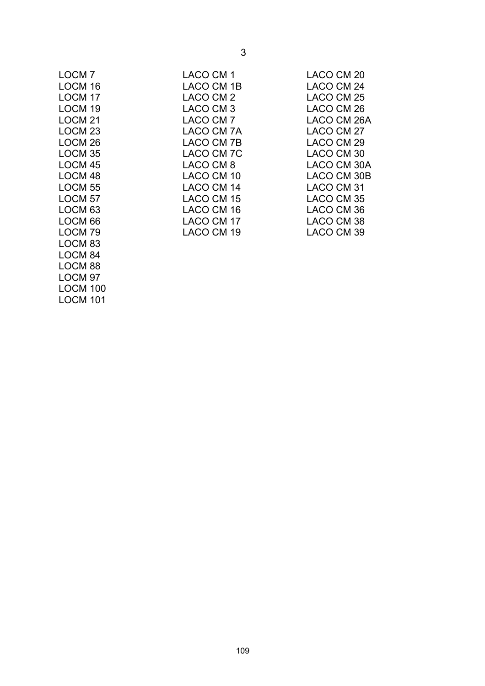| LOCM <sub>7</sub>  | LACO CM 1  | LACO CM 20  |
|--------------------|------------|-------------|
| LOCM 16            | LACO CM 1B | LACO CM 24  |
| LOCM <sub>17</sub> | LACO CM 2  | LACO CM 25  |
| LOCM <sub>19</sub> | LACO CM 3  | LACO CM 26  |
| LOCM <sub>21</sub> | LACO CM 7  | LACO CM 26A |
| LOCM <sub>23</sub> | LACO CM 7A | LACO CM 27  |
| LOCM <sub>26</sub> | LACO CM 7B | LACO CM 29  |
| LOCM <sub>35</sub> | LACO CM 7C | LACO CM 30  |
| LOCM <sub>45</sub> | LACO CM 8  | LACO CM 30A |
| LOCM <sub>48</sub> | LACO CM 10 | LACO CM 30B |
| LOCM <sub>55</sub> | LACO CM 14 | LACO CM 31  |
| LOCM <sub>57</sub> | LACO CM 15 | LACO CM 35  |
| LOCM <sub>63</sub> | LACO CM 16 | LACO CM 36  |
| LOCM <sub>66</sub> | LACO CM 17 | LACO CM 38  |
| LOCM <sub>79</sub> | LACO CM 19 | LACO CM 39  |
| LOCM <sub>83</sub> |            |             |
| LOCM <sub>84</sub> |            |             |
| LOCM <sub>88</sub> |            |             |
| LOCM <sub>97</sub> |            |             |

3

LOCM 100 LOCM 101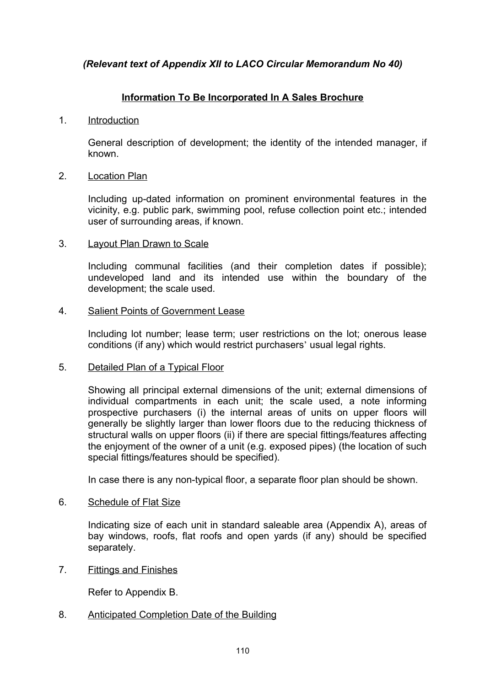### *(Relevant text of Appendix XII to LACO Circular Memorandum No 40)*

### **Information To Be Incorporated In A Sales Brochure**

### 1. Introduction

General description of development; the identity of the intended manager, if known.

### 2. Location Plan

Including up-dated information on prominent environmental features in the vicinity, e.g. public park, swimming pool, refuse collection point etc.; intended user of surrounding areas, if known.

### 3. Layout Plan Drawn to Scale

Including communal facilities (and their completion dates if possible); undeveloped land and its intended use within the boundary of the development; the scale used.

### 4. Salient Points of Government Lease

Including lot number; lease term; user restrictions on the lot; onerous lease conditions (if any) which would restrict purchasers' usual legal rights.

### 5. Detailed Plan of a Typical Floor

Showing all principal external dimensions of the unit; external dimensions of individual compartments in each unit; the scale used, a note informing prospective purchasers (i) the internal areas of units on upper floors will generally be slightly larger than lower floors due to the reducing thickness of structural walls on upper floors (ii) if there are special fittings/features affecting the enjoyment of the owner of a unit (e.g. exposed pipes) (the location of such special fittings/features should be specified).

In case there is any non-typical floor, a separate floor plan should be shown.

### 6. Schedule of Flat Size

Indicating size of each unit in standard saleable area (Appendix A), areas of bay windows, roofs, flat roofs and open yards (if any) should be specified separately.

7. Fittings and Finishes

Refer to Appendix B.

### 8. Anticipated Completion Date of the Building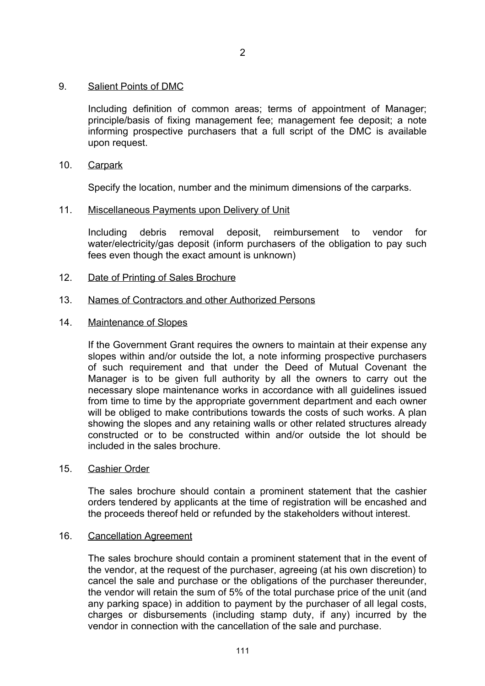### 9. Salient Points of DMC

Including definition of common areas; terms of appointment of Manager; principle/basis of fixing management fee; management fee deposit; a note informing prospective purchasers that a full script of the DMC is available upon request.

### 10. Carpark

Specify the location, number and the minimum dimensions of the carparks.

### 11. Miscellaneous Payments upon Delivery of Unit

Including debris removal deposit, reimbursement to vendor for water/electricity/gas deposit (inform purchasers of the obligation to pay such fees even though the exact amount is unknown)

### 12. Date of Printing of Sales Brochure

### 13. Names of Contractors and other Authorized Persons

### 14. Maintenance of Slopes

If the Government Grant requires the owners to maintain at their expense any slopes within and/or outside the lot, a note informing prospective purchasers of such requirement and that under the Deed of Mutual Covenant the Manager is to be given full authority by all the owners to carry out the necessary slope maintenance works in accordance with all guidelines issued from time to time by the appropriate government department and each owner will be obliged to make contributions towards the costs of such works. A plan showing the slopes and any retaining walls or other related structures already constructed or to be constructed within and/or outside the lot should be included in the sales brochure.

### 15. Cashier Order

The sales brochure should contain a prominent statement that the cashier orders tendered by applicants at the time of registration will be encashed and the proceeds thereof held or refunded by the stakeholders without interest.

### 16. Cancellation Agreement

The sales brochure should contain a prominent statement that in the event of the vendor, at the request of the purchaser, agreeing (at his own discretion) to cancel the sale and purchase or the obligations of the purchaser thereunder, the vendor will retain the sum of 5% of the total purchase price of the unit (and any parking space) in addition to payment by the purchaser of all legal costs, charges or disbursements (including stamp duty, if any) incurred by the vendor in connection with the cancellation of the sale and purchase.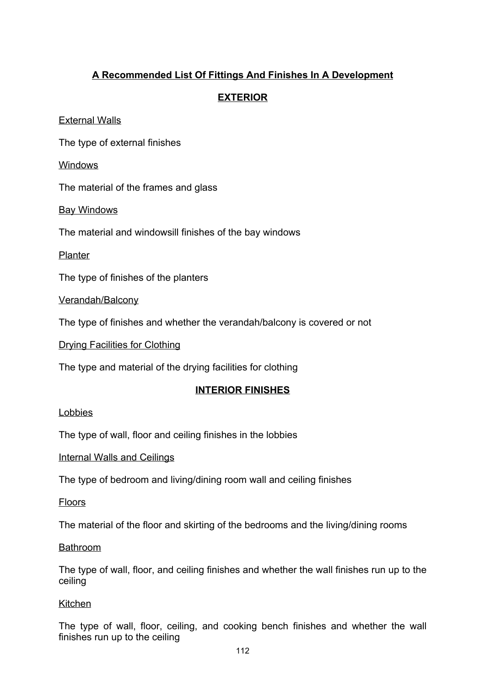## **A Recommended List Of Fittings And Finishes In A Development**

## **EXTERIOR**

External Walls

The type of external finishes

**Windows** 

The material of the frames and glass

Bay Windows

The material and windowsill finishes of the bay windows

**Planter** 

The type of finishes of the planters

Verandah/Balcony

The type of finishes and whether the verandah/balcony is covered or not

Drying Facilities for Clothing

The type and material of the drying facilities for clothing

### **INTERIOR FINISHES**

### Lobbies

The type of wall, floor and ceiling finishes in the lobbies

Internal Walls and Ceilings

The type of bedroom and living/dining room wall and ceiling finishes

Floors

The material of the floor and skirting of the bedrooms and the living/dining rooms

**Bathroom** 

The type of wall, floor, and ceiling finishes and whether the wall finishes run up to the ceiling

### Kitchen

The type of wall, floor, ceiling, and cooking bench finishes and whether the wall finishes run up to the ceiling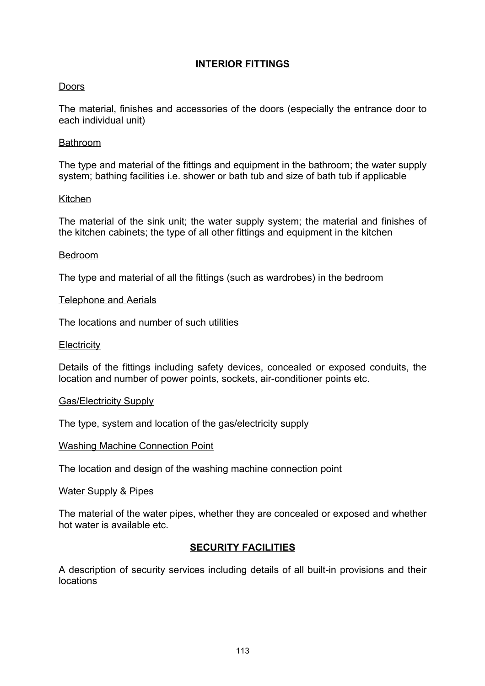## **INTERIOR FITTINGS**

### **Doors**

The material, finishes and accessories of the doors (especially the entrance door to each individual unit)

### Bathroom

The type and material of the fittings and equipment in the bathroom; the water supply system; bathing facilities i.e. shower or bath tub and size of bath tub if applicable

### **Kitchen**

The material of the sink unit; the water supply system; the material and finishes of the kitchen cabinets; the type of all other fittings and equipment in the kitchen

### Bedroom

The type and material of all the fittings (such as wardrobes) in the bedroom

### Telephone and Aerials

The locations and number of such utilities

### **Electricity**

Details of the fittings including safety devices, concealed or exposed conduits, the location and number of power points, sockets, air-conditioner points etc.

### Gas/Electricity Supply

The type, system and location of the gas/electricity supply

### Washing Machine Connection Point

The location and design of the washing machine connection point

### Water Supply & Pipes

The material of the water pipes, whether they are concealed or exposed and whether hot water is available etc.

### **SECURITY FACILITIES**

A description of security services including details of all built-in provisions and their locations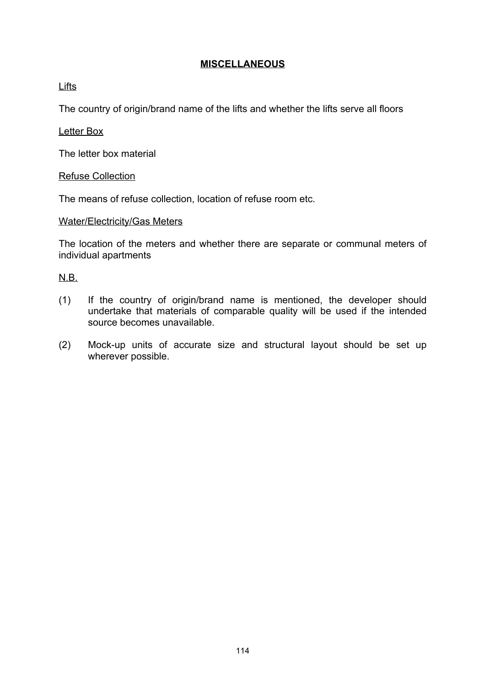### **MISCELLANEOUS**

Lifts

The country of origin/brand name of the lifts and whether the lifts serve all floors

### Letter Box

The letter box material

### Refuse Collection

The means of refuse collection, location of refuse room etc.

### Water/Electricity/Gas Meters

The location of the meters and whether there are separate or communal meters of individual apartments

### N.B.

- (1) If the country of origin/brand name is mentioned, the developer should undertake that materials of comparable quality will be used if the intended source becomes unavailable.
- (2) Mock-up units of accurate size and structural layout should be set up wherever possible.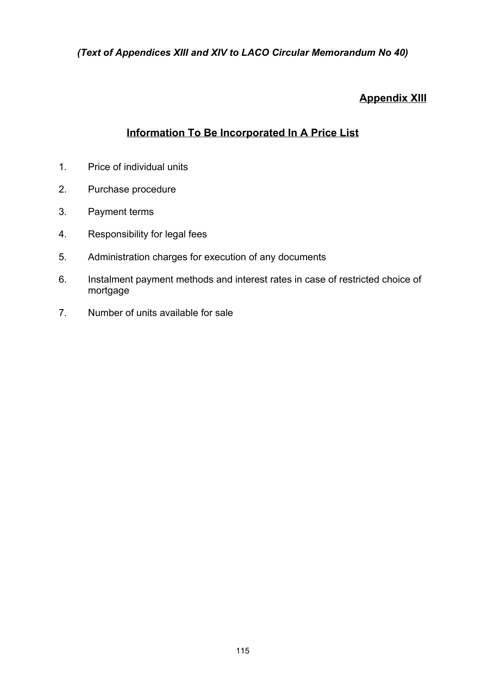*(Text of Appendices XIII and XIV to LACO Circular Memorandum No 40)*

## **Appendix XIII**

## **Information To Be Incorporated In A Price List**

- 1. Price of individual units
- 2. Purchase procedure
- 3. Payment terms
- 4. Responsibility for legal fees
- 5. Administration charges for execution of any documents
- 6. Instalment payment methods and interest rates in case of restricted choice of mortgage
- 7. Number of units available for sale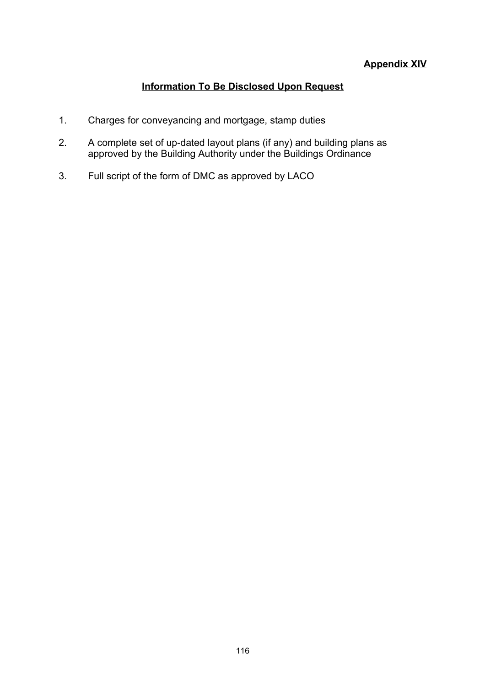## **Appendix XIV**

## **Information To Be Disclosed Upon Request**

- 1. Charges for conveyancing and mortgage, stamp duties
- 2. A complete set of up-dated layout plans (if any) and building plans as approved by the Building Authority under the Buildings Ordinance
- 3. Full script of the form of DMC as approved by LACO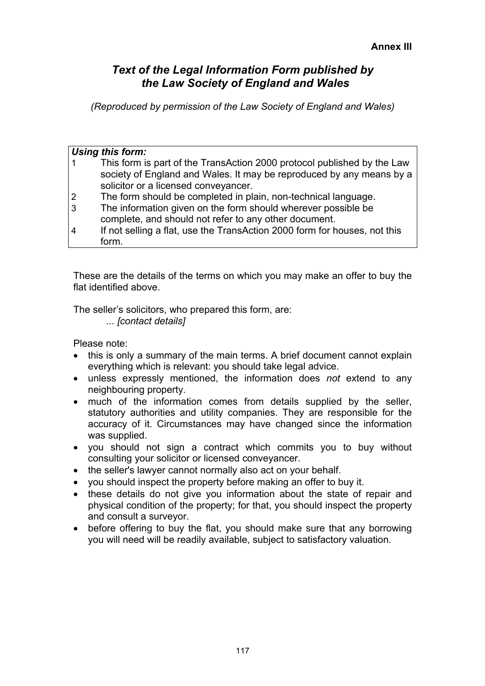## *Text of the Legal Information Form published by the Law Society of England and Wales*

*(Reproduced by permission of the Law Society of England and Wales)*

|                | Using this form:                                                          |
|----------------|---------------------------------------------------------------------------|
|                | This form is part of the TransAction 2000 protocol published by the Law   |
|                | society of England and Wales. It may be reproduced by any means by a      |
|                | solicitor or a licensed conveyancer.                                      |
| $\overline{2}$ | The form should be completed in plain, non-technical language.            |
| 3              | The information given on the form should wherever possible be             |
|                | complete, and should not refer to any other document.                     |
| $\overline{4}$ | If not selling a flat, use the TransAction 2000 form for houses, not this |
|                | form.                                                                     |

These are the details of the terms on which you may make an offer to buy the flat identified above.

The seller's solicitors, who prepared this form, are:

*... [contact details]*

Please note:

- this is only a summary of the main terms. A brief document cannot explain everything which is relevant: you should take legal advice.
- unless expressly mentioned, the information does *not* extend to any neighbouring property.
- much of the information comes from details supplied by the seller, statutory authorities and utility companies. They are responsible for the accuracy of it. Circumstances may have changed since the information was supplied.
- you should not sign a contract which commits you to buy without consulting your solicitor or licensed conveyancer.
- the seller's lawyer cannot normally also act on your behalf.
- you should inspect the property before making an offer to buy it.
- these details do not give you information about the state of repair and physical condition of the property; for that, you should inspect the property and consult a surveyor.
- before offering to buy the flat, you should make sure that any borrowing you will need will be readily available, subject to satisfactory valuation.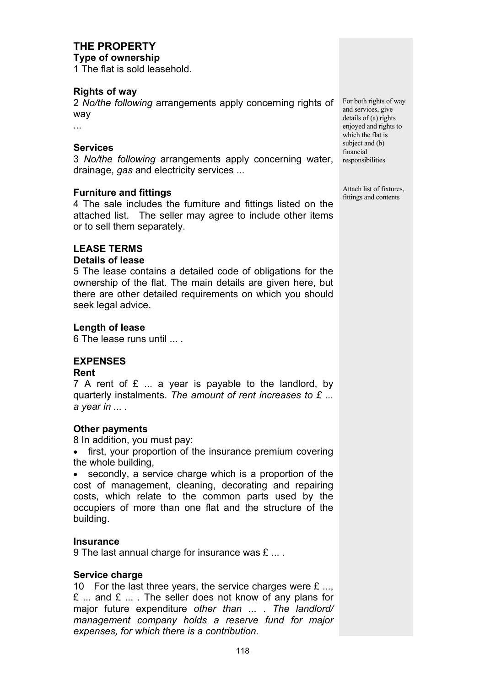## **THE PROPERTY**

**Type of ownership**

1 The flat is sold leasehold.

### **Rights of way**

2 *No/the following* arrangements apply concerning rights of For both rights of way way

...

### **Services**

3 *No/the following* arrangements apply concerning water, drainage, *gas* and electricity services ...

### **Furniture and fittings**

4 The sale includes the furniture and fittings listed on the attached list. The seller may agree to include other items or to sell them separately.

### **LEASE TERMS**

### **Details of lease**

5 The lease contains a detailed code of obligations for the ownership of the flat. The main details are given here, but there are other detailed requirements on which you should seek legal advice.

### **Length of lease**

6 The lease runs until ... .

## **EXPENSES**

### **Rent**

7 A rent of  $E$  ... a year is payable to the landlord, by quarterly instalments. *The amount of rent increases to £ ... a year in ... .*

### **Other payments**

8 In addition, you must pay:

• first, your proportion of the insurance premium covering the whole building,

• secondly, a service charge which is a proportion of the cost of management, cleaning, decorating and repairing costs, which relate to the common parts used by the occupiers of more than one flat and the structure of the building.

### **Insurance**

9 The last annual charge for insurance was £ ... .

### **Service charge**

10 For the last three years, the service charges were  $E$  ...,  $E$  ... and  $E$  ... . The seller does not know of any plans for major future expenditure *other than* ... . *The landlord/ management company holds a reserve fund for major expenses, for which there is a contribution.*

and services, give details of (a) rights enjoyed and rights to which the flat is subject and (b) financial responsibilities

Attach list of fixtures, fittings and contents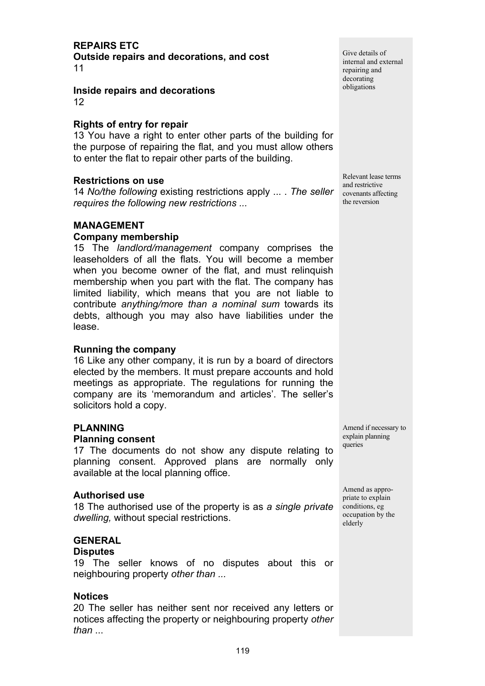## **REPAIRS ETC**

**Outside repairs and decorations, and cost** 11

**Inside repairs and decorations** 12

### **Rights of entry for repair**

13 You have a right to enter other parts of the building for the purpose of repairing the flat, and you must allow others to enter the flat to repair other parts of the building.

### **Restrictions on use**

14 *No/the following* existing restrictions apply ... . *The seller requires the following new restrictions ...*

### **MANAGEMENT**

### **Company membership**

15 The *landlord/management* company comprises the leaseholders of all the flats. You will become a member when you become owner of the flat, and must relinquish membership when you part with the flat. The company has limited liability, which means that you are not liable to contribute *anything/more than a nominal sum* towards its debts, although you may also have liabilities under the lease.

### **Running the company**

16 Like any other company, it is run by a board of directors elected by the members. It must prepare accounts and hold meetings as appropriate. The regulations for running the company are its 'memorandum and articles'. The seller's solicitors hold a copy.

### **PLANNING**

#### **Planning consent**

17 The documents do not show any dispute relating to planning consent. Approved plans are normally only available at the local planning office.

### **Authorised use**

18 The authorised use of the property is as *a single private dwelling,* without special restrictions.

### **GENERAL**

### **Disputes**

19 The seller knows of no disputes about this or neighbouring property *other than ...*

### **Notices**

20 The seller has neither sent nor received any letters or notices affecting the property or neighbouring property *other than* ...

Give details of internal and external repairing and decorating obligations

Relevant lease terms and restrictive covenants affecting the reversion

Amend if necessary to explain planning queries

Amend as appropriate to explain conditions, eg occupation by the elderly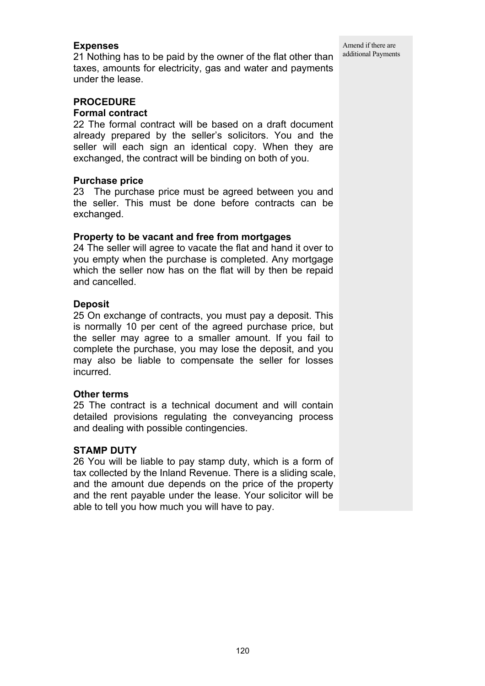### **Expenses**

21 Nothing has to be paid by the owner of the flat other than taxes, amounts for electricity, gas and water and payments under the lease.

### **PROCEDURE**

### **Formal contract**

22 The formal contract will be based on a draft document already prepared by the seller's solicitors. You and the seller will each sign an identical copy. When they are exchanged, the contract will be binding on both of you.

### **Purchase price**

23 The purchase price must be agreed between you and the seller. This must be done before contracts can be exchanged.

### **Property to be vacant and free from mortgages**

24 The seller will agree to vacate the flat and hand it over to you empty when the purchase is completed. Any mortgage which the seller now has on the flat will by then be repaid and cancelled.

### **Deposit**

25 On exchange of contracts, you must pay a deposit. This is normally 10 per cent of the agreed purchase price, but the seller may agree to a smaller amount. If you fail to complete the purchase, you may lose the deposit, and you may also be liable to compensate the seller for losses incurred.

### **Other terms**

25 The contract is a technical document and will contain detailed provisions regulating the conveyancing process and dealing with possible contingencies.

### **STAMP DUTY**

26 You will be liable to pay stamp duty, which is a form of tax collected by the Inland Revenue. There is a sliding scale, and the amount due depends on the price of the property and the rent payable under the lease. Your solicitor will be able to tell you how much you will have to pay.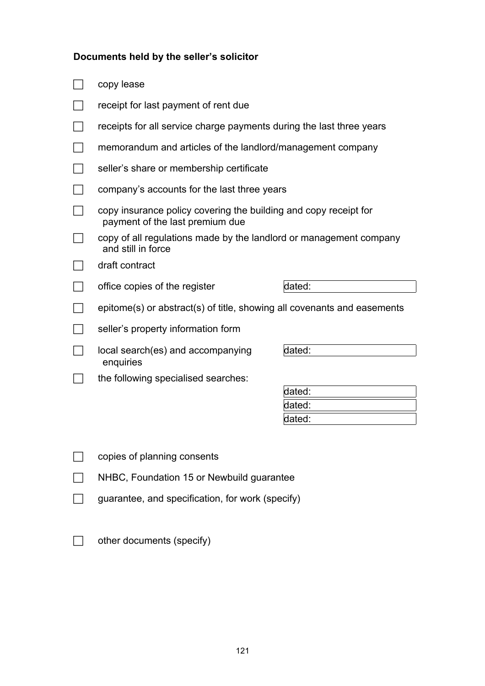# **Documents held by the seller's solicitor**

| copy lease                                                                                          |                  |  |  |  |
|-----------------------------------------------------------------------------------------------------|------------------|--|--|--|
| receipt for last payment of rent due                                                                |                  |  |  |  |
| receipts for all service charge payments during the last three years                                |                  |  |  |  |
| memorandum and articles of the landlord/management company                                          |                  |  |  |  |
| seller's share or membership certificate                                                            |                  |  |  |  |
| company's accounts for the last three years                                                         |                  |  |  |  |
| copy insurance policy covering the building and copy receipt for<br>payment of the last premium due |                  |  |  |  |
| copy of all regulations made by the landlord or management company<br>and still in force            |                  |  |  |  |
| draft contract                                                                                      |                  |  |  |  |
| office copies of the register                                                                       | dated:           |  |  |  |
| epitome(s) or abstract(s) of title, showing all covenants and easements                             |                  |  |  |  |
| seller's property information form                                                                  |                  |  |  |  |
| local search(es) and accompanying<br>enquiries                                                      | dated:           |  |  |  |
| the following specialised searches:                                                                 |                  |  |  |  |
|                                                                                                     | dated:           |  |  |  |
|                                                                                                     | dated:<br>dated: |  |  |  |
|                                                                                                     |                  |  |  |  |
| copies of planning consents                                                                         |                  |  |  |  |
| NHBC, Foundation 15 or Newbuild guarantee                                                           |                  |  |  |  |
| guarantee, and specification, for work (specify)                                                    |                  |  |  |  |

 $\Box$  other documents (specify)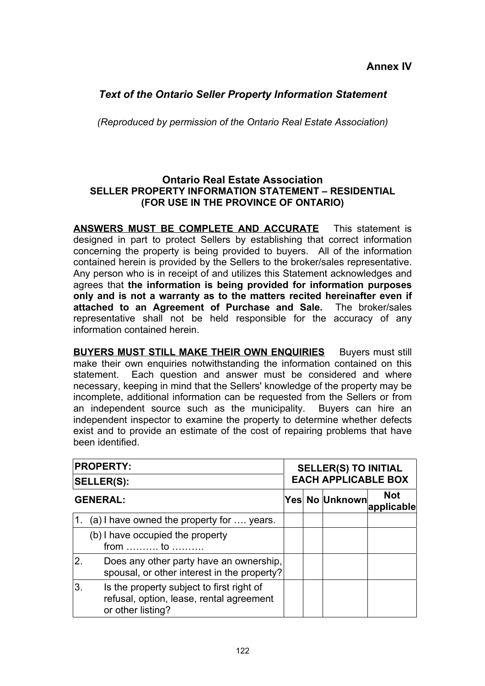## *Text of the Ontario Seller Property Information Statement*

*(Reproduced by permission of the Ontario Real Estate Association)*

### **Ontario Real Estate Association SELLER PROPERTY INFORMATION STATEMENT – RESIDENTIAL (FOR USE IN THE PROVINCE OF ONTARIO)**

**ANSWERS MUST BE COMPLETE AND ACCURATE** This statement is designed in part to protect Sellers by establishing that correct information concerning the property is being provided to buyers. All of the information contained herein is provided by the Sellers to the broker/sales representative. Any person who is in receipt of and utilizes this Statement acknowledges and agrees that **the information is being provided for information purposes only and is not a warranty as to the matters recited hereinafter even if attached to an Agreement of Purchase and Sale.** The broker/sales representative shall not be held responsible for the accuracy of any information contained herein.

**BUYERS MUST STILL MAKE THEIR OWN ENQUIRIES** Buyers must still make their own enquiries notwithstanding the information contained on this statement. Each question and answer must be considered and where necessary, keeping in mind that the Sellers' knowledge of the property may be incomplete, additional information can be requested from the Sellers or from an independent source such as the municipality. Buyers can hire an independent inspector to examine the property to determine whether defects exist and to provide an estimate of the cost of repairing problems that have been identified.

|                  | <b>PROPERTY:</b><br><b>SELLER(S):</b>                                                                      | <b>SELLER(S) TO INITIAL</b><br><b>EACH APPLICABLE BOX</b> |  |                |                          |
|------------------|------------------------------------------------------------------------------------------------------------|-----------------------------------------------------------|--|----------------|--------------------------|
|                  | <b>GENERAL:</b>                                                                                            |                                                           |  | Yes No Unknown | <b>Not</b><br>applicable |
| $\overline{1}$ . | (a) I have owned the property for  years.                                                                  |                                                           |  |                |                          |
|                  | (b) I have occupied the property<br>from $\dots \dots$ to $\dots \dots$                                    |                                                           |  |                |                          |
| <sup>2.</sup>    | Does any other party have an ownership,<br>spousal, or other interest in the property?                     |                                                           |  |                |                          |
| 3.               | Is the property subject to first right of<br>refusal, option, lease, rental agreement<br>or other listing? |                                                           |  |                |                          |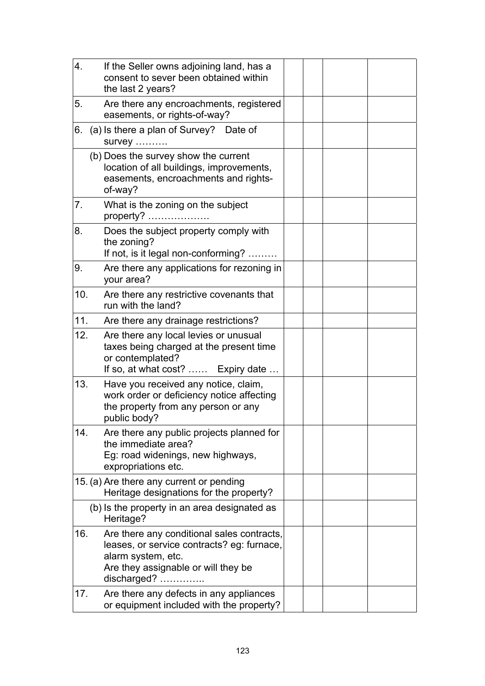| 4.  | If the Seller owns adjoining land, has a<br>consent to sever been obtained within<br>the last 2 years?                                                               |  |  |
|-----|----------------------------------------------------------------------------------------------------------------------------------------------------------------------|--|--|
| 5.  | Are there any encroachments, registered<br>easements, or rights-of-way?                                                                                              |  |  |
| 6.  | (a) Is there a plan of Survey? Date of<br>survey                                                                                                                     |  |  |
|     | (b) Does the survey show the current<br>location of all buildings, improvements,<br>easements, encroachments and rights-<br>of-way?                                  |  |  |
| 7.  | What is the zoning on the subject                                                                                                                                    |  |  |
| 8.  | Does the subject property comply with<br>the zoning?<br>If not, is it legal non-conforming?                                                                          |  |  |
| 9.  | Are there any applications for rezoning in<br>your area?                                                                                                             |  |  |
| 10. | Are there any restrictive covenants that<br>run with the land?                                                                                                       |  |  |
| 11. | Are there any drainage restrictions?                                                                                                                                 |  |  |
| 12. | Are there any local levies or unusual<br>taxes being charged at the present time<br>or contemplated?<br>If so, at what cost?  Expiry date                            |  |  |
| 13. | Have you received any notice, claim,<br>work order or deficiency notice affecting<br>the property from any person or any<br>public body?                             |  |  |
| 14. | Are there any public projects planned for<br>the immediate area?<br>Eg: road widenings, new highways,<br>expropriations etc.                                         |  |  |
|     | 15. (a) Are there any current or pending<br>Heritage designations for the property?                                                                                  |  |  |
|     | (b) Is the property in an area designated as<br>Heritage?                                                                                                            |  |  |
| 16. | Are there any conditional sales contracts,<br>leases, or service contracts? eg: furnace,<br>alarm system, etc.<br>Are they assignable or will they be<br>discharged? |  |  |
| 17. | Are there any defects in any appliances<br>or equipment included with the property?                                                                                  |  |  |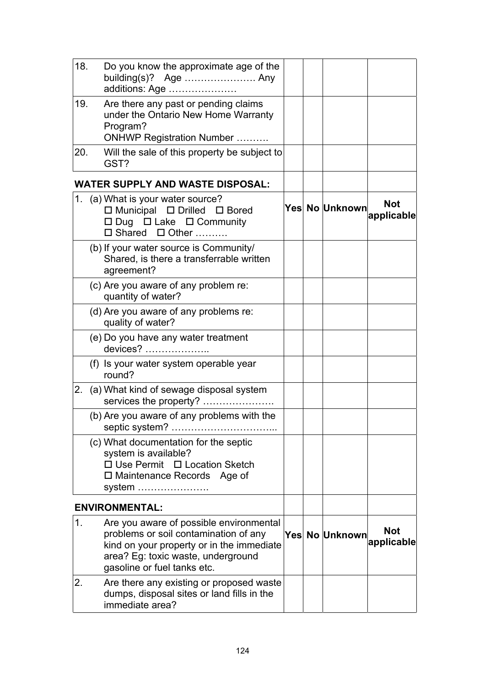| 18. |                                                                 | Do you know the approximate age of the<br>building $(s)$ ? Age  Any<br>additions: Age                                                                               |  |                |                          |
|-----|-----------------------------------------------------------------|---------------------------------------------------------------------------------------------------------------------------------------------------------------------|--|----------------|--------------------------|
| 19. | Program?                                                        | Are there any past or pending claims<br>under the Ontario New Home Warranty<br><b>ONHWP Registration Number </b>                                                    |  |                |                          |
| 20. | GST?                                                            | Will the sale of this property be subject to                                                                                                                        |  |                |                          |
|     |                                                                 | <b>WATER SUPPLY AND WASTE DISPOSAL:</b>                                                                                                                             |  |                |                          |
|     | 1. (a) What is your water source?<br>$\Box$ Shared $\Box$ Other | $\Box$ Municipal $\Box$ Drilled $\Box$ Bored<br>□ Dug □ Lake □ Community                                                                                            |  | Yes No Unknown | <b>Not</b><br>applicable |
|     | agreement?                                                      | (b) If your water source is Community/<br>Shared, is there a transferrable written                                                                                  |  |                |                          |
|     | (c) Are you aware of any problem re:<br>quantity of water?      |                                                                                                                                                                     |  |                |                          |
|     | quality of water?                                               | (d) Are you aware of any problems re:                                                                                                                               |  |                |                          |
|     | (e) Do you have any water treatment<br>devices?                 |                                                                                                                                                                     |  |                |                          |
|     | round?                                                          | (f) Is your water system operable year                                                                                                                              |  |                |                          |
|     |                                                                 | 2. (a) What kind of sewage disposal system<br>services the property?                                                                                                |  |                |                          |
|     | septic system?                                                  | (b) Are you aware of any problems with the<br>.                                                                                                                     |  |                |                          |
|     | system is available?<br>system                                  | (c) What documentation for the septic<br>□ Use Permit □ Location Sketch<br>$\square$ Maintenance Records Age of                                                     |  |                |                          |
|     | <b>ENVIRONMENTAL:</b>                                           |                                                                                                                                                                     |  |                |                          |
| 1.  | gasoline or fuel tanks etc.                                     | Are you aware of possible environmental<br>problems or soil contamination of any<br>kind on your property or in the immediate<br>area? Eg: toxic waste, underground |  | Yes No Unknown | <b>Not</b><br>applicable |
| 2.  | immediate area?                                                 | Are there any existing or proposed waste<br>dumps, disposal sites or land fills in the                                                                              |  |                |                          |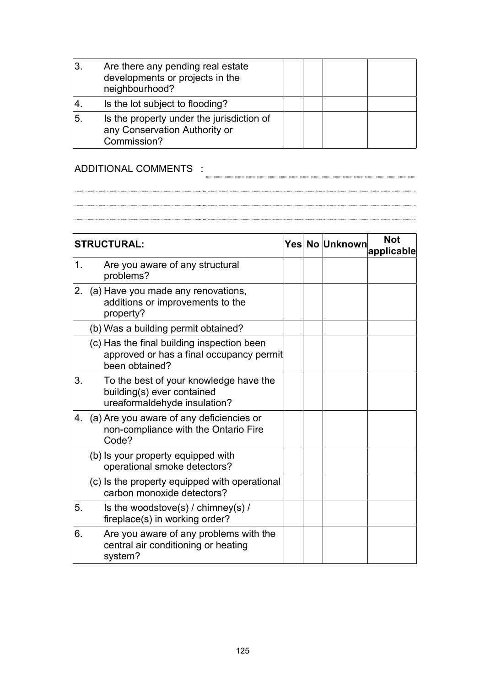| 3. | Are there any pending real estate<br>developments or projects in the<br>neighbourhood?    |  |  |
|----|-------------------------------------------------------------------------------------------|--|--|
| 4  | Is the lot subject to flooding?                                                           |  |  |
| 5  | Is the property under the jurisdiction of<br>any Conservation Authority or<br>Commission? |  |  |

### ADDITIONAL COMMENTS :

**STRUCTURAL:**  $\left| \frac{Y_{\text{res}}}{Y_{\text{res}}} \right|$  No Unknown  $\left| \frac{N}{Y_{\text{res}}} \right|$ **applicable** 1. Are you aware of any structural problems? 2. (a) Have you made any renovations, additions or improvements to the property? (b) Was a building permit obtained? (c) Has the final building inspection been approved or has a final occupancy permit been obtained? 3. To the best of your knowledge have the building(s) ever contained ureaformaldehyde insulation? 4. (a) Are you aware of any deficiencies or non-compliance with the Ontario Fire Code? (b) Is your property equipped with operational smoke detectors? (c) Is the property equipped with operational carbon monoxide detectors? 5. Is the woodstove(s) / chimney(s) / fireplace(s) in working order? 6. Are you aware of any problems with the central air conditioning or heating system?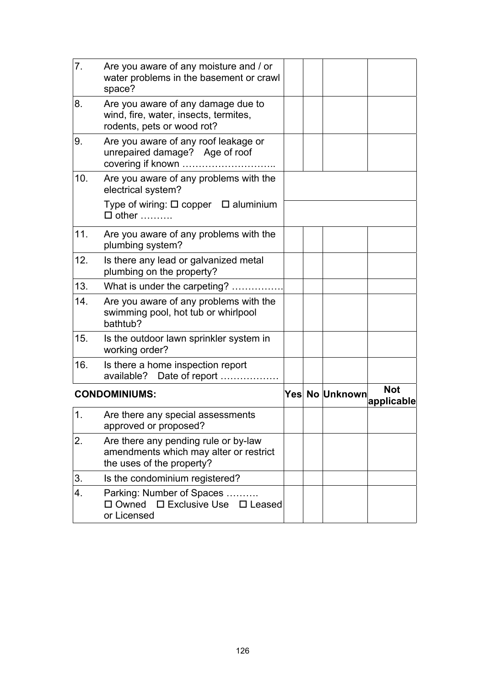| 7.  | Are you aware of any moisture and / or<br>water problems in the basement or crawl<br>space?                 |  |                |                          |
|-----|-------------------------------------------------------------------------------------------------------------|--|----------------|--------------------------|
| 8.  | Are you aware of any damage due to<br>wind, fire, water, insects, termites,<br>rodents, pets or wood rot?   |  |                |                          |
| 9.  | Are you aware of any roof leakage or<br>unrepaired damage? Age of roof                                      |  |                |                          |
| 10. | Are you aware of any problems with the<br>electrical system?                                                |  |                |                          |
|     | Type of wiring: $\square$ copper $\square$ aluminium<br>$\Box$ other                                        |  |                |                          |
| 11. | Are you aware of any problems with the<br>plumbing system?                                                  |  |                |                          |
| 12. | Is there any lead or galvanized metal<br>plumbing on the property?                                          |  |                |                          |
| 13. | What is under the carpeting?                                                                                |  |                |                          |
| 14. | Are you aware of any problems with the<br>swimming pool, hot tub or whirlpool<br>bathtub?                   |  |                |                          |
| 15. | Is the outdoor lawn sprinkler system in<br>working order?                                                   |  |                |                          |
| 16. | Is there a home inspection report<br>available? Date of report                                              |  |                |                          |
|     | <b>CONDOMINIUMS:</b>                                                                                        |  | Yes No Unknown | <b>Not</b><br>applicable |
| 1.  | Are there any special assessments<br>approved or proposed?                                                  |  |                |                          |
| 2.  | Are there any pending rule or by-law<br>amendments which may alter or restrict<br>the uses of the property? |  |                |                          |
| 3.  | Is the condominium registered?                                                                              |  |                |                          |
| 4.  | Parking: Number of Spaces.<br>□ Owned<br>$\Box$ Exclusive Use $\Box$ Leased<br>or Licensed                  |  |                |                          |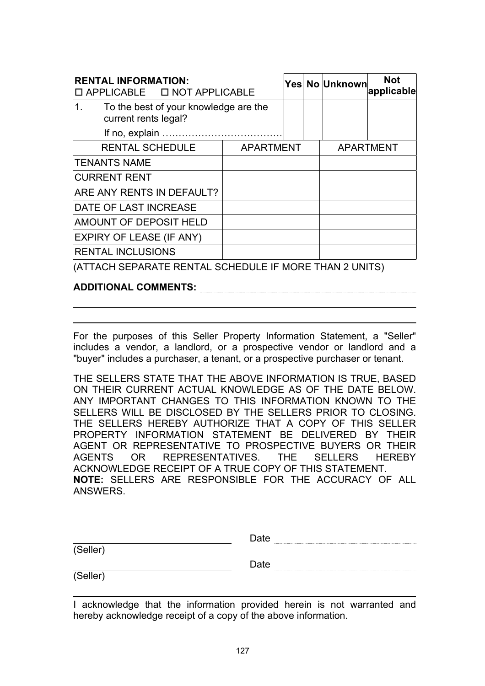| <b>RENTAL INFORMATION:</b><br>□ APPLICABLE □ NOT APPLICABLE |                                       |  | Yes No Unknown   | <b>Not</b><br>applicable |
|-------------------------------------------------------------|---------------------------------------|--|------------------|--------------------------|
| 1.<br>current rents legal?                                  | To the best of your knowledge are the |  |                  |                          |
|                                                             |                                       |  |                  |                          |
| <b>RENTAL SCHEDULE</b>                                      | <b>APARTMENT</b>                      |  | <b>APARTMENT</b> |                          |
| <b>TENANTS NAME</b>                                         |                                       |  |                  |                          |
| <b>CURRENT RENT</b>                                         |                                       |  |                  |                          |
| <b>ARE ANY RENTS IN DEFAULT?</b>                            |                                       |  |                  |                          |
| <b>DATE OF LAST INCREASE</b>                                |                                       |  |                  |                          |
| AMOUNT OF DEPOSIT HELD                                      |                                       |  |                  |                          |
| <b>EXPIRY OF LEASE (IF ANY)</b>                             |                                       |  |                  |                          |
| <b>RENTAL INCLUSIONS</b>                                    |                                       |  |                  |                          |

(ATTACH SEPARATE RENTAL SCHEDULE IF MORE THAN 2 UNITS)

**ADDITIONAL COMMENTS:**

For the purposes of this Seller Property Information Statement, a "Seller" includes a vendor, a landlord, or a prospective vendor or landlord and a "buyer" includes a purchaser, a tenant, or a prospective purchaser or tenant.

THE SELLERS STATE THAT THE ABOVE INFORMATION IS TRUE, BASED ON THEIR CURRENT ACTUAL KNOWLEDGE AS OF THE DATE BELOW. ANY IMPORTANT CHANGES TO THIS INFORMATION KNOWN TO THE SELLERS WILL BE DISCLOSED BY THE SELLERS PRIOR TO CLOSING. THE SELLERS HEREBY AUTHORIZE THAT A COPY OF THIS SELLER PROPERTY INFORMATION STATEMENT BE DELIVERED BY THEIR AGENT OR REPRESENTATIVE TO PROSPECTIVE BUYERS OR THEIR AGENTS OR REPRESENTATIVES. THE SELLERS HEREBY ACKNOWLEDGE RECEIPT OF A TRUE COPY OF THIS STATEMENT. **NOTE:** SELLERS ARE RESPONSIBLE FOR THE ACCURACY OF ALL ANSWERS.

|          | Date |
|----------|------|
| (Seller) |      |
|          | Date |
| (Seller  |      |

I acknowledge that the information provided herein is not warranted and hereby acknowledge receipt of a copy of the above information.